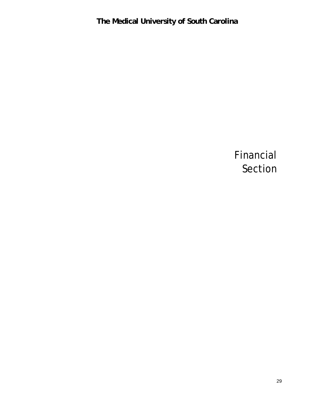Financial Section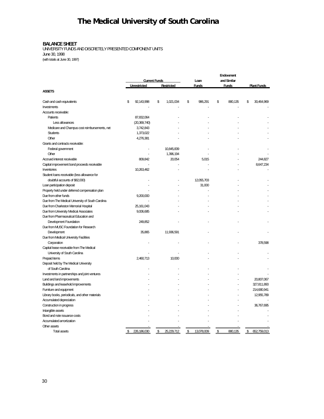### **BALANCE SHEET**

UNIVERSITY FUNDS AND DISCRETELY PRESENTED COMPONENT UNITS June 30, 1998 (with totals at June 30, 1997)

|                                                   |                    |                      |                   | Endowment        |    |              |    |                    |
|---------------------------------------------------|--------------------|----------------------|-------------------|------------------|----|--------------|----|--------------------|
|                                                   |                    | <b>Current Funds</b> |                   | Loan             |    | and Similar  |    |                    |
|                                                   | Unrestricted       |                      | <b>Restricted</b> | Funds            |    | <b>Funds</b> |    | <b>Plant Funds</b> |
| <b>ASSETS</b>                                     |                    |                      |                   |                  |    |              |    |                    |
|                                                   |                    |                      |                   |                  |    |              |    |                    |
| Cash and cash equivalents                         | \$<br>92, 143, 998 | \$                   | 1,021,034         | \$<br>986,291    | \$ | 880,135      | \$ | 30,464,969         |
| Investments                                       |                    |                      |                   |                  |    |              |    |                    |
| Accounts receivable:                              |                    |                      |                   |                  |    |              |    |                    |
| Patients                                          | 87,832,064         |                      |                   |                  |    |              |    |                    |
| Less allowances                                   | (20, 369, 740)     |                      |                   |                  |    |              |    |                    |
| Medicare and Champus cost reimbursements, net     | 3,742,843          |                      |                   |                  |    |              |    |                    |
| <b>Students</b>                                   | 1,373,022          |                      |                   |                  |    |              |    |                    |
| Other                                             | 4,276,381          |                      |                   |                  |    |              |    |                    |
| Grants and contracts receivable:                  |                    |                      |                   |                  |    |              |    |                    |
| Federal government                                |                    |                      | 10,845,839        |                  |    |              |    |                    |
| Other                                             |                    |                      | 1,396,194         |                  |    |              |    |                    |
| Accrued interest receivable                       | 809,842            |                      | 20,054            | 5,015            |    |              |    | 244.827            |
| Capital improvement bond proceeds receivable      |                    |                      |                   |                  |    |              |    | 8,647,234          |
| Inventories                                       | 10,263,462         |                      |                   |                  |    |              |    |                    |
| Student loans receivable (less allowance for      |                    |                      |                   |                  |    |              |    |                    |
| doubtful accounts of \$82,000)                    |                    |                      |                   | 12,055,703       |    |              |    |                    |
| Loan participation deposit                        |                    |                      |                   | 31,000           |    |              |    |                    |
| Property held under deferred compensation plan    |                    |                      |                   |                  |    |              |    |                    |
| Due from other funds                              | 9,200,000          |                      |                   |                  |    |              |    |                    |
| Due from The Medical University of South Carolina |                    |                      |                   |                  |    |              |    |                    |
| Due from Charleston Memorial Hospital             | 25,161,043         |                      |                   |                  |    |              |    |                    |
| Due from University Medical Associates            | 9,006,685          |                      |                   |                  |    |              |    |                    |
| Due from Pharmaceutical Education and             |                    |                      |                   |                  |    |              |    |                    |
| <b>Development Foundation</b>                     | 249,852            |                      |                   |                  |    |              |    |                    |
| Due from MUSC Foundation for Research             |                    |                      |                   |                  |    |              |    |                    |
| Development                                       | 35,865             |                      | 11,936,591        |                  |    |              |    |                    |
| Due from Medical University Facilities            |                    |                      |                   |                  |    |              |    |                    |
| Corporation                                       |                    |                      |                   |                  |    |              |    | 378.598            |
| Capital lease receivable from The Medical         |                    |                      |                   |                  |    |              |    |                    |
| University of South Carolina                      |                    |                      |                   |                  |    |              |    |                    |
| Prepaid items                                     | 2,460,713          |                      | 10,000            |                  |    |              |    |                    |
| Deposit held by The Medical University            |                    |                      |                   |                  |    |              |    |                    |
| of South Carolina                                 |                    |                      |                   |                  |    |              |    |                    |
| Investments in partnerships and joint ventures    |                    |                      |                   |                  |    |              |    |                    |
| Land and land improvements                        |                    |                      |                   |                  |    |              |    | 20,807,067         |
| Buildings and leasehold improvements              |                    |                      |                   |                  |    |              |    | 327,811,893        |
| Furniture and equipment                           |                    |                      |                   |                  |    |              |    | 214,680,941        |
| Library books, periodicals, and other materials   |                    |                      |                   |                  |    |              |    | 12,955,789         |
| Accumulated depreciation                          |                    |                      |                   |                  |    |              |    |                    |
| Construction in progress                          |                    |                      |                   |                  |    |              |    | 36,767,695         |
| Intangible assets                                 |                    |                      |                   |                  |    |              |    |                    |
| Bond and note issuance costs                      |                    |                      |                   |                  |    |              |    |                    |
| Accumulated amortization                          |                    |                      |                   |                  |    |              |    |                    |
| Other assets                                      |                    |                      |                   |                  |    |              |    |                    |
| <b>Total assets</b>                               | \$<br>226,186,030  | \$                   | 25,229,712        | \$<br>13,078,009 | \$ | 880,135      | \$ | 652,759,013        |
|                                                   |                    |                      |                   |                  |    |              |    |                    |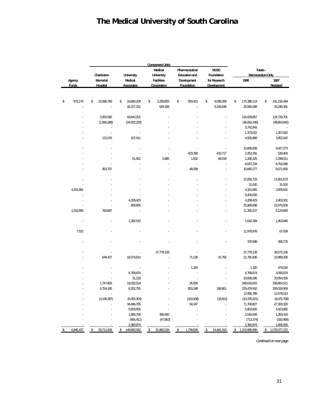|           |              |                  |                   | <b>Component Units</b> |                      |                   |                     |                     |
|-----------|--------------|------------------|-------------------|------------------------|----------------------|-------------------|---------------------|---------------------|
|           |              |                  |                   | <b>Medical</b>         | Pharmaceutical       | <b>MUSC</b>       |                     | Totals-             |
|           |              | Charleston       | <b>University</b> | <b>University</b>      | <b>Education and</b> | <b>Foundation</b> |                     | Memorandum Only     |
|           | Agency       | <b>Memorial</b>  | <b>Medical</b>    | <b>Facilities</b>      | Development          | for Research      | 1998                | 1997                |
|           | <b>Funds</b> | Hospital         | <b>Associates</b> | Corporation            | Foundation           | Development       |                     | Restated            |
|           |              |                  |                   |                        |                      |                   |                     |                     |
| \$        | 973,179      | \$<br>23,596,785 | \$<br>16,880,208  | \$<br>3,258,805        | \$<br>583,421        | \$<br>4,599,289   | \$<br>175,388,114   | \$<br>241,216,494   |
|           |              |                  | 16,217,251        | 529,168                |                      | 9,193,649         | 25,940,068          | 20,346,381          |
|           |              | 2,555,592        | 43,642,201        |                        |                      |                   | 134,029,857         | 124,729,701         |
|           |              | (1,690,289)      | (24,002,220)      |                        |                      |                   | (46,062,249)        | (48,854,942)        |
|           |              |                  |                   |                        |                      |                   | 3,742,843           |                     |
|           |              |                  |                   |                        |                      |                   | 1,373,022           | 1,307,062           |
|           |              |                  | 107,411           |                        |                      |                   | 4,505,868           | 3,852,642           |
|           |              | 122,076          |                   |                        |                      |                   |                     |                     |
|           |              |                  |                   |                        |                      |                   | 10,845,839          | 9,427,273           |
|           |              |                  |                   |                        | 423,380              | 433,717           | 2,253,291           | 530,400             |
|           |              |                  | 51,921            | 5,995                  | 1,652                | 69,019            | 1,208,325           | 2,299,511           |
|           |              |                  |                   |                        | l.                   | ä,                | 8,647,234           | 8,752,086           |
|           |              | 353,757          |                   | J,                     | 48,058               | ä,                | 10,665,277          | 8,571,950           |
|           |              |                  |                   |                        |                      |                   | 12,055,703          | 11,651,673          |
|           |              |                  |                   |                        |                      |                   | 31,000              | 31,000              |
|           | 4,331,881    |                  |                   |                        |                      |                   | 4,331,881           | 2,605,631           |
|           |              |                  |                   |                        |                      |                   | 9,200,000           |                     |
|           |              |                  | 4,208,423         |                        |                      |                   | 4,208,423           | 2,403,301           |
|           |              |                  | 808,655           |                        |                      |                   | 25,969,698          | 23,470,509          |
|           | 1,532,855    | 760,687          | ٠                 |                        |                      |                   | 11,300,227          | 5,124,893           |
|           |              |                  |                   |                        |                      |                   |                     |                     |
|           |              |                  | 1,392,542         |                        |                      |                   | 1,642,394           | 1,453,945           |
|           | 7,522        |                  |                   |                        |                      |                   | 11,979,978          | 67,009              |
|           |              |                  |                   |                        |                      |                   | 378,598             | 308,725             |
|           |              |                  |                   |                        |                      |                   |                     |                     |
|           |              |                  |                   | 27,779,128             |                      |                   | 27,779,128          | 28,572,106          |
|           |              | 649,427          | 18,574,814        |                        | 71,126               | 15,756            | 21,781,836          | 22,889,326          |
|           |              |                  |                   |                        | 1,320                |                   | 1,320               | 474,016             |
|           |              |                  | 6,768,874         |                        |                      |                   | 6,768,874           | 3,093,874           |
|           |              |                  | 31,218            |                        |                      |                   | 20,838,285          | 20,054,356          |
|           |              | 1,747,803        | 19,032,524        |                        | 26,595               |                   | 348,618,815         | 339,964,511         |
|           |              | 5,754,165        | 8,202,755         |                        | 653,248              | 188,801           | 229,479,910         | 206,018,959         |
|           |              |                  |                   |                        |                      |                   | 12,955,789          | 12,579,013          |
|           |              | (4, 138, 397)    | (6,055,304)       |                        | (163,508)            | (18, 812)         | (10, 376, 021)      | (8,475,768)         |
|           |              |                  | 34,846,785        |                        | 94,347               |                   | 71,708,827          | 27,300,320          |
|           |              |                  | 5,803,605         |                        |                      |                   | 5,803,605           | 4,423,882           |
|           |              |                  | 1,685,706         | 356,900                |                      |                   | 2,042,606           | 1,263,419           |
|           |              |                  | (665, 411)        | (47, 963)              |                      |                   | (713, 374)          | (182,966)           |
|           |              |                  | 2,360,974         |                        |                      |                   | 2,360,974           | 1,806,930           |
| <u>\$</u> | 6,845,437    | 29,711,606<br>\$ | 149,892,932<br>\$ | 31,882,033<br>\$       | \$<br>1,739,639      | 14,481,419<br>\$  | 1,152,685,965<br>\$ | 1,079,077,222<br>\$ |

*Continued on next page*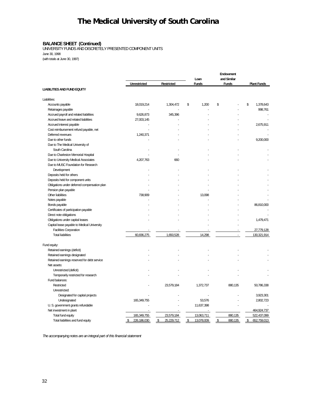#### **BALANCE SHEET (Continued)**

UNIVERSITY FUNDS AND DISCRETELY PRESENTED COMPONENT UNITS June 30, 1998 (with totals at June 30, 1997)

**Endowment Loan and Similar Unrestricted Restricted Funds Funds Plant Funds LIABILITIES AND FUND EQUITY** Liabilities: Accounts payable 18,019,214 1,304,472  $\frac{1}{3}$  1,200  $\frac{1}{3}$  - \$ 1,378,643 Retainages payable - - - - 998,761 Accrued payroll and related liabilities extending the state of the state of the state of the state of the state of the state of the state of the state of the state of the state of the state of the state of the state of the Accrued leave and related liabilities 27,003,145 - - - - Accrued interest payable - - - - 2,675,911 Cost reimbursement refund payable, net example and the state of the state of the state of the state of the state of the state of the state of the state of the state of the state of the state of the state of the state of th Deferred revenues and the contract of the contract of the 1,240,371 contract of the contract of the contract of the contract of the contract of the contract of the contract of the contract of the contract of the contract o Due to other funds - - - - 9,200,000 Due to The Medical University of South Carolina - - - - - Due to Charleston Memorial Hospital - - - - - Due to University Medical Associates 4,207,763 660 Due to MUSC Foundation for Research Development and the state of the state of the state of the state of the state of the state of the state of the state of the state of the state of the state of the state of the state of the state of the state of the state o Deposits held for others Deposits held for component units - - - - - Obligations under deferred compensation plan - - - - - Pension plan payable - - - - - Other liabilities and the control of the control of the control of the control of the control of the control of the control of the control of the control of the control of the control of the control of the control of the c Notes payable - - - - - Bonds payable - - - - 86,810,000 Certificates of participation payable  $\overline{\phantom{a}}$  -  $\overline{\phantom{a}}$  -  $\overline{\phantom{a}}$  -  $\overline{\phantom{a}}$  -  $\overline{\phantom{a}}$  -  $\overline{\phantom{a}}$  -  $\overline{\phantom{a}}$  -  $\overline{\phantom{a}}$  -  $\overline{\phantom{a}}$  -  $\overline{\phantom{a}}$  -  $\overline{\phantom{a}}$  -  $\overline{\phantom{a}}$  -  $\overline{\phantom{a}}$  -  $\$ Direct note obligations and the contract of the contract of the contract of the contract of the contract of the contract of the contract of the contract of the contract of the contract of the contract of the contract of th Obligations under capital leases and the control of the control of the control of the control of the control of the control of the control of the control of the control of the control of the control of the control of the c Capital lease payable to Medical University Facilities Corporation - - - - 27,779,128 Total liabilities 60,836,275 1,650,528 14,298 - 130,321,914 Fund equity: Retained earnings (deficit) - - - - - Retained earnings designated - - - - - Retained earnings reserved for debt service Net assets: Unrestricted (deficit) and the contract of the contract of the contract of the contract of the contract of the contract of the contract of the contract of the contract of the contract of the contract of the contract of the Temporarily restricted for research Fund balances: Restricted 2001 200786,338 100786,338 100786,338 100786,338 1,372,737 10080,135 1,372,737 10080,135 Unrestricted: Designated for capital projects - - - - 3,923,301 Undesignated 165,349,755 - 53,576 - 2,802,723 U. S. government grants refundable and the state of the state of the state of the state of the state of the state of the state of the state of the state of the state of the state of the state of the state of the state of t Net investment in plant  $\sim$  464,924,737 Total fund equity 165,349,755 23,579,184 13,063,711 2008 880,135 522,437,099 Total liabilities and fund equity **3** 226,186,030 **\$ 25,229,712** \$ 13,078,009 **\$ 880,135** \$ 652,759,013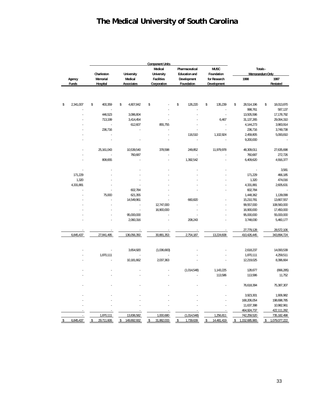|                 |                  |                   | <b>Component Units</b> |                      |                  |         |                 |    |               |
|-----------------|------------------|-------------------|------------------------|----------------------|------------------|---------|-----------------|----|---------------|
|                 |                  |                   | Medical                | Pharmaceutical       | <b>MUSC</b>      | Totals- |                 |    |               |
|                 | Charleston       | University        | <b>University</b>      | <b>Education and</b> | Foundation       |         | Memorandum Only |    |               |
| Agency          | Memorial         | Medical           | <b>Facilities</b>      | Development          | for Research     |         | 1998            |    | 1997          |
| <b>Funds</b>    | Hospital         | <b>Associates</b> | Corporation            | Foundation           | Development      |         |                 |    | Restated      |
|                 |                  |                   |                        |                      |                  |         |                 |    |               |
| \$<br>2,341,007 | \$<br>400,359    | \$<br>4,807,842   | \$                     | \$<br>126,220        | \$<br>135,239    | \$      | 28,514,196      | \$ | 18,013,870    |
|                 |                  |                   |                        |                      |                  |         | 998,761         |    | 587,137       |
|                 | 446,523          | 3,086,804         |                        |                      | ÷,               |         | 13,505,596      |    | 17, 178, 792  |
|                 | 713,199          | 3,414,454         |                        |                      | 6,467            |         | 31, 137, 265    |    | 29,064,310    |
|                 |                  | 612,607           | 855,755                |                      | ٠                |         | 4,144,273       |    | 3,983,914     |
|                 | 236,716          |                   |                        |                      |                  |         | 236,716         |    | 3,749,738     |
|                 |                  |                   |                        | 116,510              | 1,102,924        |         | 2,459,805       |    | 5,093,810     |
|                 |                  |                   |                        |                      |                  |         | 9,200,000       |    |               |
|                 |                  |                   |                        |                      |                  |         |                 |    |               |
|                 | 25, 161, 043     | 10,539,540        | 378,598                | 249,852              | 11,979,978       |         | 48,309,011      |    | 27,635,698    |
|                 |                  | 760,687           |                        |                      |                  |         | 760,687         |    | 272,726       |
|                 | 808,655          |                   |                        | 1,392,542            |                  |         | 6,409,620       |    | 4,916,377     |
|                 |                  |                   |                        |                      |                  |         |                 |    | 3,581         |
| 171,229         |                  |                   |                        |                      |                  |         | 171,229         |    | 466,185       |
| 1,320           |                  |                   |                        |                      |                  |         | 1,320           |    | 474,016       |
| 4,331,881       |                  |                   |                        |                      |                  |         | 4,331,881       |    | 2,605,631     |
|                 |                  | 602,784           |                        |                      |                  |         | 602,784         |    |               |
|                 | 75,000           | 621,355           |                        |                      |                  |         | 1,448,362       |    | 1,139,099     |
|                 |                  | 14,549,961        |                        | 660,820              |                  |         | 15,210,781      |    | 13,667,557    |
|                 |                  |                   | 12,747,000             |                      |                  |         | 99,557,000      |    | 108,560,000   |
|                 |                  |                   | 16,900,000             |                      |                  |         | 16,900,000      |    | 17,450,000    |
|                 |                  | 95,000,000        |                        |                      |                  |         | 95,000,000      |    | 55,000,000    |
|                 |                  | 2,060,316         |                        | 208,243              |                  |         | 3,748,030       |    | 5,460,177     |
|                 |                  |                   |                        |                      |                  |         | 27,779,128      |    | 28,572,106    |
| 6,845,437       | 27,841,495       | 136,056,350       | 30,881,353             | 2,754,187            | 13,224,608       |         | 410,426,445     |    | 343,894,724   |
|                 |                  |                   |                        |                      |                  |         |                 |    |               |
|                 |                  | 3,654,920         | (1,036,683)            |                      |                  |         | 2,618,237       |    | 14,093,539    |
|                 | 1,870,111        |                   |                        |                      |                  |         | 1,870,111       |    | 4,259,511     |
|                 |                  | 10,181,662        | 2,037,363              |                      |                  |         | 12,219,025      |    | 8,396,664     |
|                 |                  |                   |                        | (1,014,548)          | 1,143,225        |         | 128,677         |    | (666, 285)    |
|                 |                  |                   |                        |                      | 113,586          |         | 113,586         |    | 11,752        |
|                 |                  |                   |                        |                      |                  |         | 76,618,394      |    | 75,387,307    |
|                 |                  |                   |                        |                      |                  |         | 3,923,301       |    | 1,906,982     |
|                 |                  |                   |                        |                      |                  |         | 168,206,054     |    | 198,698,785   |
|                 |                  |                   |                        |                      |                  |         | 11,637,398      |    | 10,982,961    |
|                 |                  |                   |                        |                      |                  |         | 464,924,737     |    | 422,111,282   |
|                 | 1,870,111        | 13,836,582        | 1,000,680              | (1,014,548)          | 1,256,811        |         | 742,259,520     |    | 735, 182, 498 |
| 6,845,437       | \$<br>29,711,606 | \$<br>149,892,932 | 31,882,033             | \$<br>1,739,639      | \$<br>14,481,419 |         | 1,152,685,965   | \$ | 1,079,077,222 |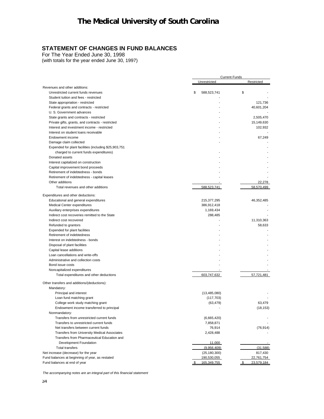## **STATEMENT OF CHANGES IN FUND BALANCES**

For The Year Ended June 30, 1998

(with totals for the year ended June 30, 1997)

|                                                       | <b>Current Funds</b> |                  |  |  |
|-------------------------------------------------------|----------------------|------------------|--|--|
|                                                       | Unrestricted         | Restricted       |  |  |
| Revenues and other additions:                         |                      |                  |  |  |
| Unrestricted current funds revenues                   | \$<br>588,523,741    | \$               |  |  |
| Student tuition and fees - restricted                 |                      |                  |  |  |
| State appropriation - restricted                      |                      | 121,736          |  |  |
| Federal grants and contracts - restricted             |                      | 40,601,204       |  |  |
| U. S. Government advances                             |                      |                  |  |  |
| State grants and contracts - restricted               |                      | 2,505,470        |  |  |
| Private gifts, grants, and contracts - restricted     |                      | 15,149,630       |  |  |
| Interest and investment income - restricted           |                      | 102,932          |  |  |
| Interest on student loans receivable                  |                      |                  |  |  |
| Endowment income                                      |                      | 67,249           |  |  |
| Damage claim collected                                |                      |                  |  |  |
| Expended for plant facilities (including \$25,903,751 |                      |                  |  |  |
| charged to current funds expenditures)                |                      |                  |  |  |
| Donated assets                                        |                      |                  |  |  |
| Interest capitalized on construction                  |                      |                  |  |  |
| Capital improvement bond proceeds                     |                      |                  |  |  |
| Retirement of indebtedness - bonds                    |                      |                  |  |  |
| Retirement of indebtedness - capital leases           |                      |                  |  |  |
| Other additions                                       |                      | 22,278           |  |  |
| Total revenues and other additions                    | 588,523,741          | 58,570,499       |  |  |
|                                                       |                      |                  |  |  |
| Expenditures and other deductions:                    |                      |                  |  |  |
| Educational and general expenditures                  | 215,377,295          | 46,352,485       |  |  |
| Medical Center expenditures                           | 386,912,418          |                  |  |  |
| Auxiliary enterprises expenditures                    | 1,169,434            |                  |  |  |
| Indirect cost recoveries remitted to the State        | 288,485              |                  |  |  |
| Indirect cost recovered                               |                      | 11,310,363       |  |  |
| Refunded to grantors                                  |                      | 58,633           |  |  |
| Expended for plant facilities                         |                      |                  |  |  |
| Retirement of indebtedness                            |                      |                  |  |  |
| Interest on indebtedness - bonds                      |                      |                  |  |  |
| Disposal of plant facilities                          |                      |                  |  |  |
| Capital lease additions                               |                      |                  |  |  |
| Loan cancellations and write-offs                     |                      |                  |  |  |
| Administrative and collection costs                   |                      |                  |  |  |
| Bond issue costs                                      |                      |                  |  |  |
| Noncapitalized expenditures                           |                      |                  |  |  |
| Total expenditures and other deductions               | 603,747,632          | 57,721,481       |  |  |
| Other transfers and additions/(deductions):           |                      |                  |  |  |
| Mandatory:                                            |                      |                  |  |  |
| Principal and interest                                | (13, 485, 080)       |                  |  |  |
| Loan fund matching grant                              | (117, 703)           |                  |  |  |
| College work study matching grant                     | (63, 479)            | 63,479           |  |  |
| Endowment income transferred to principal             |                      | (18, 153)        |  |  |
| Nonmandatory:                                         |                      |                  |  |  |
| Transfers from unrestricted current funds             | (6,665,420)          |                  |  |  |
| Transfers to unrestricted current funds               | 7,858,871            |                  |  |  |
| Net transfers between current funds                   | 76,914               | (76, 914)        |  |  |
| Transfers from University Medical Associates          | 2,428,488            |                  |  |  |
| Transfers from Pharmaceutical Education and           |                      |                  |  |  |
| Development Foundation                                |                      |                  |  |  |
| <b>Total transfers</b>                                | 11,000               |                  |  |  |
|                                                       | (9,956,409)          | (31, 588)        |  |  |
| Net increase (decrease) for the year                  | (25, 180, 300)       | 817,430          |  |  |
| Fund balances at beginning of year, as restated       | 190,530,055          | 22,761,754       |  |  |
| Fund balances at end of year                          | \$<br>165,349,755    | 23,579,184<br>\$ |  |  |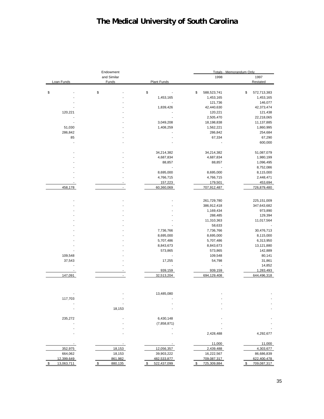| Endowment                    |                                | Totals - Memorandum Only |  |  |  |
|------------------------------|--------------------------------|--------------------------|--|--|--|
| and Similar                  | 1998                           | 1997                     |  |  |  |
| Funds<br><b>Plant Funds</b>  |                                | Restated                 |  |  |  |
|                              |                                |                          |  |  |  |
| \$                           | \$<br>588,523,741              | \$<br>572,713,383        |  |  |  |
| 1,453,165                    | 1,453,165                      | 1,453,165                |  |  |  |
|                              | 121,736<br>$\overline{a}$      | 146,077                  |  |  |  |
| 1,839,426                    | 42,440,630                     | 42,373,474               |  |  |  |
|                              | 120,221                        | 121,438                  |  |  |  |
|                              | 2,505,470                      | 22,218,065               |  |  |  |
| 3,049,208                    | 18,198,838                     | 11,137,885               |  |  |  |
| 1,408,259                    | 1,562,221                      | 1,860,995                |  |  |  |
|                              | 286,842                        | 254,684                  |  |  |  |
|                              | 67,334                         | 67,290                   |  |  |  |
|                              |                                | 600,000                  |  |  |  |
| 34,214,382                   | 34,214,382                     | 51,087,079               |  |  |  |
| 4,687,834                    | 4,687,834                      | 1,980,199                |  |  |  |
| 88,857                       | 88,857                         | 1,096,495                |  |  |  |
|                              |                                | 8,752,086                |  |  |  |
| 8,695,000                    | 8,695,000                      | 8,115,000                |  |  |  |
| 4,766,715                    | 4,766,715                      | 2,448,471                |  |  |  |
| 157,223                      | 179,501                        | 453,694                  |  |  |  |
| $\blacksquare$<br>60,360,069 | 707,912,487                    | 726,879,480              |  |  |  |
|                              |                                |                          |  |  |  |
|                              | 261,729,780                    | 225, 151, 009            |  |  |  |
|                              | 386,912,418                    | 347,643,682              |  |  |  |
|                              | 1,169,434                      | 973,890                  |  |  |  |
|                              | 288,485                        | 129,394                  |  |  |  |
|                              | 11,310,363                     | 11,017,564               |  |  |  |
|                              | 58,633                         |                          |  |  |  |
| 7,736,766                    | 7,736,766                      | 30,476,713               |  |  |  |
| 8,695,000                    | 8,695,000                      | 8,115,000                |  |  |  |
| 5,707,486                    | 5,707,486                      | 6,313,950                |  |  |  |
| 8,843,673                    | 8,843,673                      | 13,121,880               |  |  |  |
| 573,865                      | 573,865                        | 142,889                  |  |  |  |
|                              | 109,548                        | 80,141                   |  |  |  |
| 17,255                       | 54,798                         | 31,861                   |  |  |  |
|                              | $\overline{\phantom{a}}$<br>Ĭ. | 14,852                   |  |  |  |
| 939,159                      | 939,159                        | 1,283,493                |  |  |  |
| 32,513,204                   | 694,129,408                    | 644,496,318              |  |  |  |
|                              |                                |                          |  |  |  |
| 13,485,080                   |                                |                          |  |  |  |
|                              |                                |                          |  |  |  |
|                              |                                |                          |  |  |  |
| 18,153                       |                                |                          |  |  |  |
| 6,430,148                    |                                |                          |  |  |  |
| (7,858,871)                  |                                |                          |  |  |  |
|                              |                                |                          |  |  |  |
|                              | 2,428,488                      | 4,292,677                |  |  |  |
|                              | 11,000                         | 11,000                   |  |  |  |
| 18,153<br>12,056,357         | 2,439,488                      | 4,303,677                |  |  |  |
| 18,153<br>39,903,222         | 16,222,567                     | 86,686,839               |  |  |  |
| 861,982<br>482,533,877       | 709,087,317                    | 622,400,478              |  |  |  |
| 880,135<br>522,437,099<br>\$ | 725,309,884<br>\$              | 709,087,317<br>\$        |  |  |  |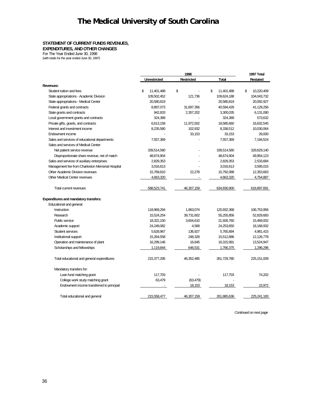#### **STATEMENT OF CURRENT FUNDS REVENUES,**

**EXPENDITURES, AND OTHER CHANGES**

For The Year Ended June 30, 1998

(with totals for the year ended June 30, 1997)

|                                                  | 1998                |                   |                  | 1997 Total       |
|--------------------------------------------------|---------------------|-------------------|------------------|------------------|
|                                                  | <b>Unrestricted</b> | <b>Restricted</b> | Total            | <b>Restated</b>  |
| Revenues:                                        |                     |                   |                  |                  |
| Student tuition and fees                         | \$<br>11,401,488    | \$                | \$<br>11,401,488 | \$<br>10,220,409 |
| State appropriations - Academic Division         | 109,502,452         | 121,736           | 109,624,188      | 104.043.732      |
| State appropriations - Medical Center            | 20,580,819          |                   | 20,580,819       | 20,092,927       |
| Federal grants and contracts                     | 8,897,073           | 31,697,356        | 40,594,429       | 41,129,256       |
| State grants and contracts                       | 942,833             | 2,357,202         | 3,300,035        | 6,131,090        |
| Local government grants and contracts            | 324,389             |                   | 324,389          | 573,632          |
| Private gifts, grants, and contracts             | 6,613,158           | 11,972,502        | 18,585,660       | 16,632,545       |
| Interest and investment income                   | 8,235,580           | 102,932           | 8,338,512        | 10,030,064       |
| Endowment income                                 |                     | 33,153            | 33,153           | 29.000           |
| Sales and services of educational departments    | 7,557,369           |                   | 7,557,369        | 7,194,524        |
| Sales and services of Medical Center:            |                     |                   |                  |                  |
| Net patient service revenue                      | 339,514,580         |                   | 339,514,580      | 329,629,140      |
| Disproportionate share revenue, net of match     | 48,674,904          |                   | 48,674,904       | 49,954,123       |
| Sales and services of auxiliary enterprises      | 2,829,353           |                   | 2,829,353        | 2,533,684        |
| Management fee from Charleston Memorial Hospital | 3,016,613           |                   | 3,016,613        | 3,595,015        |
| Other Academic Division revenues                 | 15,769,810          | 22,278            | 15,792,088       | 12,353,663       |
| <b>Other Medical Center revenues</b>             | 4,663,320           |                   | 4,663,320        | 4.754.887        |
| <b>Total current revenues</b>                    | 588,523,741         | 46,307,159        | 634,830,900      | 618,897,691      |
| <b>Expenditures and mandatory transfers:</b>     |                     |                   |                  |                  |
| Educational and general:                         |                     |                   |                  |                  |
| Instruction                                      | 118,969,294         | 1,963,074         | 120,932,368      | 106,753,956      |
| Research                                         | 15,524,254          | 39,731,602        | 55,255,856       | 52,829,683       |
| Public service                                   | 18,322,150          | 3,604,610         | 21,926,760       | 15,469,002       |
| Academic support                                 | 24,249,082          | 4,568             | 24,253,650       | 18,168,932       |
| Student services                                 | 5,628,967           | 136,927           | 5,765,894        | 4,981,415        |
| Institutional support                            | 15,264,558          | 248,328           | 15,512,886       | 12,126,778       |
| Operation and maintenance of plant               | 16,299,146          | 16,845            | 16,315,991       | 13,524,947       |
| Scholarships and fellowships                     | 1,119,844           | 646,531           | 1,766,375        | 1,296,296        |
| Total educational and general expenditures       | 215, 377, 295       | 46,352,485        | 261,729,780      | 225, 151, 009    |
| Mandatory transfers for:                         |                     |                   |                  |                  |
| Loan fund matching grant                         | 117,703             |                   | 117,703          | 74.202           |
| College work study matching grant                | 63,479              | (63, 479)         |                  |                  |
| Endowment income transferred to principal        |                     | 18,153            | 18,153           | 15,972           |
| Total educational and general                    | 215,558,477         | 46,307,159        | 261,865,636      | 225,241,183      |

*Continued on next page*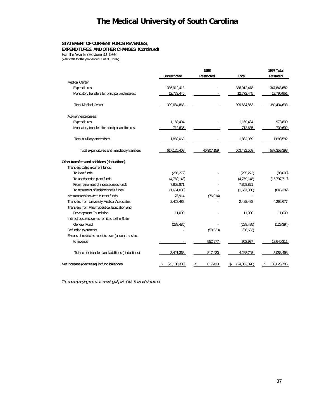### **STATEMENT OF CURRENT FUNDS REVENUES,**

**EXPENDITURES, AND OTHER CHANGES (Continued)**

For The Year Ended June 30, 1998 (with totals for the year ended June 30, 1997)

|                                                      | 1998                   |                   |                    | 1997 Total       |
|------------------------------------------------------|------------------------|-------------------|--------------------|------------------|
|                                                      | <b>Unrestricted</b>    | <b>Restricted</b> | <b>Total</b>       | Restated         |
| Medical Center:                                      |                        |                   |                    |                  |
| Expenditures                                         | 386,912,418            |                   | 386,912,418        | 347,643,682      |
| Mandatory transfers for principal and interest       | 12,772,445             |                   | 12,772,445         | 12,790,951       |
| <b>Total Medical Center</b>                          | 399,684,863            |                   | 399.684.863        | 360,434,633      |
| Auxiliary enterprises:                               |                        |                   |                    |                  |
| Expenditures                                         | 1,169,434              |                   | 1,169,434          | 973,890          |
| Mandatory transfers for principal and interest       | 712,635                |                   | 712,635            | 709,692          |
| Total auxiliary enterprises                          | 1.882.069              |                   | 1.882.069          | 1.683.582        |
| Total expenditures and mandatory transfers           | 617,125,409            | 46.307.159        | 663.432.568        | 587,359,398      |
| Other transfers and additions (deductions):          |                        |                   |                    |                  |
| Transfers to/from current funds:                     |                        |                   |                    |                  |
| To loan funds                                        | (235, 272)             |                   | (235, 272)         | (83,000)         |
| To unexpended plant funds                            | (4,769,148)            |                   | (4,769,148)        | (15,797,719)     |
| From retirement of indebtedness funds                | 7,858,871              |                   | 7,858,871          |                  |
| To retirement of indebtedness funds                  | (1,661,000)            |                   | (1,661,000)        | (845, 382)       |
| Net transfers between current funds                  | 76,914                 | (76, 914)         |                    |                  |
| <b>Transfers from University Medical Associates</b>  | 2,428,488              |                   | 2,428,488          | 4,292,677        |
| Transfers from Pharmaceutical Education and          |                        |                   |                    |                  |
| Development Foundation                               | 11,000                 |                   | 11,000             | 11,000           |
| Indirect cost recoveries remitted to the State       |                        |                   |                    |                  |
| <b>General Fund</b>                                  | (288, 485)             |                   | (288, 485)         | (129, 394)       |
| Refunded to grantors                                 |                        | (58, 633)         | (58, 633)          |                  |
| Excess of restricted receipts over (under) transfers |                        |                   |                    |                  |
| to revenue                                           |                        | 952.977           | 952.977            | 17,640,311       |
| Total other transfers and additions (deductions)     | 3,421,368              | 817,430           | 4,238,798          | 5,088,493        |
| Net increase (decrease) in fund balances             | (25, 180, 300)<br>- 95 | 817,430<br>\$     | (24,362,870)<br>S. | 36,626,786<br>\$ |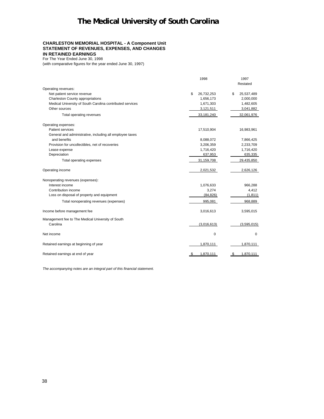#### **CHARLESTON MEMORIAL HOSPITAL - A Component Unit STATEMENT OF REVENUES, EXPENSES, AND CHANGES IN RETAINED EARNINGS**

For The Year Ended June 30, 1998

(with comparative figures for the year ended June 30, 1997)

|                                                           | 1998             | 1997             |
|-----------------------------------------------------------|------------------|------------------|
| Operating revenues:                                       |                  | Restated         |
| Net patient service revenue                               | \$<br>26,732,253 | \$<br>25,537,489 |
| Charleston County appropriations                          | 1,656,173        | 2,000,000        |
| Medical University of South Carolina contributed services | 1,671,303        | 1,482,605        |
| Other sources                                             | 3,121,511        | 3,041,882        |
| Total operating revenues                                  | 33,181,240       | 32,061,976       |
| Operating expenses:                                       |                  |                  |
| Patient services                                          | 17,510,904       | 16,983,961       |
| General and administrative, including all employee taxes  |                  |                  |
| and benefits                                              | 8,088,072        | 7,866,425        |
| Provision for uncollectibles, net of recoveries           | 3,206,359        | 2,233,709        |
| Lease expense                                             | 1,716,420        | 1,716,420        |
| Depreciation                                              | 637,953          | 635,335          |
| Total operating expenses                                  | 31,159,708       | 29,435,850       |
| Operating income                                          | 2,021,532        | 2,626,126        |
| Nonoperating revenues (expenses):                         |                  |                  |
| Interest income                                           | 1,076,633        | 966,288          |
| Contribution income                                       | 3,274            | 4,412            |
| Loss on disposal of property and equipment                | (84, 826)        | (1, 811)         |
| Total nonoperating revenues (expenses)                    | 995,081          | 968,889          |
| Income before management fee                              | 3,016,613        | 3,595,015        |
| Management fee to The Medical University of South         |                  |                  |
| Carolina                                                  | (3,016,613)      | (3,595,015)      |
| Net income                                                | 0                | $\mathbf 0$      |
| Retained earnings at beginning of year                    | 1,870,111        | 1,870,111        |
| Retained earnings at end of year                          | 1,870,111        | 1,870,111        |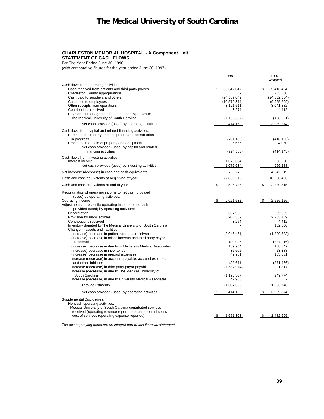### **CHARLESTON MEMORIAL HOSPITAL - A Component Unit STATEMENT OF CASH FLOWS**

For The Year Ended June 30, 1998

(with comparative figures for the year ended June 30, 1997)

|                                                                                                                                                                                                                                                                                                               | 1998                                                                       | 1997<br>Restated                                                                   |
|---------------------------------------------------------------------------------------------------------------------------------------------------------------------------------------------------------------------------------------------------------------------------------------------------------------|----------------------------------------------------------------------------|------------------------------------------------------------------------------------|
| Cash flows from operating activities:<br>Cash received from patients and third party payors<br>Charleston County appropriations<br>Cash paid to suppliers and others<br>Cash paid to employees<br>Other receipts from operations<br>Contributions received<br>Payment of management fee and other expenses to | \$<br>33,642,047<br>(24, 587, 042)<br>(10, 572, 314)<br>3,121,511<br>3,274 | \$<br>35.416.434<br>283.580<br>(24, 632, 504)<br>(9,965,609)<br>3,041,882<br>4,412 |
| The Medical University of South Carolina                                                                                                                                                                                                                                                                      | (1, 193, 307)                                                              | (158, 321)                                                                         |
| Net cash provided (used) by operating activities                                                                                                                                                                                                                                                              | 414.169                                                                    | 3.989.874                                                                          |
| Cash flows from capital and related financing activities:<br>Purchase of property and equipment and construction<br>in progress<br>Proceeds from sale of property and equipment<br>Net cash provided (used) by capital and related<br>financing activities                                                    | (731, 189)<br>6.656<br>(724, 533)                                          | (418, 193)<br>4.050<br>(414, 143)                                                  |
| Cash flows from investing activities:<br>Interest income<br>Net cash provided (used) by investing activities                                                                                                                                                                                                  | 1,076,634<br>1,076,634                                                     | 966.288<br>966,288                                                                 |
|                                                                                                                                                                                                                                                                                                               |                                                                            | 4,542,019                                                                          |
| Net increase (decrease) in cash and cash equivalents<br>Cash and cash equivalents at beginning of year                                                                                                                                                                                                        | 766,270<br>22,830,515                                                      | 18,288,496                                                                         |
| Cash and cash equivalents at end of year                                                                                                                                                                                                                                                                      | 23,596,785<br>- \$                                                         | 22,830,515                                                                         |
| Reconciliation of operating income to net cash provided<br>(used) by operating activities:<br>Operating income<br>Adjustments to reconcile operating income to net cash                                                                                                                                       | 2.021.532<br>\$                                                            | 2.626.126<br>-\$                                                                   |
| provided (used) by operating activities:<br>Depreciation<br>Provision for uncollectibles<br>Contributions received<br>Inventory donated to The Medical University of South Carolina<br>Change in assets and liabilities:                                                                                      | 637,953<br>3.206.359<br>3,274                                              | 635,335<br>2.233.709<br>4.412<br>162,000                                           |
| (Increase) decrease in patient accounts receivable<br>(Increase) decrease in miscellaneous and third party payor                                                                                                                                                                                              | (3,046,461)                                                                | (1,800,533)                                                                        |
| receivables<br>(Increase) decrease in due from University Medical Associates<br>(Increase) decrease in inventories<br>(Increase) decrease in prepaid expenses<br>Increase (decrease) in accounts payable, accrued expenses                                                                                    | 130,936<br>139,954<br>36,605<br>49,981                                     | (887, 216)<br>108,647<br>23,388<br>103,881                                         |
| and other liabilities<br>Increase (decrease) in third party payor payables<br>Increase (decrease) in due to The Medical University of                                                                                                                                                                         | (38,611)<br>(1,582,014)                                                    | (371, 466)<br>901,817                                                              |
| South Carolina<br>Increase (decrease) in due to University Medical Associates                                                                                                                                                                                                                                 | (1, 193, 307)<br>47,968                                                    | 249,774                                                                            |
| Total adjustments                                                                                                                                                                                                                                                                                             | (1,607,363)                                                                | 1,363,748                                                                          |
| Net cash provided (used) by operating activities                                                                                                                                                                                                                                                              | \$<br>414,169                                                              | 3,989,874<br>-\$                                                                   |
| <b>Supplemental Disclosures:</b><br>Noncash operating activities:<br>Medical University of South Carolina contributed services<br>received (operating revenue reported) equal to contributor's<br>cost of services (operating expense reported).                                                              | 1,671,303                                                                  | 1,482,605                                                                          |
|                                                                                                                                                                                                                                                                                                               |                                                                            |                                                                                    |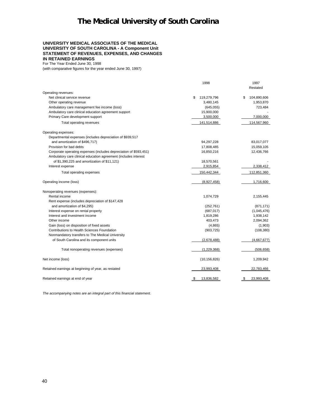#### **UNIVERSITY MEDICAL ASSOCIATES OF THE MEDICAL UNIVERSITY OF SOUTH CAROLINA - A Component Unit STATEMENT OF REVENUES, EXPENSES, AND CHANGES IN RETAINED EARNINGS**

For The Year Ended June 30, 1998 (with comparative figures for the year ended June 30, 1997)

|                                                                   | 1998              | 1997<br>Restated  |
|-------------------------------------------------------------------|-------------------|-------------------|
| Operating revenues:                                               |                   |                   |
| Net clinical service revenue                                      | \$<br>119,279,796 | \$<br>104,890,606 |
| Other operating revenue                                           | 3,480,145         | 1,953,870         |
| Ambulatory care management fee income (loss)                      | (645, 055)        | 723,484           |
| Ambulatory care clinical education agreement support              | 15,900,000        |                   |
| Primary Care development support                                  | 3,500,000         | 7,000,000         |
| Total operating revenues                                          | 141,514,886       | 114,567,960       |
| Operating expenses:                                               |                   |                   |
| Departmental expenses (includes depreciation of \$939,517         |                   |                   |
| and amortization of \$496,717)                                    | 94,297,228        | 83,017,077        |
| Provision for bad debts                                           | 17,808,485        | 15,059,105        |
| Corporate operating expenses (includes depreciation of \$593,451) | 16,850,216        | 12,436,766        |
| Ambulatory care clinical education agreement (includes interest   |                   |                   |
| of \$1,390,225 and amortization of \$11,121)                      | 18,570,561        |                   |
| Interest expense                                                  | 2,915,854         | 2,338,412         |
| Total operating expenses                                          | 150,442,344       | 112,851,360       |
| Operating income (loss)                                           | (8,927,458)       | 1,716,600         |
| Nonoperating revenues (expenses):                                 |                   |                   |
| Rental income                                                     | 1,074,729         | 2,155,445         |
| Rent expense (includes depreciation of \$147,428                  |                   |                   |
| and amortization of \$4,295)                                      | (252, 761)        | (871, 171)        |
| Interest expense on rental property                               | (687, 017)        | (1,045,476)       |
| Interest and investment income                                    | 1,819,286         | 1,938,142         |
| Other income                                                      | 403,473           | 2,094,362         |
| Gain (loss) on disposition of fixed assets                        | (4,865)           | (1,903)           |
| Contributions to Health Sciences Foundation                       | (903, 725)        | (108, 380)        |
| Nonmandatory transfers to The Medical University                  |                   |                   |
| of South Carolina and its component units                         | (2,678,488)       | (4,667,677)       |
| Total nonoperating revenues (expenses)                            | (1,229,368)       | (506, 658)        |
| Net income (loss)                                                 | (10, 156, 826)    | 1,209,942         |
| Retained earnings at beginning of year, as restated               | 23,993,408        | 22,783,466        |
| Retained earnings at end of year                                  | 13,836,582<br>\$  | 23,993,408<br>\$  |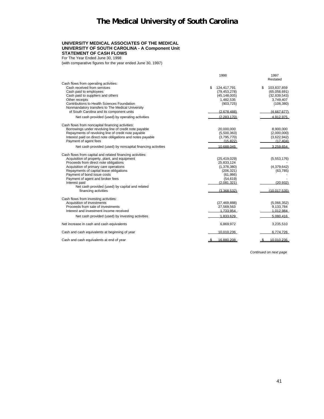#### **UNIVERSITY MEDICAL ASSOCIATES OF THE MEDICAL UNIVERSITY OF SOUTH CAROLINA - A Component Unit STATEMENT OF CASH FLOWS**

For The Year Ended June 30, 1998

(with comparative figures for the year ended June 30, 1997)

|                                                                      | 1998                                | 1997<br>Restated                  |
|----------------------------------------------------------------------|-------------------------------------|-----------------------------------|
| Cash flows from operating activities:<br>Cash received from services |                                     |                                   |
| Cash paid to employees                                               | \$<br>124,417,791<br>(79, 453, 278) | \$<br>103,837,859<br>(65,058,691) |
| Cash paid to suppliers and others                                    | (45, 148, 005)                      | (32, 839, 543)                    |
| Other receipts                                                       | 1,482,535                           | 3,749,407                         |
| Contributions to Health Sciences Foundation                          | (903, 725)                          | (108, 380)                        |
| Nonmandatory transfers to The Medical University                     |                                     |                                   |
| of South Carolina and its component units                            | (2.678.488)                         | (4.667.677)                       |
| Net cash provided (used) by operating activities                     | (2.283.170)                         | 4.912.975                         |
| Cash flows from noncapital financing activities:                     |                                     |                                   |
| Borrowings under revolving line of credit note payable               | 20,000,000                          | 8,900,000                         |
| Repayments of revolving line of credit note payable                  | (5,500,363)                         | (2,000,000)                       |
| Interest paid on direct note obligations and notes payable           | (3,795,770)                         | (3,622,942)                       |
| Payment of agent fees                                                | (15.822)                            | (17.404)                          |
| Net cash provided (used) by noncapital financing activities          | 10.688.045                          | 3.259.654                         |
| Cash flows from capital and related financing activities:            |                                     |                                   |
| Acquisition of property, plant, and equipment                        | (25, 419, 029)                      | (5,553,176)                       |
| Proceeds from direct note obligations                                | 25,833,124                          |                                   |
| Acquisition of primary care operations                               | (1,378,380)                         | (4,379,642)                       |
| Repayments of capital lease obligations                              | (206, 321)                          | (63, 785)                         |
| Payment of bond issue costs<br>Payment of agent and broker fees      | (61, 986)<br>(54, 619)              |                                   |
| Interest paid                                                        | (2.081.321)                         | (20.932)                          |
| Net cash provided (used) by capital and related                      |                                     |                                   |
| financing activities                                                 | (3.368.532)                         | (10.017.535)                      |
| Cash flows from investing activities:                                |                                     |                                   |
| Acquisition of investments                                           | (27, 469, 888)                      | (5,066,352)                       |
| Proceeds from sale of investments                                    | 27,569,563                          | 9,133,784                         |
| Interest and investment income received                              | 1.733.954                           | 1.012.984                         |
| Net cash provided (used) by investing activities                     | 1.833.629                           | 5.080.416                         |
| Net increase in cash and cash equivalents                            | 6,869,972                           | 3,235,510                         |
| Cash and cash equivalents at beginning of year                       | 10.010.236                          | 6.774.726                         |
| Cash and cash equivalents at end of year                             | 16.880.208                          | 10.010.236                        |

*Continued on next page*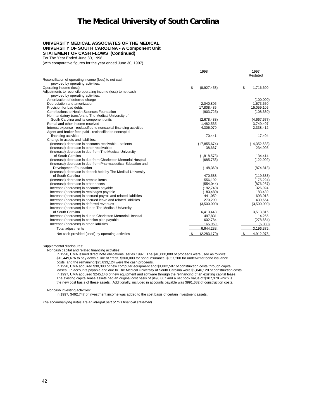#### **UNIVERSITY MEDICAL ASSOCIATES OF THE MEDICAL UNIVERSITY OF SOUTH CAROLINA - A Component Unit STATEMENT OF CASH FLOWS (Continued)**

For The Year Ended June 30, 1998

(with comparative figures for the year ended June 30, 1997)

|                                                                    | 1998                | 1997<br>Restated |
|--------------------------------------------------------------------|---------------------|------------------|
| Reconciliation of operating income (loss) to net cash              |                     |                  |
| provided by operating activities:                                  |                     |                  |
| Operating income (loss)                                            | (8.927.458)<br>- \$ | 1.716.600        |
| Adjustments to reconcile operating income (loss) to net cash       |                     |                  |
| provided by operating activities:                                  |                     |                  |
| Amortization of deferred charge                                    |                     | (100,000)        |
| Depreciation and amortization                                      | 2,040,806           | 1,673,650        |
| Provision for bad debts                                            | 17,808,485          | 15,059,105       |
| Contributions to Health Sciences Foundation                        | (903, 725)          | (108, 380)       |
| Nonmandatory transfers to The Medical University of                |                     |                  |
| South Carolina and its component units                             | (2,678,488)         | (4,667,677)      |
| Rental and other income received                                   | 1,482,535           | 3,749,407        |
| Interest expense - reclassified to noncapital financing activities | 4,306,079           | 2,338,412        |
| Agent and broker fees paid - reclassified to noncapital            |                     |                  |
| financing activities                                               | 70,441              | 17,404           |
| Change in assets and liabilities:                                  |                     |                  |
| (Increase) decrease in accounts receivable - patients              | (17, 855, 674)      | (14, 352, 683)   |
| (Increase) decrease in other receivables                           | 38,667              | 234,905          |
| (Increase) decrease in due from The Medical University             |                     |                  |
| of South Carolina                                                  | (1,818,573)         | 134,414          |
| (Increase) decrease in due from Charleston Memorial Hospital       | (685, 753)          | (122, 902)       |
| (Increase) decrease in due from Pharmaceutical Education and       |                     |                  |
| Development Foundation                                             | (148, 369)          | (874, 813)       |
| (Increase) decrease in deposit held by The Medical University      |                     |                  |
| of South Carolina                                                  | 470,588             | (119, 383)       |
| (Increase) decrease in prepaid items                               | 556,192             | (175, 224)       |
| (Increase) decrease in other assets                                | (554, 044)          | (876, 267)       |
| Increase (decrease) in accounts payable                            | (192, 749)          | 326,924          |
| Increase (decrease) in retainages payable                          | (183, 489)          | 183,489          |
| Increase (decrease) in accrued payroll and related liabilities     | 441,052             | 693,013          |
| Increase (decrease) in accrued leave and related liabilities       | 270.290             | 439,654          |
| Increase (decrease) in deferred revenues                           | (3,500,000)         | (3,500,000)      |
| Increase (decrease) in due to The Medical University               |                     |                  |
| of South Carolina                                                  | 6,413,443           | 3,513,816        |
| Increase (decrease) in due to Charleston Memorial Hospital         | 497,831             | 14,255           |
| Increase (decrease) in pension plan payable                        | 602,784             | (278, 664)       |
| Increase (decrease) in other liabilities                           | 165.959             | (6.080)          |
| <b>Total adjustments</b>                                           | 6.644.288           | 3.196.375        |
| Net cash provided (used) by operating activities                   | (2.283.170)         | 4.912,975        |
|                                                                    |                     |                  |

Supplemental disclosures: Noncash capital and related financing activities: In 1998, UMA issued direct note obligations, series 1997. The \$40,000,000 of proceeds were used as follows: \$13,449,676 to pay down a line of credit, \$360,000 for bond insurance, \$357,200 for underwriter bond issuance

costs, and the remaining \$25,833,124 were the cash proceeds.

In 1998, UMA acquired \$30,383 of new computer equipment and \$1,882,587 of construction costs through capital leases. In accounts payable and due to The Medical University of South Carolina were \$2,846,120 of construction costs.<br>In 1997, UMA acquired \$245,146 of new equipment and software through the refinancing of an existing ca the new cost basis of these assets. Additionally, included in accounts payable was \$991,682 of construction costs.

Noncash investing activities:

In 1997, \$462,747 of investment income was added to the cost basis of certain investment assets.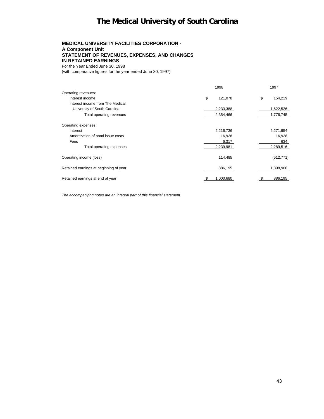### **MEDICAL UNIVERSITY FACILITIES CORPORATION - A Component Unit STATEMENT OF REVENUES, EXPENSES, AND CHANGES IN RETAINED EARNINGS**

For the Year Ended June 30, 1998

(with comparative figures for the year ended June 30, 1997)

|                                        | 1998          |    | 1997       |
|----------------------------------------|---------------|----|------------|
| Operating revenues:                    |               |    |            |
| Interest income                        | \$<br>121,078 | \$ | 154,219    |
| Interest income from The Medical       |               |    |            |
| University of South Carolina           | 2,233,388     |    | 1,622,526  |
| Total operating revenues               | 2,354,466     |    | 1,776,745  |
| Operating expenses:                    |               |    |            |
| Interest                               | 2,216,736     |    | 2,271,954  |
| Amortization of bond issue costs       | 16,928        |    | 16,928     |
| Fees                                   | 6,317         |    | 634        |
| Total operating expenses               | 2,239,981     |    | 2,289,516  |
| Operating income (loss)                | 114,485       |    | (512, 771) |
| Retained earnings at beginning of year | 886,195       |    | 1,398,966  |
| Retained earnings at end of year       | 1.000.680     |    | 886,195    |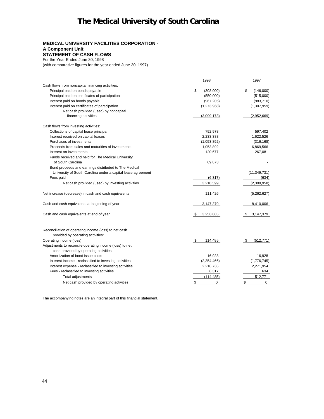### **MEDICAL UNIVERSITY FACILITIES CORPORATION -**

### **A Component Unit**

#### **STATEMENT OF CASH FLOWS** For the Year Ended June 30, 1998

(with comparative figures for the year ended June 30, 1997)

|                                                                                            | 1998            | 1997               |
|--------------------------------------------------------------------------------------------|-----------------|--------------------|
| Cash flows from noncapital financing activities:                                           |                 |                    |
| Principal paid on bonds payable                                                            | \$<br>(308,000) | \$<br>(146,000)    |
| Principal paid on certificates of participation                                            | (550,000)       | (515,000)          |
| Interest paid on bonds payable                                                             | (967, 205)      | (983, 710)         |
| Interest paid on certificates of participation                                             | (1, 273, 968)   | (1,307,959)        |
| Net cash provided (used) by noncapital                                                     |                 |                    |
| financing activities                                                                       | (3,099,173)     | (2,952,669)        |
| Cash flows from investing activities:                                                      |                 |                    |
| Collections of capital lease principal                                                     | 792,978         | 597,402            |
| Interest received on capital leases                                                        | 2,233,388       | 1,622,526          |
| Purchases of investments                                                                   | (1,053,892)     | (316, 168)         |
| Proceeds from sales and maturities of investments                                          | 1,053,892       | 6,869,566          |
| Interest on investments                                                                    | 120,677         | 267,081            |
| Funds received and held for The Medical University                                         |                 |                    |
| of South Carolina                                                                          | 69,873          |                    |
| Bond proceeds and earnings distributed to The Medical                                      |                 |                    |
| University of South Carolina under a capital lease agreement                               |                 | (11, 349, 731)     |
| Fees paid                                                                                  | (6, 317)        | (634)              |
| Net cash provided (used) by investing activities                                           | 3,210,599       | (2,309,958)        |
| Net increase (decrease) in cash and cash equivalents                                       | 111,426         | (5,262,627)        |
| Cash and cash equivalents at beginning of year                                             | 3,147,379       | 8,410,006          |
| Cash and cash equivalents at end of year                                                   | 3,258,805       | 3,147,379          |
| Reconciliation of operating income (loss) to net cash<br>provided by operating activities: |                 |                    |
| Operating income (loss)                                                                    | - \$<br>114,485 | (512, 771)<br>- \$ |
| Adjustments to reconcile operating income (loss) to net                                    |                 |                    |
| cash provided by operating activities:                                                     |                 |                    |
| Amortization of bond issue costs                                                           | 16,928          | 16,928             |
| Interest income - reclassified to investing activities                                     | (2,354,466)     | (1,776,745)        |
| Interest expense - reclassified to investing activities                                    | 2,216,736       | 2,271,954          |
| Fees - reclassified to investing activities                                                | 6,317           | 634                |
| Total adjustments                                                                          | (114, 485)      | 512,771            |
| Net cash provided by operating activities                                                  | \$<br>0         | \$<br>0            |
|                                                                                            |                 |                    |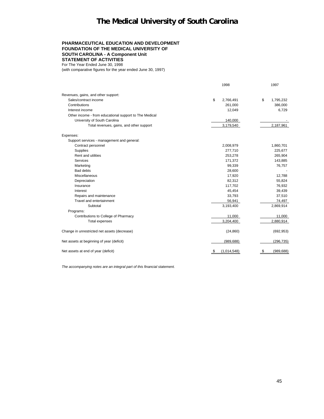#### **PHARMACEUTICAL EDUCATION AND DEVELOPMENT FOUNDATION OF THE MEDICAL UNIVERSITY OF SOUTH CAROLINA - A Component Unit STATEMENT OF ACTIVITIES** For The Year Ended June 30, 1998

(with comparative figures for the year ended June 30, 1997)

|                                                        | 1998               | 1997              |
|--------------------------------------------------------|--------------------|-------------------|
| Revenues, gains, and other support:                    |                    |                   |
| Sales/contract income                                  | \$<br>2,766,491    | \$<br>1,795,232   |
| Contributions                                          | 261,000            | 386,000           |
| Interest income                                        | 12,049             | 6,729             |
| Other income - from educational support to The Medical |                    |                   |
| University of South Carolina                           | 140,000            |                   |
| Total revenues, gains, and other support               | 3,179,540          | 2,187,961         |
| Expenses:                                              |                    |                   |
| Support services - management and general:             |                    |                   |
| Contract personnel                                     | 2,008,979          | 1,860,701         |
| Supplies                                               | 277,710            | 225,677           |
| Rent and utilities                                     | 253,278            | 265,904           |
| Services                                               | 171,372            | 143,885           |
| Marketing                                              | 99,339             | 76,757            |
| <b>Bad debts</b>                                       | 28,600             |                   |
| Miscellaneous                                          | 17,920             | 12,788            |
| Depreciation                                           | 82,312             | 55,824            |
| Insurance                                              | 117,702            | 76,932            |
| Interest                                               | 45,454             | 39,439            |
| Repairs and maintenance                                | 33,793             | 37,510            |
| Travel and entertainment                               | 56,941             | 74,497            |
| Subtotal                                               | 3,193,400          | 2,869,914         |
| Programs:                                              |                    |                   |
| Contributions to College of Pharmacy                   | 11,000             | 11,000            |
| Total expenses                                         | 3,204,400          | 2,880,914         |
| Change in unrestricted net assets (decrease)           | (24, 860)          | (692, 953)        |
| Net assets at beginning of year (deficit)              | (989, 688)         | (296, 735)        |
| Net assets at end of year (deficit)                    | (1,014,548)<br>- 5 | (989, 688)<br>-\$ |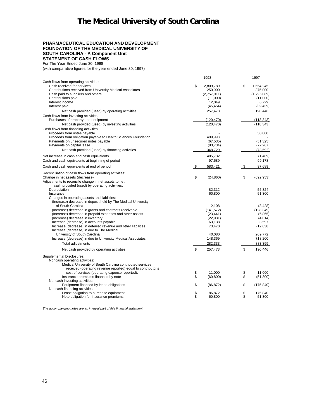#### **PHARMACEUTICAL EDUCATION AND DEVELOPMENT FOUNDATION OF THE MEDICAL UNIVERSITY OF SOUTH CAROLINA - A Component Unit STATEMENT OF CASH FLOWS**

For The Year Ended June 30, 1998 (with comparative figures for the year ended June 30, 1997)

|                                                                             |      | 1998        |      | 1997        |
|-----------------------------------------------------------------------------|------|-------------|------|-------------|
| Cash flows from operating activities:                                       |      |             |      |             |
| Cash received for services                                                  | \$   | 2,809,789   | \$   | 1,654,245   |
| Contributions received from University Medical Associates                   |      | 250,000     |      | 375,000     |
| Cash paid to suppliers and others                                           |      | (2,757,911) |      | (1,795,089) |
| Contributions paid                                                          |      | (11,000)    |      | (11,000)    |
| Interest income                                                             |      | 12,049      |      | 6,729       |
| Interest paid                                                               |      | (45, 454)   |      | (39, 439)   |
| Net cash provided (used) by operating activities                            |      | 257,473     |      | 190.446     |
| Cash flows from investing activities:                                       |      |             |      |             |
| Purchases of property and equipment                                         |      | (120, 470)  |      | (118, 343)  |
| Net cash provided (used) by investing activities                            |      | (120, 470)  |      | (118, 343)  |
| Cash flows from financing activities:                                       |      |             |      |             |
| Proceeds from notes payable                                                 |      |             |      | 50,000      |
| Proceeds from obligation payable to Health Sciences Foundation              |      | 499,998     |      |             |
| Payments on unsecured notes payable                                         |      | (67, 535)   |      | (51, 325)   |
| Payments on capital lease                                                   |      | (83, 734)   |      | (72, 267)   |
| Net cash provided (used) by financing activities                            |      | 348,729     |      | (73, 592)   |
| Net increase in cash and cash equivalents                                   |      | 485.732     |      | (1, 489)    |
| Cash and cash equivalents at beginning of period                            |      | 97,689      |      | 99,178      |
|                                                                             |      |             |      | 97.689      |
| Cash and cash equivalents at end of period                                  | S.   | 583,421     | \$   |             |
| Reconciliation of cash flows from operating activities:                     |      |             |      |             |
| Change in net assets (decrease)                                             | -\$  | (24, 860)   | - \$ | (692, 953)  |
| Adjustments to reconcile change in net assets to net                        |      |             |      |             |
| cash provided (used) by operating activities:                               |      |             |      |             |
| Depreciation                                                                |      | 82,312      |      | 55,824      |
| Insurance                                                                   |      | 60,800      |      | 51,300      |
| Changes in operating assets and liabilities:                                |      |             |      |             |
| (Increase) decrease in deposit held by The Medical University               |      |             |      |             |
| of South Carolina                                                           |      | 2.108       |      | (3, 428)    |
| (Increase) decrease in grants and contracts receivable                      |      | (141, 572)  |      | (128, 349)  |
| (Increase) decrease in prepaid expenses and other assets                    |      | (23, 441)   |      | (6, 865)    |
| (Increase) decrease in inventory<br>Increase (decrease) in accounts payable |      | (22, 931)   |      | (4,014)     |
| Increase (decrease) in deferred revenue and other liabilities               |      | 63,138      |      | 3,597       |
| Increase (decrease) in due to The Medical                                   |      | 73,470      |      | (12, 638)   |
| University of South Carolina                                                |      | 40,080      |      | 209,772     |
| Increase (decrease) in due to University Medical Associates                 |      | 148,369     |      | 718,200     |
|                                                                             |      |             |      |             |
| Total adjustments                                                           |      | 282,333     |      | 883,399     |
| Net cash provided by operating activities                                   | - \$ | 257,473     | -\$  | 190,446     |
| <b>Supplemental Disclosures:</b>                                            |      |             |      |             |
| Noncash operating activities:                                               |      |             |      |             |
| Medical University of South Carolina contributed services                   |      |             |      |             |
| received (operating revenue reported) equal to contributor's                |      |             |      |             |
| cost of services (operating expense reported).                              | \$   | 11.000      | \$   | 11.000      |
| Insurance premiums financed by note                                         | \$   | (60, 800)   | \$   | (51,300)    |
| Noncash investing activities:                                               |      |             |      |             |
| Equipment financed by lease obligations                                     | \$   | (86, 872)   | \$   | (175, 840)  |
| Noncash financing activities:                                               |      |             |      |             |
| Lease obligation to purchase equipment                                      | \$   | 86,872      | \$   | 175,840     |
| Note obligation for insurance premiums                                      | \$   | 60,800      | \$   | 51,300      |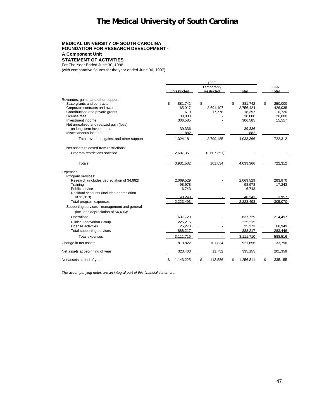#### **MEDICAL UNIVERSITY OF SOUTH CAROLINA FOUNDATION FOR RESEARCH DEVELOPMENT - A Component Unit STATEMENT OF ACTIVITIES**

For The Year Ended June 30, 1998

(with comparative figures for the year ended June 30, 1997)

|                                              |                 | 1998          |                |               |  |
|----------------------------------------------|-----------------|---------------|----------------|---------------|--|
|                                              | Temporarily     |               |                | 1997          |  |
|                                              | Unrestricted    | Restricted    | Total          | Total         |  |
| Revenues, gains, and other support:          |                 |               |                |               |  |
| State grants and contracts                   | \$<br>881,742   | \$            | \$<br>881,742  | \$<br>250,000 |  |
| Corporate contracts and awards               | 65,017          | 2,691,407     | 2,756,424      | 426,035       |  |
| Contributions and private grants             | 619             | 17,778        | 18,397         | 10,720        |  |
| License fees                                 | 30.000          |               | 30,000         | 20,000        |  |
| Investment income                            | 306,585         |               | 306,585        | 15,557        |  |
| Net unrealized and realized gain (loss)      |                 |               |                |               |  |
| on long-term investments                     | 39,336          |               | 39,336         |               |  |
| Miscellaneous income                         | 882             |               | 882            |               |  |
| Total revenues, gains, and other support     | 1,324,181       | 2,709,185     | 4,033,366      | 722.312       |  |
| Net assets released from restrictions:       |                 |               |                |               |  |
| Program restrictions satisfied               | 2,607,351       | (2,607,351)   |                |               |  |
| Totals                                       | 3,931,532       | 101.834       | 4,033,366      | 722.312       |  |
| Expenses:                                    |                 |               |                |               |  |
| Program services:                            |                 |               |                |               |  |
| Research (includes depreciation of \$4,982)  | 2,069,529       |               | 2,069,529      | 283,870       |  |
| Training                                     | 98,978          |               | 98,978         | 17,243        |  |
| Public service                               | 6,743           |               | 6.743          |               |  |
| Residual accounts (includes depreciation     | 48.243          |               | 48.243         | 3.957         |  |
| of \$1,313)                                  | 2,223,493       |               | 2,223,493      | 305,070       |  |
| Total program expenses                       |                 |               |                |               |  |
| Supporting services - management and general |                 |               |                |               |  |
| (includes depreciation of \$4,406):          |                 |               |                |               |  |
| Operations                                   | 637,729         |               | 637,729        | 214,497       |  |
| <b>Clinical Innovation Group</b>             | 225,215         |               | 225,215        |               |  |
| License activities                           | 25.273          |               | 25.273         | 68.949        |  |
| Total supporting services                    | 888,217         |               | 888,217        | 283,446       |  |
| <b>Total expenses</b>                        | 3,111,710       |               | 3,111,710      | 588,516       |  |
| Change in net assets                         | 819,822         | 101,834       | 921,656        | 133,796       |  |
| Net assets at beginning of year              | 323.403         | 11.752        | 335.155        | 201.359       |  |
| Net assets at end of year                    | 1.143.225<br>S. | 113.586<br>S. | 1.256.811<br>S | 335.155<br>-S |  |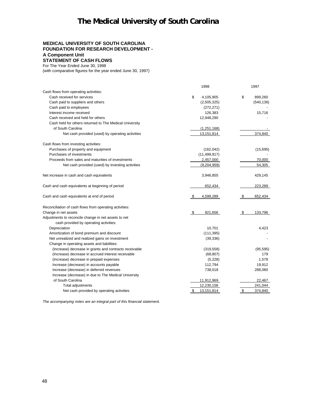### **MEDICAL UNIVERSITY OF SOUTH CAROLINA FOUNDATION FOR RESEARCH DEVELOPMENT - A Component Unit STATEMENT OF CASH FLOWS**

For The Year Ended June 30, 1998

(with comparative figures for the year ended June 30, 1997)

|                                                         | 1998             | 1997            |
|---------------------------------------------------------|------------------|-----------------|
| Cash flows from operating activities:                   |                  |                 |
| Cash received for services                              | \$<br>4,105,905  | \$<br>899,260   |
| Cash paid to suppliers and others                       | (2,505,325)      | (540, 136)      |
| Cash paid to employees                                  | (272, 271)       |                 |
| Interest income received                                | 126,383          | 15,716          |
| Cash received and held for others                       | 12,948,290       |                 |
| Cash held for others returned to The Medical University |                  |                 |
| of South Carolina                                       | (1, 251, 168)    |                 |
| Net cash provided (used) by operating activities        | 13,151,814       | 374,840         |
| Cash flows from investing activities:                   |                  |                 |
| Purchases of property and equipment                     | (162, 042)       | (15,695)        |
| Purchases of investments                                | (11, 499, 917)   |                 |
| Proceeds from sales and maturities of investments       | 2,457,000        | 70,000          |
| Net cash provided (used) by investing activities        | (9,204,959)      | 54,305          |
| Net increase in cash and cash equivalents               | 3,946,855        | 429,145         |
| Cash and cash equivalents at beginning of period        | 652,434          | 223,289         |
| Cash and cash equivalents at end of period              | 4,599,289        | 652,434<br>\$   |
| Reconciliation of cash flows from operating activities: |                  |                 |
| Change in net assets                                    | 921,656<br>S.    | 133.796<br>- \$ |
| Adjustments to reconcile change in net assets to net    |                  |                 |
| cash provided by operating activities:                  |                  |                 |
| Depreciation                                            | 10,701           | 4,423           |
| Amortization of bond premium and discount               | (111, 395)       |                 |
| Net unrealized and realized gains on investment         | (39, 336)        |                 |
| Change in operating assets and liabilities:             |                  |                 |
| (Increase) decrease in grants and contracts receivable  | (319, 558)       | (95, 595)       |
| (Increase) decrease in accrued interest receivable      | (68, 807)        | 179             |
| (Increase) decrease in prepaid expenses                 | (5,228)          | 1,578           |
| Increase (decrease) in accounts payable                 | 112,794          | 19,912          |
| Increase (decrease) in deferred revenues                | 738,018          | 288,080         |
| Increase (decrease) in due to The Medical University    |                  |                 |
| of South Carolina                                       | 11,912,969       | 22,467          |
| <b>Total adjustments</b>                                | 12,230,158       | 241,044         |
| Net cash provided by operating activities               | \$<br>13,151,814 | \$<br>374,840   |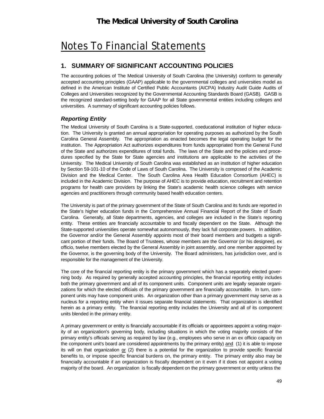# Notes To Financial Statements

## **1. SUMMARY OF SIGNIFICANT ACCOUNTING POLICIES**

The accounting policies of The Medical University of South Carolina (the University) conform to generally accepted accounting principles (GAAP) applicable to the governmental colleges and universities model as defined in the American Institute of Certified Public Accountants (AICPA) Industry Audit Guide Audits of Colleges and Universities recognized by the Governmental Accounting Standards Board (GASB). GASB is the recognized standard-setting body for GAAP for all State governmental entities including colleges and universities. A summary of significant accounting policies follows.

## *Reporting Entity*

The Medical University of South Carolina is a State-supported, coeducational institution of higher education. The University is granted an annual appropriation for operating purposes as authorized by the South Carolina General Assembly. The appropriation as enacted becomes the legal operating budget for the institution. The Appropriation Act authorizes expenditures from funds appropriated from the General Fund of the State and authorizes expenditures of total funds. The laws of the State and the policies and procedures specified by the State for State agencies and institutions are applicable to the activities of the University. The Medical University of South Carolina was established as an institution of higher education by Section 59-101-10 of the Code of Laws of South Carolina. The University is composed of the Academic Division and the Medical Center. The South Carolina Area Health Education Consortium (AHEC) is included in the Academic Division. The purpose of AHEC is to provide education, recruitment and retention programs for health care providers by linking the State's academic health science colleges with service agencies and practitioners through community based health education centers.

The University is part of the primary government of the State of South Carolina and its funds are reported in the State's higher education funds in the Comprehensive Annual Financial Report of the State of South Carolina. Generally, all State departments, agencies, and colleges are included in the State's reporting entity. These entities are financially accountable to and fiscally dependent on the State. Although the State-supported universities operate somewhat autonomously, they lack full corporate powers. In addition, the Governor and/or the General Assembly appoints most of their board members and budgets a significant portion of their funds. The Board of Trustees, whose members are the Governor (or his designee), ex officio, twelve members elected by the General Assembly in joint assembly, and one member appointed by the Governor, is the governing body of the University. The Board administers, has jurisdiction over, and is responsible for the management of the University.

The core of the financial reporting entity is the primary government which has a separately elected governing body. As required by generally accepted accounting principles, the financial reporting entity includes both the primary government and all of its component units. Component units are legally separate organizations for which the elected officials of the primary government are financially accountable. In turn, component units may have component units. An organization other than a primary government may serve as a nucleus for a reporting entity when it issues separate financial statements. That organization is identified herein as a primary entity. The financial reporting entity includes the University and all of its component units blended in the primary entity.

A primary government or entity is financially accountable if its officials or appointees appoint a voting majority of an organization's governing body, including situations in which the voting majority consists of the primary entity's officials serving as required by law (e.g., employees who serve in an ex officio capacity on the component unit's board are considered appointments by the primary entity) and (1) it is able to impose its will on that organization or (2) there is a potential for the organization to provide specific financial benefits to, or impose specific financial burdens on, the primary entity. The primary entity also may be financially accountable if an organization is fiscally dependent on it even if it does not appoint a voting majority of the board. An organization is fiscally dependent on the primary government or entity unless the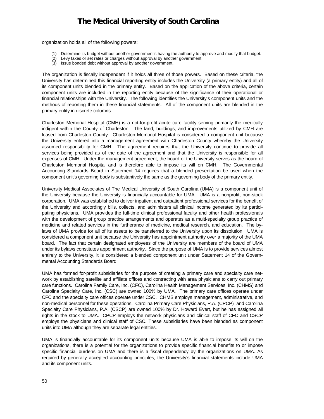organization holds all of the following powers:

- Determine its budget without another government's having the authority to approve and modify that budget.
- (2) Levy taxes or set rates or charges without approval by another government.
- (3) Issue bonded debt without approval by another government.

The organization is fiscally independent if it holds all three of those powers. Based on these criteria, the University has determined this financial reporting entity includes the University (a primary entity) and all of its component units blended in the primary entity. Based on the application of the above criteria, certain component units are included in the reporting entity because of the significance of their operational or financial relationships with the University. The following identifies the University's component units and the methods of reporting them in these financial statements. All of the component units are blended in the primary entity in discrete columns.

Charleston Memorial Hospital (CMH) is a not-for-profit acute care facility serving primarily the medically indigent within the County of Charleston. The land, buildings, and improvements utilized by CMH are leased from Charleston County. Charleston Memorial Hospital is considered a component unit because the University entered into a management agreement with Charleston County whereby the University assumed responsibility for CMH. The agreement requires that the University continue to provide all services being provided as of the date of the agreement and that the University is responsible for all expenses of CMH. Under the management agreement, the board of the University serves as the board of Charleston Memorial Hospital and is therefore able to impose its will on CMH. The Governmental Accounting Standards Board in Statement 14 requires that a blended presentation be used when the component unit's governing body is substantively the same as the governing body of the primary entity.

University Medical Associates of The Medical University of South Carolina (UMA) is a component unit of the University because the University is financially accountable for UMA. UMA is a nonprofit, non-stock corporation. UMA was established to deliver inpatient and outpatient professional services for the benefit of the University and accordingly bills, collects, and administers all clinical income generated by its participating physicians. UMA provides the full-time clinical professional faculty and other health professionals with the development of group practice arrangements and operates as a multi-specialty group practice of medicine and related services in the furtherance of medicine, medical research, and education. The bylaws of UMA provide for all of its assets to be transferred to the University upon its dissolution. UMA is considered a component unit because the University has appointment authority over a majority of the UMA board. The fact that certain designated employees of the University are members of the board of UMA under its bylaws constitutes appointment authority. Since the purpose of UMA is to provide services almost entirely to the University, it is considered a blended component unit under Statement 14 of the Governmental Accounting Standards Board.

UMA has formed for-profit subsidiaries for the purpose of creating a primary care and specialty care network by establishing satellite and affiliate offices and contracting with area physicians to carry out primary care functions. Carolina Family Care, Inc. (CFC), Carolina Health Management Services, Inc. (CHMS) and Carolina Specialty Care, Inc. (CSC) are owned 100% by UMA. The primary care offices operate under CFC and the specialty care offices operate under CSC. CHMS employs management, administrative, and non-medical personnel for these operations. Carolina Primary Care Physicians, P.A. (CPCP) and Carolina Specialty Care Physicians, P.A. (CSCP) are owned 100% by Dr. Howard Evert, but he has assigned all rights in the stock to UMA. CPCP employs the network physicians and clinical staff of CFC and CSCP employs the physicians and clinical staff of CSC. These subsidiaries have been blended as component units into UMA although they are separate legal entities.

UMA is financially accountable for its component units because UMA is able to impose its will on the organizations, there is a potential for the organizations to provide specific financial benefits to or impose specific financial burdens on UMA and there is a fiscal dependency by the organizations on UMA. As required by generally accepted accounting principles, the University's financial statements include UMA and its component units.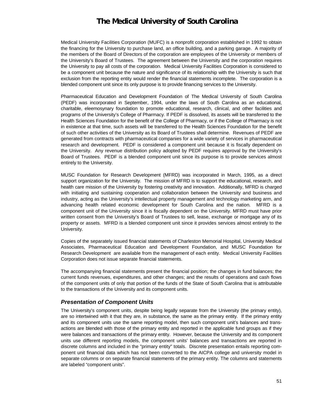Medical University Facilities Corporation (MUFC) is a nonprofit corporation established in 1992 to obtain the financing for the University to purchase land, an office building, and a parking garage. A majority of the members of the Board of Directors of the corporation are employees of the University or members of the University's Board of Trustees. The agreement between the University and the corporation requires the University to pay all costs of the corporation. Medical University Facilities Corporation is considered to be a component unit because the nature and significance of its relationship with the University is such that exclusion from the reporting entity would render the financial statements incomplete. The corporation is a blended component unit since its only purpose is to provide financing services to the University.

Pharmaceutical Education and Development Foundation of The Medical University of South Carolina (PEDF) was incorporated in September, 1994, under the laws of South Carolina as an educational, charitable, eleemosynary foundation to promote educational, research, clinical, and other facilities and programs of the University's College of Pharmacy. If PEDF is dissolved, its assets will be transferred to the Health Sciences Foundation for the benefit of the College of Pharmacy, or if the College of Pharmacy is not in existence at that time, such assets will be transferred to the Health Sciences Foundation for the benefit of such other activities of the University as its Board of Trustees shall determine. Revenues of PEDF are generated from contracts with pharmaceutical companies for a wide variety of services in pharmaceutical research and development. PEDF is considered a component unit because it is fiscally dependent on the University. Any revenue distribution policy adopted by PEDF requires approval by the University's Board of Trustees. PEDF is a blended component unit since its purpose is to provide services almost entirely to the University.

MUSC Foundation for Research Development (MFRD) was incorporated in March, 1995, as a direct support organization for the University. The mission of MFRD is to support the educational, research, and health care mission of the University by fostering creativity and innovation. Additionally, MFRD is charged with initiating and sustaining cooperation and collaboration between the University and business and industry, acting as the University's intellectual property management and technology marketing arm, and advancing health related economic development for South Carolina and the nation. MFRD is a component unit of the University since it is fiscally dependent on the University. MFRD must have prior written consent from the University's Board of Trustees to sell, lease, exchange or mortgage any of its property or assets. MFRD is a blended component unit since it provides services almost entirely to the University.

Copies of the separately issued financial statements of Charleston Memorial Hospital, University Medical Associates, Pharmaceutical Education and Development Foundation, and MUSC Foundation for Research Development are available from the management of each entity. Medical University Facilities Corporation does not issue separate financial statements.

The accompanying financial statements present the financial position; the changes in fund balances; the current funds revenues, expenditures, and other changes; and the results of operations and cash flows of the component units of only that portion of the funds of the State of South Carolina that is attributable to the transactions of the University and its component units.

### *Presentation of Component Units*

The University's component units, despite being legally separate from the University (the primary entity), are so intertwined with it that they are, in substance, the same as the primary entity. If the primary entity and its component units use the same reporting model, then such component unit's balances and transactions are blended with those of the primary entity and reported in the applicable fund groups as if they were balances and transactions of the primary entity. However, because the University and its component units use different reporting models, the component units' balances and transactions are reported in discrete columns and included in the "primary entity" totals. Discrete presentation entails reporting component unit financial data which has not been converted to the AICPA college and university model in separate columns or on separate financial statements of the primary entity. The columns and statements are labeled "component units".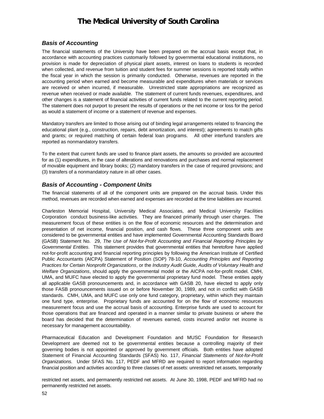### *Basis of Accounting*

The financial statements of the University have been prepared on the accrual basis except that, in accordance with accounting practices customarily followed by governmental educational institutions, no provision is made for depreciation of physical plant assets, interest on loans to students is recorded when collected, and revenue from tuition and student fees for summer sessions is reported totally within the fiscal year in which the session is primarily conducted. Otherwise, revenues are reported in the accounting period when earned and become measurable and expenditures when materials or services are received or when incurred, if measurable. Unrestricted state appropriations are recognized as revenue when received or made available. The statement of current funds revenues, expenditures, and other changes is a statement of financial activities of current funds related to the current reporting period. The statement does not purport to present the results of operations or the net income or loss for the period as would a statement of income or a statement of revenue and expenses.

Mandatory transfers are limited to those arising out of binding legal arrangements related to financing the educational plant (e.g., construction, repairs, debt amortization, and interest); agreements to match gifts and grants; or required matching of certain federal loan programs. All other interfund transfers are reported as nonmandatory transfers.

To the extent that current funds are used to finance plant assets, the amounts so provided are accounted for as (1) expenditures, in the case of alterations and renovations and purchases and normal replacement of movable equipment and library books; (2) mandatory transfers in the case of required provisions; and (3) transfers of a nonmandatory nature in all other cases.

### *Basis of Accounting - Component Units*

The financial statements of all of the component units are prepared on the accrual basis. Under this method, revenues are recorded when earned and expenses are recorded at the time liabilities are incurred.

Charleston Memorial Hospital, University Medical Associates, and Medical University Facilities Corporation conduct business-like activities. They are financed primarily through user charges. The measurement focus of these entities is on the flow of economic resources and the determination and presentation of net income, financial position, and cash flows. These three component units are considered to be governmental entities and have implemented Governmental Accounting Standards Board (GASB) Statement No. 29, *The Use of Not-for-Profit Accounting and Financial Reporting Principles by Governmental Entities*. This statement provides that governmental entities that heretofore have applied not-for-profit accounting and financial reporting principles by following the American Institute of Certified Public Accountants (AICPA) Statement of Position (SOP) 78-10, *Accounting Principles and Reporting Practices for Certain Nonprofit Organizations*, or the *Industry Audit Guide, Audits of Voluntary Health and Welfare Organizations*, should apply the governmental model or the AICPA not-for-profit model. CMH, UMA, and MUFC have elected to apply the governmental proprietary fund model. These entities apply all applicable GASB pronouncements and, in accordance with GASB 20, have elected to apply only those FASB pronouncements issued on or before November 30, 1989, and not in conflict with GASB standards. CMH, UMA, and MUFC use only one fund category, proprietary, within which they maintain one fund type, enterprise. Proprietary funds are accounted for on the flow of economic resources measurement focus and use the accrual basis of accounting. Enterprise funds are used to account for those operations that are financed and operated in a manner similar to private business or where the board has decided that the determination of revenues earned, costs incurred and/or net income is necessary for management accountability.

Pharmaceutical Education and Development Foundation and MUSC Foundation for Research Development are deemed not to be governmental entities because a controlling majority of their governing bodies is not appointed or approved by government officials. Both entities have adopted Statement of Financial Accounting Standards (SFAS) No. 117, *Financial Statements of Not-for-Profit Organizations.* Under SFAS No. 117, PEDF and MFRD are required to report information regarding financial position and activities according to three classes of net assets: unrestricted net assets, temporarily

restricted net assets, and permanently restricted net assets. At June 30, 1998, PEDF and MFRD had no permanently restricted net assets.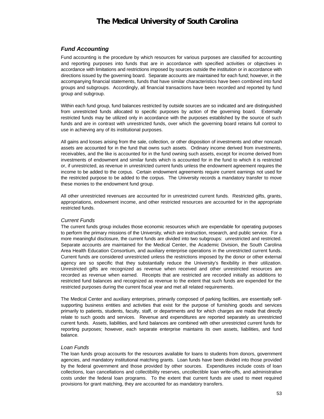## *Fund Accounting*

Fund accounting is the procedure by which resources for various purposes are classified for accounting and reporting purposes into funds that are in accordance with specified activities or objectives in accordance with limitations and restrictions imposed by sources outside the institution or in accordance with directions issued by the governing board. Separate accounts are maintained for each fund; however, in the accompanying financial statements, funds that have similar characteristics have been combined into fund groups and subgroups. Accordingly, all financial transactions have been recorded and reported by fund group and subgroup.

Within each fund group, fund balances restricted by outside sources are so indicated and are distinguished from unrestricted funds allocated to specific purposes by action of the governing board. Externally restricted funds may be utilized only in accordance with the purposes established by the source of such funds and are in contrast with unrestricted funds, over which the governing board retains full control to use in achieving any of its institutional purposes.

All gains and losses arising from the sale, collection, or other disposition of investments and other noncash assets are accounted for in the fund that owns such assets. Ordinary income derived from investments, receivables, and the like is accounted for in the fund owning such assets, except for income derived from investments of endowment and similar funds which is accounted for in the fund to which it is restricted or, if unrestricted, as revenue in unrestricted current funds unless the endowment agreement requires the income to be added to the corpus. Certain endowment agreements require current earnings not used for the restricted purpose to be added to the corpus. The University records a mandatory transfer to move these monies to the endowment fund group.

All other unrestricted revenues are accounted for in unrestricted current funds. Restricted gifts, grants, appropriations, endowment income, and other restricted resources are accounted for in the appropriate restricted funds.

### *Current Funds*

The current funds group includes those economic resources which are expendable for operating purposes to perform the primary missions of the University, which are instruction, research, and public service. For a more meaningful disclosure, the current funds are divided into two subgroups: unrestricted and restricted. Separate accounts are maintained for the Medical Center, the Academic Division, the South Carolina Area Health Education Consortium, and auxiliary enterprise operations in the unrestricted current funds. Current funds are considered unrestricted unless the restrictions imposed by the donor or other external agency are so specific that they substantially reduce the University's flexibility in their utilization. Unrestricted gifts are recognized as revenue when received and other unrestricted resources are recorded as revenue when earned. Receipts that are restricted are recorded initially as additions to restricted fund balances and recognized as revenue to the extent that such funds are expended for the restricted purposes during the current fiscal year and met all related requirements.

The Medical Center and auxiliary enterprises, primarily composed of parking facilities, are essentially selfsupporting business entities and activities that exist for the purpose of furnishing goods and services primarily to patients, students, faculty, staff, or departments and for which charges are made that directly relate to such goods and services. Revenue and expenditures are reported separately as unrestricted current funds. Assets, liabilities, and fund balances are combined with other unrestricted current funds for reporting purposes; however, each separate enterprise maintains its own assets, liabilities, and fund balance.

### *Loan Funds*

The loan funds group accounts for the resources available for loans to students from donors, government agencies, and mandatory institutional matching grants. Loan funds have been divided into those provided by the federal government and those provided by other sources. Expenditures include costs of loan collections, loan cancellations and collectibility reserves, uncollectible loan write-offs, and administrative costs under the federal loan programs. To the extent that current funds are used to meet required provisions for grant matching, they are accounted for as mandatory transfers.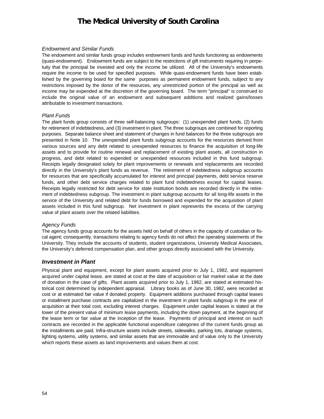### *Endowment and Similar Funds*

The endowment and similar funds group includes endowment funds and funds functioning as endowments (quasi-endowment). Endowment funds are subject to the restrictions of gift instruments requiring in perpetuity that the principal be invested and only the income be utilized. All of the University's endowments require the income to be used for specified purposes. While quasi-endowment funds have been established by the governing board for the same purposes as permanent endowment funds, subject to any restrictions imposed by the donor of the resources, any unrestricted portion of the principal as well as income may be expended at the discretion of the governing board. The term "principal" is construed to include the original value of an endowment and subsequent additions and realized gains/losses attributable to investment transactions.

#### *Plant Funds*

The plant funds group consists of three self-balancing subgroups: (1) unexpended plant funds, (2) funds for retirement of indebtedness, and (3) investment in plant. The three subgroups are combined for reporting purposes. Separate balance sheet and statement of changes in fund balances for the three subgroups are presented in Note 10. The unexpended plant funds subgroup accounts for the resources derived from various sources and any debt related to unexpended resources to finance the acquisition of long-life assets and to provide for routine renewal and replacement of existing plant assets, all construction in progress, and debt related to expended or unexpended resources included in this fund subgroup. Receipts legally designated solely for plant improvements or renewals and replacements are recorded directly in the University's plant funds as revenue. The retirement of indebtedness subgroup accounts for resources that are specifically accumulated for interest and principal payments, debt service reserve funds, and other debt service charges related to plant fund indebtedness except for capital leases. Receipts legally restricted for debt service for state institution bonds are recorded directly in the retirement of indebtedness subgroup. The investment in plant subgroup accounts for all long-life assets in the service of the University and related debt for funds borrowed and expended for the acquisition of plant assets included in this fund subgroup. Net investment in plant represents the excess of the carrying value of plant assets over the related liabilities.

#### *Agency Funds*

The agency funds group accounts for the assets held on behalf of others in the capacity of custodian or fiscal agent; consequently, transactions relating to agency funds do not affect the operating statements of the University. They include the accounts of students, student organizations, University Medical Associates, the University's deferred compensation plan, and other groups directly associated with the University.

### *Investment in Plant*

Physical plant and equipment, except for plant assets acquired prior to July 1, 1982, and equipment acquired under capital lease, are stated at cost at the date of acquisition or fair market value at the date of donation in the case of gifts. Plant assets acquired prior to July 1, 1982, are stated at estimated historical cost determined by independent appraisal. Library books as of June 30, 1982, were recorded at cost or at estimated fair value if donated property. Equipment additions purchased through capital leases or installment purchase contracts are capitalized in the investment in plant funds subgroup in the year of acquisition at their total cost, excluding interest charges. Equipment under capital leases is stated at the lower of the present value of minimum lease payments, including the down payment, at the beginning of the lease term or fair value at the inception of the lease. Payments of principal and interest on such contracts are recorded in the applicable functional expenditure categories of the current funds group as the installments are paid. Infra-structure assets include streets, sidewalks, parking lots, drainage systems, lighting systems, utility systems, and similar assets that are immovable and of value only to the University which reports these assets as land improvements and values them at cost.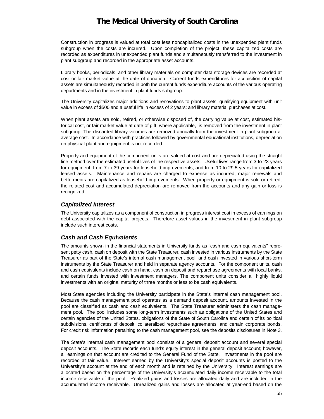Construction in progress is valued at total cost less noncapitalized costs in the unexpended plant funds subgroup when the costs are incurred. Upon completion of the project, these capitalized costs are recorded as expenditures in unexpended plant funds and simultaneously transferred to the investment in plant subgroup and recorded in the appropriate asset accounts.

Library books, periodicals, and other library materials on computer data storage devices are recorded at cost or fair market value at the date of donation. Current funds expenditures for acquisition of capital assets are simultaneously recorded in both the current funds expenditure accounts of the various operating departments and in the investment in plant funds subgroup.

The University capitalizes major additions and renovations to plant assets; qualifying equipment with unit value in excess of \$500 and a useful life in excess of 2 years; and library material purchases at cost.

When plant assets are sold, retired, or otherwise disposed of, the carrying value at cost, estimated historical cost, or fair market value at date of gift, where applicable, is removed from the investment in plant subgroup. The discarded library volumes are removed annually from the investment in plant subgroup at average cost. In accordance with practices followed by governmental educational institutions, depreciation on physical plant and equipment is not recorded.

Property and equipment of the component units are valued at cost and are depreciated using the straight line method over the estimated useful lives of the respective assets. Useful lives range from 3 to 23 years for equipment, from 7 to 39 years for leasehold improvements, and from 10 to 29.5 years for capitalized leased assets. Maintenance and repairs are charged to expense as incurred; major renewals and betterments are capitalized as leasehold improvements. When property or equipment is sold or retired, the related cost and accumulated depreciation are removed from the accounts and any gain or loss is recognized.

### *Capitalized Interest*

The University capitalizes as a component of construction in progress interest cost in excess of earnings on debt associated with the capital projects. Therefore asset values in the investment in plant subgroup include such interest costs.

### *Cash and Cash Equivalents*

The amounts shown in the financial statements in University funds as "cash and cash equivalents" represent petty cash, cash on deposit with the State Treasurer, cash invested in various instruments by the State Treasurer as part of the State's internal cash management pool, and cash invested in various short-term instruments by the State Treasurer and held in separate agency accounts. For the component units, cash and cash equivalents include cash on hand, cash on deposit and repurchase agreements with local banks, and certain funds invested with investment managers. The component units consider all highly liquid investments with an original maturity of three months or less to be cash equivalents.

Most State agencies including the University participate in the State's internal cash management pool. Because the cash management pool operates as a demand deposit account, amounts invested in the pool are classified as cash and cash equivalents. The State Treasurer administers the cash management pool. The pool includes some long-term investments such as obligations of the United States and certain agencies of the United States, obligations of the State of South Carolina and certain of its political subdivisions, certificates of deposit, collateralized repurchase agreements, and certain corporate bonds. For credit risk information pertaining to the cash management pool, see the deposits disclosures in Note 3.

The State's internal cash management pool consists of a general deposit account and several special deposit accounts. The State records each fund's equity interest in the general deposit account; however, all earnings on that account are credited to the General Fund of the State. Investments in the pool are recorded at fair value. Interest earned by the University's special deposit accounts is posted to the University's account at the end of each month and is retained by the University. Interest earnings are allocated based on the percentage of the University's accumulated daily income receivable to the total income receivable of the pool. Realized gains and losses are allocated daily and are included in the accumulated income receivable. Unrealized gains and losses are allocated at year-end based on the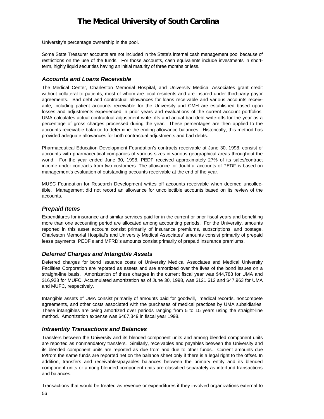University's percentage ownership in the pool.

Some State Treasurer accounts are not included in the State's internal cash management pool because of restrictions on the use of the funds. For those accounts, cash equivalents include investments in shortterm, highly liquid securities having an initial maturity of three months or less.

### *Accounts and Loans Receivable*

The Medical Center, Charleston Memorial Hospital, and University Medical Associates grant credit without collateral to patients, most of whom are local residents and are insured under third-party payor agreements. Bad debt and contractual allowances for loans receivable and various accounts receivable, including patient accounts receivable for the University and CMH are established based upon losses and adjustments experienced in prior years and evaluations of the current account portfolios. UMA calculates actual contractual adjustment write-offs and actual bad debt write-offs for the year as a percentage of gross charges processed during the year. These percentages are then applied to the accounts receivable balance to determine the ending allowance balances. Historically, this method has provided adequate allowances for both contractual adjustments and bad debts.

Pharmaceutical Education Development Foundation's contracts receivable at June 30, 1998, consist of accounts with pharmaceutical companies of various sizes in various geographical areas throughout the world. For the year ended June 30, 1998, PEDF received approximately 27% of its sales/contract income under contracts from two customers. The allowance for doubtful accounts of PEDF is based on management's evaluation of outstanding accounts receivable at the end of the year.

MUSC Foundation for Research Development writes off accounts receivable when deemed uncollectible. Management did not record an allowance for uncollectible accounts based on its review of the accounts.

### *Prepaid Items*

Expenditures for insurance and similar services paid for in the current or prior fiscal years and benefiting more than one accounting period are allocated among accounting periods. For the University, amounts reported in this asset account consist primarily of insurance premiums, subscriptions, and postage. Charleston Memorial Hospital's and University Medical Associates' amounts consist primarily of prepaid lease payments. PEDF's and MFRD's amounts consist primarily of prepaid insurance premiums.

### *Deferred Charges and Intangible Assets*

Deferred charges for bond issuance costs of University Medical Associates and Medical University Facilities Corporation are reported as assets and are amortized over the lives of the bond issues on a straight-line basis. Amortization of these charges in the current fiscal year was \$44,788 for UMA and \$16,928 for MUFC. Accumulated amortization as of June 30, 1998, was \$121,612 and \$47,963 for UMA and MUFC, respectively.

Intangible assets of UMA consist primarily of amounts paid for goodwill, medical records, noncompete agreements, and other costs associated with the purchases of medical practices by UMA subsidiaries. These intangibles are being amortized over periods ranging from 5 to 15 years using the straight-line method. Amortization expense was \$467,349 in fiscal year 1998.

### *Intraentity Transactions and Balances*

Transfers between the University and its blended component units and among blended component units are reported as nonmandatory transfers. Similarly, receivables and payables between the University and its blended component units are reported as due from and due to other funds. Current amounts due to/from the same funds are reported net on the balance sheet only if there is a legal right to the offset. In addition, transfers and receivables/payables balances between the primary entity and its blended component units or among blended component units are classified separately as interfund transactions and balances.

56 Transactions that would be treated as revenue or expenditures if they involved organizations external to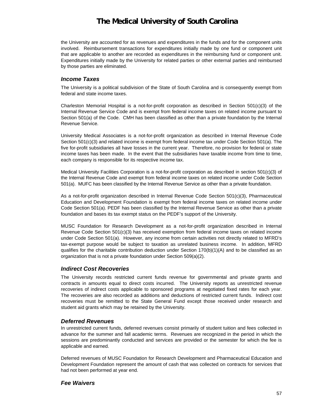the University are accounted for as revenues and expenditures in the funds and for the component units involved. Reimbursement transactions for expenditures initially made by one fund or component unit that are applicable to another are recorded as expenditures in the reimbursing fund or component unit. Expenditures initially made by the University for related parties or other external parties and reimbursed by those parties are eliminated.

### *Income Taxes*

The University is a political subdivision of the State of South Carolina and is consequently exempt from federal and state income taxes.

Charleston Memorial Hospital is a not-for-profit corporation as described in Section 501(c)(3) of the Internal Revenue Service Code and is exempt from federal income taxes on related income pursuant to Section 501(a) of the Code. CMH has been classified as other than a private foundation by the Internal Revenue Service.

University Medical Associates is a not-for-profit organization as described in Internal Revenue Code Section 501(c)(3) and related income is exempt from federal income tax under Code Section 501(a). The five for-profit subsidiaries all have losses in the current year. Therefore, no provision for federal or state income taxes has been made. In the event that the subsidiaries have taxable income from time to time, each company is responsible for its respective income tax.

Medical University Facilities Corporation is a not-for-profit corporation as described in section 501(c)(3) of the Internal Revenue Code and exempt from federal income taxes on related income under Code Section 501(a). MUFC has been classified by the Internal Revenue Service as other than a private foundation.

As a not-for-profit organization described in Internal Revenue Code Section 501(c)(3), Pharmaceutical Education and Development Foundation is exempt from federal income taxes on related income under Code Section 501(a). PEDF has been classified by the Internal Revenue Service as other than a private foundation and bases its tax exempt status on the PEDF's support of the University.

MUSC Foundation for Research Development as a not-for-profit organization described in Internal Revenue Code Section 501(c)(3) has received exemption from federal income taxes on related income under Code Section 501(a). However, any income from certain activities not directly related to MFRD's tax-exempt purpose would be subject to taxation as unrelated business income. In addition, MFRD qualifies for the charitable contribution deduction under Section 170(b)(1)(A) and to be classified as an organization that is not a private foundation under Section 509(a)(2).

### *Indirect Cost Recoveries*

The University records restricted current funds revenue for governmental and private grants and contracts in amounts equal to direct costs incurred. The University reports as unrestricted revenue recoveries of indirect costs applicable to sponsored programs at negotiated fixed rates for each year. The recoveries are also recorded as additions and deductions of restricted current funds. Indirect cost recoveries must be remitted to the State General Fund except those received under research and student aid grants which may be retained by the University.

### *Deferred Revenues*

In unrestricted current funds, deferred revenues consist primarily of student tuition and fees collected in advance for the summer and fall academic terms. Revenues are recognized in the period in which the sessions are predominantly conducted and services are provided or the semester for which the fee is applicable and earned.

Deferred revenues of MUSC Foundation for Research Development and Pharmaceutical Education and Development Foundation represent the amount of cash that was collected on contracts for services that had not been performed at year end.

### *Fee Waivers*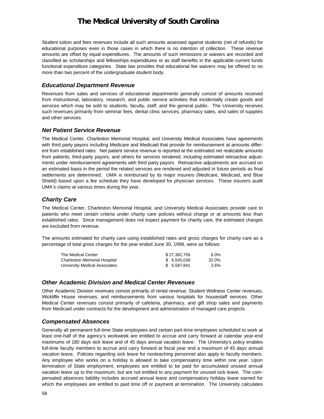Student tuition and fees revenues include all such amounts assessed against students (net of refunds) for educational purposes even in those cases in which there is no intention of collection. These revenue amounts are offset by equal expenditures. The amounts of such remissions or waivers are recorded and classified as scholarships and fellowships expenditures or as staff benefits in the applicable current funds functional expenditure categories. State law provides that educational fee waivers may be offered to no more than two percent of the undergraduate student body.

### *Educational Department Revenue*

Revenues from sales and services of educational departments generally consist of amounts received from instructional, laboratory, research, and public service activities that incidentally create goods and services which may be sold to students, faculty, staff, and the general public. The University receives such revenues primarily from seminar fees, dental clinic services, pharmacy sales, and sales of supplies and other services.

### *Net Patient Service Revenue*

The Medical Center, Charleston Memorial Hospital, and University Medical Associates have agreements with third party payors including Medicare and Medicaid that provide for reimbursement at amounts different from established rates. Net patient service revenue is reported at the estimated net realizable amounts from patients, third-party payors, and others for services rendered, including estimated retroactive adjustments under reimbursement agreements with third party payors. Retroactive adjustments are accrued on an estimated basis in the period the related services are rendered and adjusted in future periods as final settlements are determined. UMA is reimbursed by its major insurers (Medicare, Medicaid, and Blue Shield) based upon a fee schedule they have developed for physician services. These insurers audit UMA's claims at various times during the year.

### *Charity Care*

The Medical Center, Charleston Memorial Hospital, and University Medical Associates provide care to patients who meet certain criteria under charity care policies without charge or at amounts less than established rates. Since management does not expect payment for charity care, the estimated charges are excluded from revenue.

The amounts estimated for charity care using established rates and gross charges for charity care as a percentage of total gross charges for the year ended June 30, 1998, were as follows:

| The Medical Center                  | \$27.382.756 | $6.0\%$ |
|-------------------------------------|--------------|---------|
| <b>Charleston Memorial Hospital</b> | \$ 6.545.036 | 32.0%   |
| University Medical Associates       | \$ 6.587.841 | $3.6\%$ |

### *Other Academic Division and Medical Center Revenues*

Other Academic Division revenues consist primarily of rental revenue, Student Wellness Center revenues, Wickliffe House revenues, and reimbursements from various hospitals for housestaff services. Other Medical Center revenues consist primarily of cafeteria, pharmacy, and gift shop sales and payments from Medicaid under contracts for the development and administration of managed care projects.

### *Compensated Absences*

Generally all permanent full-time State employees and certain part-time employees scheduled to work at least one-half of the agency's workweek are entitled to accrue and carry forward at calendar year-end maximums of 180 days sick leave and of 45 days annual vacation leave. The University's policy enables full-time faculty members to accrue and carry forward at fiscal year end a maximum of 45 days annual vacation leave. Policies regarding sick leave for nonteaching personnel also apply to faculty members. Any employee who works on a holiday is allowed to take compensatory time within one year. Upon termination of State employment, employees are entitled to be paid for accumulated unused annual vacation leave up to the maximum, but are not entitled to any payment for unused sick leave. The compensated absences liability includes accrued annual leave and compensatory holiday leave earned for which the employees are entitled to paid time off or payment at termination. The University calculates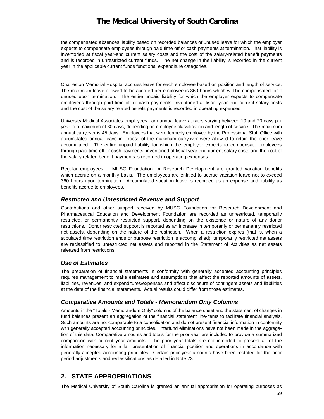the compensated absences liability based on recorded balances of unused leave for which the employer expects to compensate employees through paid time off or cash payments at termination. That liability is inventoried at fiscal year-end current salary costs and the cost of the salary-related benefit payments and is recorded in unrestricted current funds. The net change in the liability is recorded in the current year in the applicable current funds functional expenditure categories.

Charleston Memorial Hospital accrues leave for each employee based on position and length of service. The maximum leave allowed to be accrued per employee is 360 hours which will be compensated for if unused upon termination. The entire unpaid liability for which the employer expects to compensate employees through paid time off or cash payments, inventoried at fiscal year end current salary costs and the cost of the salary related benefit payments is recorded in operating expenses.

University Medical Associates employees earn annual leave at rates varying between 10 and 20 days per year to a maximum of 30 days, depending on employee classification and length of service. The maximum annual carryover is 45 days. Employees that were formerly employed by the Professional Staff Office with accumulated annual leave in excess of the maximum carryover were allowed to retain the prior leave accumulated. The entire unpaid liability for which the employer expects to compensate employees through paid time off or cash payments, inventoried at fiscal year end current salary costs and the cost of the salary related benefit payments is recorded in operating expenses.

Regular employees of MUSC Foundation for Research Development are granted vacation benefits which accrue on a monthly basis. The employees are entitled to accrue vacation leave not to exceed 360 hours upon termination. Accumulated vacation leave is recorded as an expense and liability as benefits accrue to employees.

### *Restricted and Unrestricted Revenue and Support*

Contributions and other support received by MUSC Foundation for Research Development and Pharmaceutical Education and Development Foundation are recorded as unrestricted, temporarily restricted, or permanently restricted support, depending on the existence or nature of any donor restrictions. Donor restricted support is reported as an increase in temporarily or permanently restricted net assets, depending on the nature of the restriction. When a restriction expires (that is, when a stipulated time restriction ends or purpose restriction is accomplished), temporarily restricted net assets are reclassified to unrestricted net assets and reported in the Statement of Activities as net assets released from restrictions.

### *Use of Estimates*

The preparation of financial statements in conformity with generally accepted accounting principles requires management to make estimates and assumptions that affect the reported amounts of assets, liabilities, revenues, and expenditures/expenses and affect disclosure of contingent assets and liabilities at the date of the financial statements. Actual results could differ from those estimates.

### *Comparative Amounts and Totals - Memorandum Only Columns*

Amounts in the "Totals - Memorandum Only" columns of the balance sheet and the statement of changes in fund balances present an aggregation of the financial statement line-items to facilitate financial analysis. Such amounts are not comparable to a consolidation and do not present financial information in conformity with generally accepted accounting principles. Interfund eliminations have not been made in the aggregation of this data. Comparative amounts and totals for the prior year are included to provide a summarized comparison with current year amounts. The prior year totals are not intended to present all of the information necessary for a fair presentation of financial position and operations in accordance with generally accepted accounting principles. Certain prior year amounts have been restated for the prior period adjustments and reclassifications as detailed in Note 23.

## **2. STATE APPROPRIATIONS**

The Medical University of South Carolina is granted an annual appropriation for operating purposes as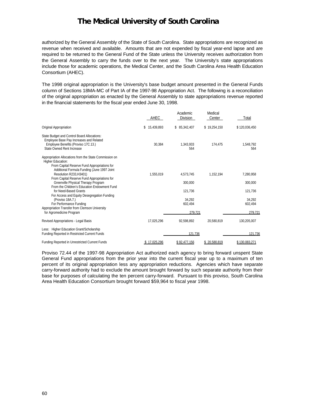authorized by the General Assembly of the State of South Carolina. State appropriations are recognized as revenue when received and available. Amounts that are not expended by fiscal year-end lapse and are required to be returned to the General Fund of the State unless the University receives authorization from the General Assembly to carry the funds over to the next year. The University's state appropriations include those for academic operations, the Medical Center, and the South Carolina Area Health Education Consortium (AHEC).

The 1998 original appropriation is the University's base budget amount presented in the General Funds column of Sections 18MA-MC of Part IA of the 1997-98 Appropriation Act. The following is a reconciliation of the original appropriation as enacted by the General Assembly to state appropriations revenue reported in the financial statements for the fiscal year ended June 30, 1998.

|                                                                                                                                                                            | AHEC             | Academic<br>Division | Medical<br>Center | Total             |
|----------------------------------------------------------------------------------------------------------------------------------------------------------------------------|------------------|----------------------|-------------------|-------------------|
| Original Appropriation                                                                                                                                                     | 15,439,893<br>\$ | \$85,342,407         | \$19,254,150      | \$120,036,450     |
| State Budget and Control Board Allocations:<br>Employee Base Pay Increases and Related<br>Employee Benefits (Proviso 17C.13.)<br>State Owned Rent Increase                 | 30.384           | 1,343,933<br>564     | 174.475           | 1,548,792<br>564  |
| Appropriation Allocations from the State Commission on<br>Higher Education:<br>From Capital Reserve Fund Appropriations for<br>Additional Formula Funding (June 1997 Joint |                  |                      |                   |                   |
| Resolution R233.H3401)                                                                                                                                                     | 1.555.019        | 4.573.745            | 1.152.194         | 7.280.958         |
| From Capital Reserve Fund Appropriations for<br>Greenville Physical Therapy Program                                                                                        |                  | 300,000              |                   | 300,000           |
| From the Children's Education Endowment Fund<br>for Need-Based Grants<br>For Access and Equity Desegregation Funding                                                       |                  | 121,736              |                   | 121,736           |
| (Proviso 18A.7.)<br>For Performance Funding                                                                                                                                |                  | 34.292<br>602.494    |                   | 34.292<br>602,494 |
| Appropriation Transfer from Clemson University<br>for Agromedicine Program                                                                                                 |                  | 279,721              |                   | 279,721           |
| Revised Appropriations - Legal Basis                                                                                                                                       | 17,025,296       | 92.598.892           | 20.580.819        | 130,205,007       |
| Less: Higher Education Grant/Scholarship<br>Funding Reported in Restricted Current Funds                                                                                   |                  | 121,736              |                   | 121,736           |
| Funding Reported in Unrestricted Current Funds                                                                                                                             | 17.025.296       | \$92.477.156         | 20.580.819        | \$130.083.271     |

Proviso 72.44 of the 1997-98 Appropriation Act authorized each agency to bring forward unspent State General Fund appropriations from the prior year into the current fiscal year up to a maximum of ten percent of its original appropriation less any appropriation reductions. Agencies which have separate carry-forward authority had to exclude the amount brought forward by such separate authority from their base for purposes of calculating the ten percent carry-forward. Pursuant to this proviso, South Carolina Area Health Education Consortium brought forward \$59,964 to fiscal year 1998.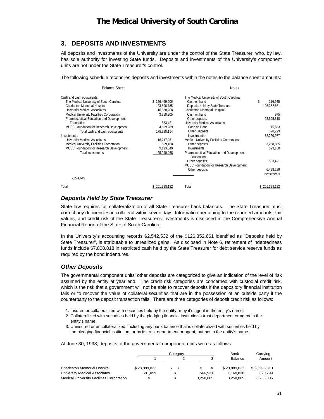## **3. DEPOSITS AND INVESTMENTS**

All deposits and investments of the University are under the control of the State Treasurer, who, by law, has sole authority for investing State funds. Deposits and investments of the University's component units are not under the State Treasurer's control.

The following schedule reconciles deposits and investments within the notes to the balance sheet amounts:

| <b>Balance Sheet</b>                      |               | <b>Notes</b>                               |               |
|-------------------------------------------|---------------|--------------------------------------------|---------------|
| Cash and cash equivalents:                |               | The Medical University of South Carolina:  |               |
| The Medical University of South Carolina  | \$126,469,606 | Cash on hand                               | \$<br>116,945 |
| Charleston Memorial Hospital              | 23,596,785    | Deposits held by State Treasurer           | 126,352,661   |
| University Medical Associates             | 16.880.208    | Charleston Memorial Hospital:              |               |
| Medical University Facilities Corporation | 3,258,805     | Cash on hand                               | 975           |
| Pharmaceutical Education and Development  |               | Other deposits                             | 23,595,810    |
| Foundation                                | 583.421       | University Medical Associates:             |               |
| MUSC Foundation for Research Development  | 4,599,289     | Cash on Hand                               | 15,683        |
| Total cash and cash equivalents           | 175,388,114   | <b>Other Deposits</b>                      | 320.799       |
| Investments:                              |               | Investments                                | 32,760,977    |
| University Medical Associates             | 16,217,251    | Medical University Facilities Corporation: |               |
| Medical University Facilities Corporation | 529,168       | Other deposits                             | 3,258,805     |
| MUSC Foundation for Research Development  | 9,193,649     | Investments                                | 529.168       |
| <b>Total investments</b>                  | 25.940.068    | Pharmaceutical Education and Development   |               |
|                                           |               | Foundation:                                |               |
|                                           |               | Other deposits                             | 583,421       |
|                                           |               | MUSC Foundation for Research Development:  |               |
|                                           |               | Other deposits                             | 6,498,289     |
|                                           |               |                                            | Investments   |
| 7,294,649                                 |               |                                            |               |
| Total                                     | 201.328.182   | Total                                      | 201.328.182   |

### *Deposits Held by State Treasurer*

State law requires full collateralization of all State Treasurer bank balances. The State Treasurer must correct any deficiencies in collateral within seven days. Information pertaining to the reported amounts, fair values, and credit risk of the State Treasurer's investments is disclosed in the Comprehensive Annual Financial Report of the State of South Carolina.

In the University's accounting records \$2,542,532 of the \$126,352,661 identified as "Deposits held by State Treasurer", is attributable to unrealized gains. As disclosed in Note 6, retirement of indebtedness funds include \$7,808,818 in restricted cash held by the State Treasurer for debt service reserve funds as required by the bond indentures.

### *Other Deposits*

The governmental component units' other deposits are categorized to give an indication of the level of risk assumed by the entity at year end. The credit risk categories are concerned with custodial credit risk, which is the risk that a government will not be able to recover deposits if the depository financial institution fails or to recover the value of collateral securities that are in the possession of an outside party if the counterparty to the deposit transaction fails. There are three categories of deposit credit risk as follows:

- 1. Insured or collateralized with securities held by the entity or by it's agent in the entity's name.
- 2. Collateralized with securities held by the pledging financial institution's trust department or agent in the entity's name.
- 3. Uninsured or uncollateralized, including any bank balance that is collateralized with securities held by the pledging financial institution, or by its trust department or agent, but not in the entity's name.

At June 30, 1998, deposits of the governmental component units were as follows:

|                                                  | Categorv     |  |           | Bank         | Carrying     |
|--------------------------------------------------|--------------|--|-----------|--------------|--------------|
|                                                  |              |  |           | Balance      | Amount       |
| <b>Charleston Memorial Hospital</b>              | \$23.889.022 |  |           | \$23.889.022 | \$23.595.810 |
| University Medical Associates                    | 601.099      |  | 566.931   | 1.168.030    | 320.799      |
| <b>Medical University Facilities Corporation</b> |              |  | 3,258,805 | 3.258.805    | 3,258,805    |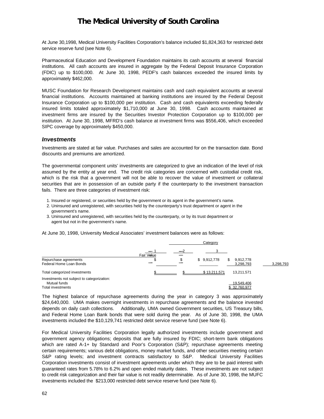At June 30,1998, Medical University Facilities Corporation's balance included \$1,824,363 for restricted debt service reserve fund (see Note 6).

Pharmaceutical Education and Development Foundation maintains its cash accounts at several financial institutions. All cash accounts are insured in aggregate by the Federal Deposit Insurance Corporation (FDIC) up to \$100,000. At June 30, 1998, PEDF's cash balances exceeded the insured limits by approximately \$462,000.

MUSC Foundation for Research Development maintains cash and cash equivalent accounts at several financial institutions. Accounts maintained at banking institutions are insured by the Federal Deposit Insurance Corporation up to \$100,000 per institution. Cash and cash equivalents exceeding federally insured limits totaled approximately \$1,710,000 at June 30, 1998. Cash accounts maintained at investment firms are insured by the Securities Investor Protection Corporation up to \$100,000 per institution. At June 30, 1998, MFRD's cash balance at investment firms was \$556,406, which exceeded SIPC coverage by approximately \$450,000.

### *Investments*

Investments are stated at fair value. Purchases and sales are accounted for on the transaction date. Bond discounts and premiums are amortized.

The governmental component units' investments are categorized to give an indication of the level of risk assumed by the entity at year end. The credit risk categories are concerned with custodial credit risk, which is the risk that a government will not be able to recover the value of investment or collateral securities that are in possession of an outside party if the counterparty to the investment transaction fails. There are three categories of investment risk:

- 1. Insured or registered, or securities held by the government or its agent in the government's name.
- 2. Uninsured and unregistered, with securities held by the counterparty's trust department or agent in the government's name.
- 3. Uninsured and unregistered, with securities held by the counterparty, or by its trust department or agent but not in the government's name.

At June 30, 1998, University Medical Associates' investment balances were as follows:



The highest balance of repurchase agreements during the year in category 3 was approximately \$24,640,000. UMA makes overnight investments in repurchase agreements and the balance invested depends on daily cash collections. Additionally, UMA owned Government securities, US Treasury bills, and Federal Home Loan Bank bonds that were sold during the year. As of June 30, 1998, the UMA investments included the \$10,129,741 restricted debt service reserve fund (see Note 6).

For Medical University Facilities Corporation legally authorized investments include government and government agency obligations; deposits that are fully insured by FDIC; short-term bank obligations which are rated A-1+ by Standard and Poor's Corporation (S&P); repurchase agreements meeting certain requirements; various debt obligations, money market funds, and other securities meeting certain S&P rating levels; and investment contracts satisfactory to S&P. Medical University Facilities Corporation investments consist of investment agreements under which they are to be paid interest with guaranteed rates from 5.78% to 6.2% and open ended maturity dates. These investments are not subject to credit risk categorization and their fair value is not readily determinable. As of June 30, 1998, the MUFC investments included the \$213,000 restricted debt service reserve fund (see Note 6).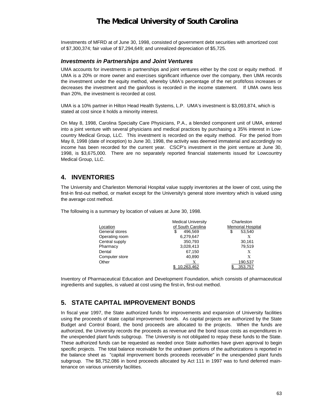Investments of MFRD at of June 30, 1998, consisted of government debt securities with amortized cost of \$7,300,374; fair value of \$7,294,649; and unrealized depreciation of \$5,725.

### *Investments in Partnerships and Joint Ventures*

UMA accounts for investments in partnerships and joint ventures either by the cost or equity method. If UMA is a 20% or more owner and exercises significant influence over the company, then UMA records the investment under the equity method, whereby UMA's percentage of the net profit/loss increases or decreases the investment and the gain/loss is recorded in the income statement. If UMA owns less than 20%, the investment is recorded at cost.

UMA is a 10% partner in Hilton Head Health Systems, L.P. UMA's investment is \$3,093,874, which is stated at cost since it holds a minority interest.

On May 8, 1998, Carolina Specialty Care Physicians, P.A., a blended component unit of UMA, entered into a joint venture with several physicians and medical practices by purchasing a 35% interest in Lowcountry Medical Group, LLC. This investment is recorded on the equity method. For the period from May 8, 1998 (date of inception) to June 30, 1998, the activity was deemed immaterial and accordingly no income has been recorded for the current year. CSCP's investment in the joint venture at June 30, 1998, is \$3,675,000. There are no separately reported financial statements issued for Lowcountry Medical Group, LLC.

### **4. INVENTORIES**

The University and Charleston Memorial Hospital value supply inventories at the lower of cost, using the first-in first-out method, or market except for the University's general store inventory which is valued using the average cost method.

The following is a summary by location of values at June 30, 1998.

|                | <b>Medical University</b> | Charleston               |
|----------------|---------------------------|--------------------------|
| Location       | of South Carolina         | <b>Memorial Hospital</b> |
| General stores | \$<br>496.569             | \$<br>53,540             |
| Operating room | 6,279,647                 | X                        |
| Central supply | 350.793                   | 30.161                   |
| Pharmacy       | 3,028,413                 | 79,519                   |
| Dental         | 67,150                    | X                        |
| Computer store | 40,890                    | X                        |
| Other          | Х                         | 190,537                  |
|                | .263.462                  | 353.757                  |

Inventory of Pharmaceutical Education and Development Foundation, which consists of pharmaceutical ingredients and supplies, is valued at cost using the first-in, first-out method.

### **5. STATE CAPITAL IMPROVEMENT BONDS**

In fiscal year 1997, the State authorized funds for improvements and expansion of University facilities using the proceeds of state capital improvement bonds. As capital projects are authorized by the State Budget and Control Board, the bond proceeds are allocated to the projects. When the funds are authorized, the University records the proceeds as revenue and the bond issue costs as expenditures in the unexpended plant funds subgroup. The University is not obligated to repay these funds to the State. These authorized funds can be requested as needed once State authorities have given approval to begin specific projects. The total balance receivable for the undrawn portions of the authorizations is reported in the balance sheet as "capital improvement bonds proceeds receivable" in the unexpended plant funds subgroup. The \$8,752,086 in bond proceeds allocated by Act 111 in 1997 was to fund deferred maintenance on various university facilities.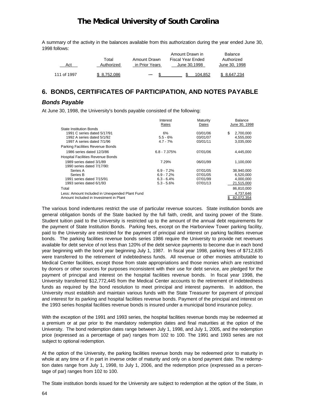A summary of the activity in the balances available from this authorization during the year ended June 30, 1998 follows:

|             |            |                | Amount Drawn in   | Balance       |
|-------------|------------|----------------|-------------------|---------------|
|             | Total      | Amount Drawn   | Fiscal Year Ended | Authorized    |
| Act         | Authorized | in Prior Years | June 30.1998      | June 30, 1998 |
| 111 of 1997 | 8.752.086  |                | 104.852           | \$ 8.647.234  |

## **6. BONDS, CERTIFICATES OF PARTICIPATION, AND NOTES PAYABLE**

### *Bonds Payable*

At June 30, 1998, the University's bonds payable consisted of the following:

|                                                | Interest<br>Rates | Maturity<br>Dates | <b>Balance</b><br>June 30, 1998 |
|------------------------------------------------|-------------------|-------------------|---------------------------------|
| State Institution Bonds                        |                   |                   |                                 |
| 1991 C series dated 5/17/91                    | 6%                | 03/01/06          | 2,700,000<br>\$                 |
| 1992 A series dated 5/1/92                     | $5.5 - 6%$        | 03/01/07          | 4,555,000                       |
| 1997 A series dated 7/1/96                     | $4.7 - 7\%$       | 03/01/11          | 3,035,000                       |
| Parking Facilities Revenue Bonds               |                   |                   |                                 |
| 1986 series dated 12/3/86                      | $6.8 - 7.375%$    | 07/01/06          | 4,445,000                       |
| <b>Hospital Facilities Revenue Bonds</b>       |                   |                   |                                 |
| 1989 series dated 3/1/89                       | 7.29%             | 06/01/99          | 1,100,000                       |
| 1990 series dated 7/17/90:                     |                   |                   |                                 |
| Series A                                       | $6.9 - 7.2%$      | 07/01/05          | 38,940,000                      |
| Series B                                       | $6.9 - 7.2%$      | 07/01/05          | 6,520,000                       |
| 1991 series dated 7/15/91                      | $6.3 - 6.4%$      | 07/01/99          | 4,000,000                       |
| 1993 series dated 6/1/93                       | $5.3 - 5.6%$      | 07/01/13          | 21,515,000                      |
| Total                                          |                   |                   | 86,810,000                      |
| Less: Amount Included in Unexpended Plant Fund |                   |                   | 4.737.646                       |
| Amount Included in Investment in Plant         |                   |                   | 82.072.354                      |

The various bond indentures restrict the use of particular revenue sources. State institution bonds are general obligation bonds of the State backed by the full faith, credit, and taxing power of the State. Student tuition paid to the University is restricted up to the amount of the annual debt requirements for the payment of State Institution Bonds. Parking fees, except on the Harborview Tower parking facility, paid to the University are restricted for the payment of principal and interest on parking facilities revenue bonds. The parking facilities revenue bonds series 1986 require the University to provide net revenues available for debt service of not less than 120% of the debt service payments to become due in each bond year beginning with the bond year beginning July 1, 1987. In fiscal year 1998, parking fees of \$712,635 were transferred to the retirement of indebtedness funds. All revenue or other monies attributable to Medical Center facilities, except those from state appropriations and those monies which are restricted by donors or other sources for purposes inconsistent with their use for debt service, are pledged for the payment of principal and interest on the hospital facilities revenue bonds. In fiscal year 1998, the University transferred \$12,772,445 from the Medical Center accounts to the retirement of indebtedness funds as required by the bond resolution to meet principal and interest payments. In addition, the University must establish and maintain various funds with the State Treasurer for payment of principal and interest for its parking and hospital facilities revenue bonds. Payment of the principal and interest on the 1993 series hospital facilities revenue bonds is insured under a municipal bond insurance policy.

With the exception of the 1991 and 1993 series, the hospital facilities revenue bonds may be redeemed at a premium or at par prior to the mandatory redemption dates and final maturities at the option of the University. The bond redemption dates range between July 1, 1998, and July 1, 2005, and the redemption price (expressed as a percentage of par) ranges from 102 to 100. The 1991 and 1993 series are not subject to optional redemption.

At the option of the University, the parking facilities revenue bonds may be redeemed prior to maturity in whole at any time or if in part in inverse order of maturity and only on a bond payment date. The redemption dates range from July 1, 1998, to July 1, 2006, and the redemption price (expressed as a percentage of par) ranges from 102 to 100.

The State institution bonds issued for the University are subject to redemption at the option of the State, in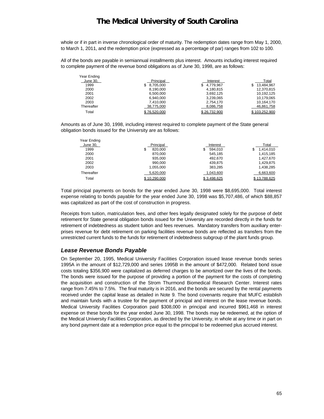whole or if in part in inverse chronological order of maturity. The redemption dates range from May 1, 2000, to March 1, 2011, and the redemption price (expressed as a percentage of par) ranges from 102 to 100.

All of the bonds are payable in semiannual installments plus interest. Amounts including interest required to complete payment of the revenue bond obligations as of June 30, 1998, are as follows:

| Principal | Interest                   | Total           |
|-----------|----------------------------|-----------------|
| 8,705,000 | 4,779,967                  | 13,484,967<br>S |
| 8,190,000 | 4,180,815                  | 12,370,815      |
| 6,500,000 | 3,692,125                  | 10.192.125      |
| 6.940.000 | 3,239,065                  | 10,179,065      |
| 7.410.000 | 2,754,170                  | 10,164,170      |
|           | 8,086,758                  | 46,861,758      |
|           |                            | \$103.252.900   |
|           | 38,775,000<br>\$76,520,000 | \$26.732.900    |

Amounts as of June 30, 1998, including interest required to complete payment of the State general obligation bonds issued for the University are as follows:

| Year Ending |              |              |                 |
|-------------|--------------|--------------|-----------------|
| June 30,    | Principal    | Interest     | Total           |
| 1999        | 820.000<br>S | 594.010<br>S | 1.414.010<br>\$ |
| 2000        | 870.000      | 545.185      | 1,415,185       |
| 2001        | 935.000      | 492.670      | 1.427.670       |
| 2002        | 990.000      | 439,875      | 1,429,875       |
| 2003        | 1.055.000    | 383.285      | 1,438,285       |
| Thereafter  | 5,620,000    | 1,043,600    | 6,663,600       |
| Total       | \$10.290.000 | \$3.498.625  | \$13,788,625    |

Total principal payments on bonds for the year ended June 30, 1998 were \$8,695,000. Total interest expense relating to bonds payable for the year ended June 30, 1998 was \$5,707,486, of which \$88,857 was capitalized as part of the cost of construction in progress.

Receipts from tuition, matriculation fees, and other fees legally designated solely for the purpose of debt retirement for State general obligation bonds issued for the University are recorded directly in the funds for retirement of indebtedness as student tuition and fees revenues. Mandatory transfers from auxiliary enterprises revenue for debt retirement on parking facilities revenue bonds are reflected as transfers from the unrestricted current funds to the funds for retirement of indebtedness subgroup of the plant funds group.

#### *Lease Revenue Bonds Payable*

On September 20, 1995, Medical University Facilities Corporation issued lease revenue bonds series 1995A in the amount of \$12,729,000 and series 1995B in the amount of \$472,000. Related bond issue costs totaling \$356,900 were capitalized as deferred charges to be amortized over the lives of the bonds. The bonds were issued for the purpose of providing a portion of the payment for the costs of completing the acquisition and construction of the Strom Thurmond Biomedical Research Center. Interest rates range from 7.45% to 7.5%. The final maturity is in 2016, and the bonds are secured by the rental payments received under the capital lease as detailed in Note 9. The bond covenants require that MUFC establish and maintain funds with a trustee for the payment of principal and interest on the lease revenue bonds. Medical University Facilities Corporation paid \$308,000 in principal and incurred \$961,468 in interest expense on these bonds for the year ended June 30, 1998. The bonds may be redeemed, at the option of the Medical University Facilities Corporation, as directed by the University, in whole at any time or in part on any bond payment date at a redemption price equal to the principal to be redeemed plus accrued interest.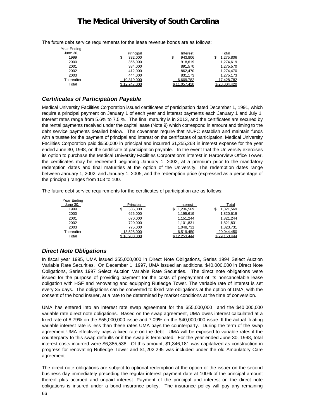Year Ending June 30, No. 1 No. 2 No. 2 No. 2 No. 2 No. 2 No. 2 No. 2 No. 2 No. 2 No. 2 No. 2 No. 2 No. 2 No. 2 No. 2 No. 2 No. 2 No. 2 No. 2 No. 2 No. 2 No. 2 No. 2 No. 2 No. 2 No. 2 No. 2 No. 2 No. 2 No. 2 No. 2 No. 2 No. 2 No. 2 No. 1999 \$ 332,000 \$ 943,806 \$ 1,275,806 2000 356,000 918,619 1,274,619 2001 384,000 891,570 1,275,570 2002 412,000 862,470 1,274,470 2003 444,000 831,173 1,275,173 Thereafter 10,819,000 6,609,782 17,428,782 Total \$ 12,747,000 \$ 11,057,420 \$ 23,804,420

The future debt service requirements for the lease revenue bonds are as follows:

### *Certificates of Participation Payable*

Medical University Facilities Corporation issued certificates of participation dated December 1, 1991, which require a principal payment on January 1 of each year and interest payments each January 1 and July 1. Interest rates range from 5.6% to 7.5 %. The final maturity is in 2013, and the certificates are secured by the rental payments received under the capital lease (Note 9) which correspond in amount and timing to the debt service payments detailed below. The covenants require that MUFC establish and maintain funds with a trustee for the payment of principal and interest on the certificates of participation. Medical University Facilities Corporation paid \$550,000 in principal and incurred \$1,255,268 in interest expense for the year ended June 30, 1998, on the certificate of participation payable. In the event that the University exercises its option to purchase the Medical University Facilities Corporation's interest in Harborview Office Tower, the certificates may be redeemed beginning January 1, 2002, at a premium prior to the mandatory redemption dates and final maturities at the option of the University. The redemption dates range between January 1, 2002, and January 1, 2005, and the redemption price (expressed as a percentage of the principal) ranges from 103 to 100.

The future debt service requirements for the certificates of participation are as follows:

| Year Ending |               |                 |                 |
|-------------|---------------|-----------------|-----------------|
| June 30,    | Principal     | Interest        | Total           |
| 1999        | \$<br>585.000 | \$<br>1.236.569 | \$<br>1,821,569 |
| 2000        | 625.000       | 1,195,619       | 1,820,619       |
| 2001        | 670.000       | 1,151,244       | 1,821,244       |
| 2002        | 720.000       | 1,101,831       | 1,821,831       |
| 2003        | 775.000       | 1,048,731       | 1,823,731       |
| Thereafter  | 13,525,000    | 6,519,450       | 20,044,450      |
| Total       | \$16,900,000  | \$12.253.444    | \$29.153.444    |

### *Direct Note Obligations*

In fiscal year 1995, UMA issued \$55,000,000 in Direct Note Obligations, Series 1994 Select Auction Variable Rate Securities. On December 1, 1997, UMA issued an additional \$40,000,000 in Direct Note Obligations, Series 1997 Select Auction Variable Rate Securities. The direct note obligations were issued for the purpose of providing payment for the costs of prepayment of its noncancelable lease obligation with HSF and renovating and equipping Rutledge Tower. The variable rate of interest is set every 35 days. The obligations can be converted to fixed rate obligations at the option of UMA, with the consent of the bond insurer, at a rate to be determined by market conditions at the time of conversion.

UMA has entered into an interest rate swap agreement for the \$55,000,000 and the \$40,000,000 variable rate direct note obligations. Based on the swap agreement, UMA owes interest calculated at a fixed rate of 8.79% on the \$55,000,000 issue and 7.09% on the \$40,000,000 issue. If the actual floating variable interest rate is less than these rates UMA pays the counterparty. During the term of the swap agreement UMA effectively pays a fixed rate on the debt. UMA will be exposed to variable rates if the counterparty to this swap defaults or if the swap is terminated. For the year ended June 30, 1998, total interest costs incurred were \$6,385,538. Of this amount, \$1,346,181 was capitalized as construction in progress for renovating Rutledge Tower and \$1,202,295 was included under the old Ambulatory Care agreement.

The direct note obligations are subject to optional redemption at the option of the issuer on the second business day immediately preceding the regular interest payment date at 100% of the principal amount thereof plus accrued and unpaid interest. Payment of the principal and interest on the direct note obligations is insured under a bond insurance policy. The insurance policy will pay any remaining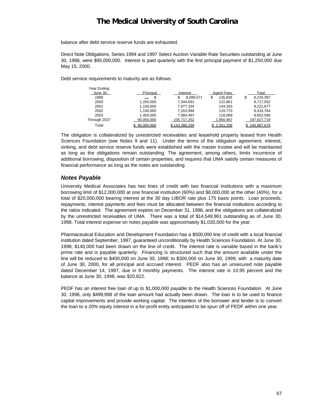balance after debt service reserve funds are exhausted.

Direct Note Obligations, Series 1994 and 1997 Select Auction Variable Rate Securities outstanding at June 30, 1998, were \$95,000,000. Interest is paid quarterly with the first principal payment of \$1,250,000 due May 15, 2000.

Debt service requirements to maturity are as follows:

| Year Ending  |              |               |              |               |
|--------------|--------------|---------------|--------------|---------------|
| June 30,     | Principal    | Interest      | Agent Fees   | Total         |
| 1999         | จ            | 8,098,571     | S<br>135.826 | 8,234,397     |
| 2000         | 1.250.000    | 7.344.691     | 122.861      | 8.717.552     |
| 2001         | 1.100.000    | 7,977,334     | 144.343      | 9.221.677     |
| 2002         | 1.150.000    | 7.163.994     | 119.770      | 8.433.764     |
| 2003         | 1.450.000    | 7.084.497     | 118.069      | 8.652.566     |
| Through 2027 | 90.050.000   | 105,717,252   | 1,860,467    | 197,627,719   |
| Total        | \$95,000,000 | \$143.386.339 | \$2.501.336  | \$240,887,675 |

The obligation is collateralized by unrestricted receivables and leasehold property leased from Health Sciences Foundation (see Notes 9 and 11). Under the terms of the obligation agreement, interest, sinking, and debt service reserve funds were established with the master trustee and will be maintained as long as the obligations remain outstanding. The agreement, among others, limits incurrence of additional borrowing, disposition of certain properties, and requires that UMA satisfy certain measures of financial performance as long as the notes are outstanding.

#### *Notes Payable*

University Medical Associates has two lines of credit with two financial institutions with a maximum borrowing limit of \$12,000,000 at one financial institution (60%) and \$8,000,000 at the other (40%), for a total of \$20,000,000 bearing interest at the 30 day LIBOR rate plus 175 basis points. Loan proceeds, repayments, interest payments and fees must be allocated between the financial institutions according to the ratios indicated. The agreement expires on December 31, 1998, and the obligations are collateralized by the unrestricted receivables of UMA. There was a total of \$14,549,961 outstanding as of June 30, 1998. Total interest expense on notes payable was approximately \$1,030,000 for the year.

Pharmaceutical Education and Development Foundation has a \$500,000 line of credit with a local financial institution dated September, 1997, guaranteed unconditionally by Health Sciences Foundation. At June 30, 1998, \$140,000 had been drawn on the line of credit. The interest rate is variable based in the bank's prime rate and is payable quarterly. Financing is structured such that the amount available under the line will be reduced to \$400,000 on June 30, 1998; to \$300,000 on June 30, 1999; with a maturity date of June 30, 2000, for all principal and accrued interest. PEDF also has an unsecured note payable dated December 14, 1997, due in 9 monthly payments. The interest rate is 10.95 percent and the balance at June 30, 1998, was \$20,822.

PEDF has an interest free loan of up to \$1,000,000 payable to the Health Sciences Foundation. At June 30, 1998, only \$499,998 of the loan amount had actually been drawn. The loan is to be used to finance capital improvements and provide working capital. The intention of the borrower and lender is to convert the loan to a 20% equity interest in a for-profit entity anticipated to be spun off of PEDF within one year.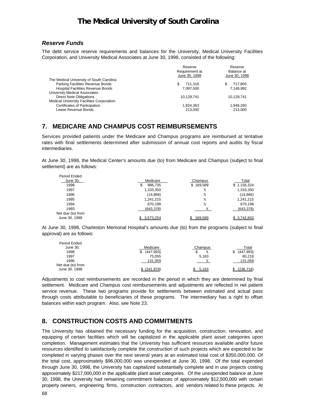#### *Reserve Funds*

The debt service reserve requirements and balances for the University, Medical University Facilities Corporation, and University Medical Associates at June 30, 1998, consisted of the following:

|                                                   | Reserve<br>Requirement at | Reserve<br>Balance at |
|---------------------------------------------------|---------------------------|-----------------------|
|                                                   | June 30, 1998             | June 30, 1998         |
| The Medical University of South Carolina:         |                           |                       |
| Parking Facilities Revenue Bonds                  | 711.318                   | \$<br>717,805         |
| <b>Hospital Facilities Revenue Bonds</b>          | 7.097.500                 | 7.148.992             |
| University Medical Associates:                    |                           |                       |
| <b>Direct Note Obligations</b>                    | 10.129.741                | 10,129,741            |
| <b>Medical University Facilities Corporation:</b> |                           |                       |
| Certificates of Participation                     | 1.824.363                 | 1.949.260             |
| Lease Revenue Bonds                               | 213.000                   | 213.000               |
|                                                   |                           |                       |

### **7. MEDICARE AND CHAMPUS COST REIMBURSEMENTS**

Services provided patients under the Medicare and Champus programs are reimbursed at tentative rates with final settlements determined after submission of annual cost reports and audits by fiscal intermediaries.

At June 30, 1998, the Medical Center's amounts due (to) from Medicare and Champus (subject to final settlement) are as follows:

| Period Ended      |               |           |             |
|-------------------|---------------|-----------|-------------|
| June 30,          | Medicare      | Champus   | Total       |
| 1998              | 986,735<br>\$ | \$169,589 | \$1,156,324 |
| 1997              | 1,333,350     | X         | 1,333,350   |
| 1996              | (14, 866)     | X         | (14, 866)   |
| 1995              | 1,241,215     | Х         | 1,241,215   |
| 1994              | 670.198       | Х         | 670,198     |
| 1993              | (643, 378)    |           | (643, 378)  |
| Net due (to) from |               |           |             |
| June 30, 1998     | \$3.573.254   | \$169.589 | \$3.742.843 |

At June 30, 1998, Charleston Memorial Hospital's amounts due (to) from the programs (subject to final approval) are as follows:

| Period Ended                       |                |         |            |
|------------------------------------|----------------|---------|------------|
| June 30,                           | Medicare       | Champus | Total      |
| 1998                               | (447,993)<br>S | Х<br>J. | (447, 993) |
| 1997                               | 75,055         | 5,163   | 80,218     |
| 1996                               | 131,059        |         | 131,059    |
| Net due (to) from<br>June 30, 1998 | \$ (241.879)   | 5.163   | (236.716)  |

Adjustments to cost reimbursements are recorded in the period in which they are determined by final settlement. Medicare and Champus cost reimbursements and adjustments are reflected in net patient service revenue. These two programs provide for settlements between estimated and actual pass through costs attributable to beneficiaries of these programs. The intermediary has a right to offset balances within each program. Also, see Note 23.

### **8. CONSTRUCTION COSTS AND COMMITMENTS**

The University has obtained the necessary funding for the acquisition, construction, renovation, and equipping of certain facilities which will be capitalized in the applicable plant asset categories upon completion. Management estimates that the University has sufficient resources available and/or future resources identified to satisfactorily complete the construction of such projects which are expected to be completed in varying phases over the next several years at an estimated total cost of \$350,000,000. Of the total cost, approximately \$96,000,000 was unexpended at June 30, 1998. Of the total expended through June 30, 1998, the University has capitalized substantially complete and in use projects costing approximately \$217,000,000 in the applicable plant asset categories. Of the unexpended balance at June 30, 1998, the University had remaining commitment balances of approximately \$12,500,000 with certain property owners, engineering firms, construction contractors, and vendors related to these projects. At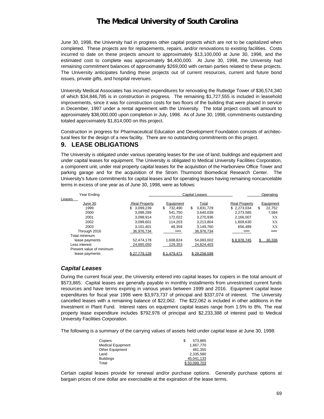June 30, 1998, the University had in progress other capital projects which are not to be capitalized when completed. These projects are for replacements, repairs, and/or renovations to existing facilities. Costs incurred to date on these projects amount to approximately \$13,100,000 at June 30, 1998, and the estimated cost to complete was approximately \$4,400,000. At June 30, 1998, the University had remaining commitment balances of approximately \$269,000 with certain parties related to these projects. The University anticipates funding these projects out of current resources, current and future bond issues, private gifts, and hospital revenues.

University Medical Associates has incurred expenditures for renovating the Rutledge Tower of \$36,574,340 of which \$34,846,785 is in construction in progress. The remaining \$1,727,555 is included in leasehold improvements, since it was for construction costs for two floors of the building that were placed in service in December, 1997 under a rental agreement with the University. The total project costs will amount to approximately \$38,000,000 upon completion in July, 1998. As of June 30, 1998, commitments outstanding totaled approximately \$1,814,000 on this project.

Construction in progress for Pharmaceutical Education and Development Foundation consists of architectural fees for the design of a new facility. There are no outstanding commitments on this project.

### **9. LEASE OBLIGATIONS**

The University is obligated under various operating leases for the use of land, buildings and equipment and under capital leases for equipment. The University is obligated to Medical University Facilities Corporation, a component unit, under real property capital leases for the acquisition of the Harborview Office Tower and parking garage and for the acquisition of the Strom Thurmond Biomedical Research Center. The University's future commitments for capital leases and for operating leases having remaining noncancelable terms in excess of one year as of June 30, 1998, were as follows:

| Year Ending              |                |               | <b>Capital Leases</b> |                      | Operating    |
|--------------------------|----------------|---------------|-----------------------|----------------------|--------------|
| Leases                   |                |               |                       |                      |              |
| June 30                  | Real Property, | Equipment     | Total                 | <b>Real Property</b> | Equipment    |
| 1999                     | 3.099.239      | \$<br>732.490 | \$<br>3,831,729       | \$2,273,034          | \$<br>22,752 |
| 2000                     | 3,098,289      | 541.750       | 3,640,039             | 2,273,585            | 7,584        |
| 2001                     | 3.098.914      | 172.022       | 3.270.936             | 2.166.007            | XX           |
| 2002                     | 3,099,601      | 114.203       | 3.213.804             | 1,609,630            | XX           |
| 2003                     | 3.101.401      | 48.359        | 3.149.760             | 656.489              | XX           |
| Through 2016             | 36,976,734     |               | 36,976,734            |                      |              |
| Total minimum            |                |               |                       |                      |              |
| lease payments           | 52.474.178     | 1.608.824     | 54.083.002            | \$8.978.745          | 30.336       |
| Less interest            | 24,695,050     | 129,353       | 24,824,403            |                      |              |
| Present value of minimum |                |               |                       |                      |              |
| lease payments           | \$27.779.128   | \$1.479.471   | \$29.258.599          |                      |              |

#### *Capital Leases*

During the current fiscal year, the University entered into capital leases for copiers in the total amount of \$573,865. Capital leases are generally payable in monthly installments from unrestricted current funds resources and have terms expiring in various years between 1999 and 2016. Equipment capital lease expenditures for fiscal year 1998 were \$3,973,737 of principal and \$337,074 of interest. The University cancelled leases with a remaining balance of \$22,062. The \$22,062 is included in other additions in the Investment in Plant Fund. Interest rates on equipment capital leases range from 1.5% to 8%. The real property lease expenditure includes \$792,978 of principal and \$2,233,388 of interest paid to Medical University Facilities Corporation.

The following is a summary of the carrying values of assets held under capital lease at June 30, 1998:

| Copiers                  | S | 573.865      |
|--------------------------|---|--------------|
| <b>Medical Equipment</b> |   | 1.667.770    |
| <b>Other Equipment</b>   |   | 481.355      |
| Land                     |   | 2.335.580    |
| <b>Buildings</b>         |   | 45.041.133   |
| Total                    |   | \$50.099.703 |

Certain capital leases provide for renewal and/or purchase options. Generally purchase options at bargain prices of one dollar are exercisable at the expiration of the lease terms.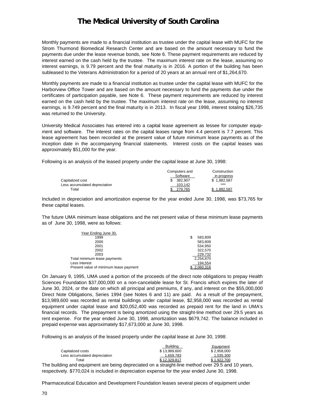Monthly payments are made to a financial institution as trustee under the capital lease with MUFC for the Strom Thurmond Biomedical Research Center and are based on the amount necessary to fund the payments due under the lease revenue bonds, see Note 6. These payment requirements are reduced by interest earned on the cash held by the trustee. The maximum interest rate on the lease, assuming no interest earnings, is 9.79 percent and the final maturity is in 2016. A portion of the building has been subleased to the Veterans Administration for a period of 20 years at an annual rent of \$1,264,670.

Monthly payments are made to a financial institution as trustee under the capital lease with MUFC for the Harborview Office Tower and are based on the amount necessary to fund the payments due under the certificates of participation payable, see Note 6. These payment requirements are reduced by interest earned on the cash held by the trustee. The maximum interest rate on the lease, assuming no interest earnings, is 9.749 percent and the final maturity is in 2013. In fiscal year 1998, interest totaling \$26,735 was returned to the University.

University Medical Associates has entered into a capital lease agreement as lessee for computer equipment and software. The interest rates on the capital leases range from 4.4 percent is 7.7 percent. This lease agreement has been recorded at the present value of future minimum lease payments as of the inception date in the accompanying financial statements. Interest costs on the capital leases was approximately \$51,000 for the year.

Following is an analysis of the leased property under the capital lease at June 30, 1998:

|                               | Computers and | Construction |
|-------------------------------|---------------|--------------|
|                               | Software      | in progress  |
| Capitalized cost              | 382.907       | \$1.882.587  |
| Less accumulated depreciation | 103.142       |              |
| Total                         | 279.765       | 1.882.587    |

Included in depreciation and amortization expense for the year ended June 30, 1998, was \$73,765 for these capital leases.

The future UMA minimum lease obligations and the net present value of these minimum lease payments as of June 30, 1998, were as follows:

| Year Ending June 30,                   |              |
|----------------------------------------|--------------|
| 1999                                   | 583.809<br>S |
| 2000                                   | 583.809      |
| 2001                                   | 534,950      |
| 2002                                   | 322.570      |
| 2003                                   | 229,732      |
| Total minimum lease payments           | 2,254,870    |
| Less interest                          | 194,554      |
| Present value of minimum lease payment | \$2.060.316  |

On January 9, 1995, UMA used a portion of the proceeds of the direct note obligations to prepay Health Sciences Foundation \$37,000,000 on a non-cancelable lease for St. Francis which expires the later of June 30, 2024, or the date on which all principal and premiums, if any, and interest on the \$55,000,000 Direct Note Obligations, Series 1994 (see Notes 6 and 11) are paid. As a result of the prepayment, \$13,989,600 was recorded as rental buildings under capital lease, \$2,958,000 was recorded as rental equipment under capital lease and \$20,052,400 was recorded as prepaid rent for the land in UMA's financial records. The prepayment is being amortized using the straight-line method over 29.5 years as rent expense. For the year ended June 30, 1998, amortization was \$679,742. The balance included in prepaid expense was approximately \$17,673,000 at June 30, 1998.

Following is an analysis of the leased property under the capital lease at June 30, 1998:

|                               | <b>Building</b> | Equipment   |
|-------------------------------|-----------------|-------------|
| Capitalized costs             | \$13.989.600    | \$2.958.000 |
| Less accumulated depreciation | 1.659.783       | 1.035.300   |
| Total                         | \$12,329,817    | \$1.922.700 |

The building and equipment are being depreciated on a straight-line method over 29.5 and 10 years, respectively. \$770,024 is included in depreciation expense for the year ended June 30, 1998.

Pharmaceutical Education and Development Foundation leases several pieces of equipment under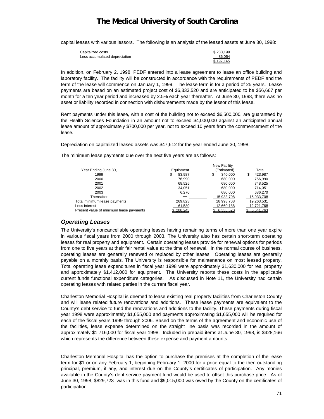capital leases with various lessors. The following is an analysis of the leased assets at June 30, 1998:

| Capitalized costs             | \$283.199 |
|-------------------------------|-----------|
| Less accumulated depreciation | 86,054    |
|                               | \$197.145 |

In addition, on February 2, 1998, PEDF entered into a lease agreement to lease an office building and laboratory facility. The facility will be constructed in accordance with the requirements of PEDF and the term of the lease will commence on January 1, 1999. The lease term is for a period of 25 years. Lease payments are based on an estimated project cost of \$6,333,520 and are anticipated to be \$56,667 per month for a ten year period and increased by 2.5% each year thereafter. At June 30, 1998, there was no asset or liability recorded in connection with disbursements made by the lessor of this lease.

Rent payments under this lease, with a cost of the building not to exceed \$6,500,000, are guaranteed by the Health Sciences Foundation in an amount not to exceed \$4,000,000 against an anticipated annual lease amount of approximately \$700,000 per year, not to exceed 10 years from the commencement of the lease.

Depreciation on capitalized leased assets was \$47,612 for the year ended June 30, 1998.

The minimum lease payments due over the next five years are as follows:

|                                         | <b>New Facility</b> |               |            |
|-----------------------------------------|---------------------|---------------|------------|
| Year Ending June 30,                    | Equipment           | (Estimated)   | Total      |
| 1999                                    | 83.987<br>S         | 340,000<br>\$ | 423,987    |
| 2000                                    | 76.990              | 680.000       | 756.990    |
| 2001                                    | 68,525              | 680.000       | 748,525    |
| 2002                                    | 34.051              | 680.000       | 714.051    |
| 2003                                    | 6,270               | 680.000       | 686,270    |
| Thereafter                              |                     | 15,933,708    | 15,933,708 |
| Total minimum lease payments            | 269,823             | 18,993,708    | 19,263,531 |
| Less interest                           | 61,580              | 12,660,188    | 12,721,768 |
| Present value of minimum lease payments | \$208.243           | 6.333.520     | 6.541.763  |
|                                         |                     |               |            |

#### *Operating Leases*

The University's noncancellable operating leases having remaining terms of more than one year expire in various fiscal years from 2000 through 2003. The University also has certain short-term operating leases for real property and equipment. Certain operating leases provide for renewal options for periods from one to five years at their fair rental value at the time of renewal. In the normal course of business, operating leases are generally renewed or replaced by other leases. Operating leases are generally payable on a monthly basis. The University is responsible for maintenance on most leased property. Total operating lease expenditures in fiscal year 1998 were approximately \$1,630,000 for real property and approximately \$1,412,000 for equipment. The University reports these costs in the applicable current funds functional expenditure categories. As discussed in Note 11, the University had certain operating leases with related parties in the current fiscal year.

Charleston Memorial Hospital is deemed to lease existing real property facilities from Charleston County and will lease related future renovations and additions. These lease payments are equivalent to the County's debt service to fund the renovations and additions to the facility. These payments during fiscal year 1998 were approximately \$1,655,000 and payments approximating \$1,655,000 will be required for each of the fiscal years 1999 through 2006. Based on the terms of the agreement and economic use of the facilities, lease expense determined on the straight line basis was recorded in the amount of approximately \$1,716,000 for fiscal year 1998. Included in prepaid items at June 30, 1998, is \$428,166 which represents the difference between these expense and payment amounts.

Charleston Memorial Hospital has the option to purchase the premises at the completion of the lease term for \$1 or on any February 1, beginning February 1, 2000 for a price equal to the then outstanding principal, premium, if any, and interest due on the County's certificates of participation. Any monies available in the County's debt service payment fund would be used to offset this purchase price. As of June 30, 1998, \$829,723 was in this fund and \$9,015,000 was owed by the County on the certificates of participation.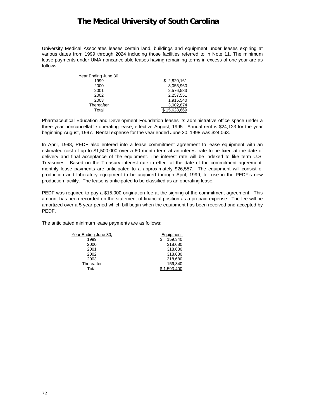University Medical Associates leases certain land, buildings and equipment under leases expiring at various dates from 1999 through 2024 including those facilities referred to in Note 11. The minimum lease payments under UMA noncancelable leases having remaining terms in excess of one year are as follows:

| Year Ending June 30, |             |
|----------------------|-------------|
| 1999                 | \$2,820,161 |
| 2000                 | 3,055,960   |
| 2001                 | 2,576,583   |
| 2002                 | 2,257,551   |
| 2003                 | 1.915.540   |
| Thereafter           | 3,002,874   |
| Total                | 15.628.669  |

Pharmaceutical Education and Development Foundation leases its administrative office space under a three year noncancellable operating lease, effective August, 1995. Annual rent is \$24,123 for the year beginning August, 1997. Rental expense for the year ended June 30, 1998 was \$24,063.

In April, 1998, PEDF also entered into a lease commitment agreement to lease equipment with an estimated cost of up to \$1,500,000 over a 60 month term at an interest rate to be fixed at the date of delivery and final acceptance of the equipment. The interest rate will be indexed to like term U.S. Treasuries. Based on the Treasury interest rate in effect at the date of the commitment agreement, monthly lease payments are anticipated to a approximately \$26,557. The equipment will consist of production and laboratory equipment to be acquired through April, 1999, for use in the PEDF's new production facility. The lease is anticipated to be classified as an operating lease.

PEDF was required to pay a \$15,000 origination fee at the signing of the commitment agreement. This amount has been recorded on the statement of financial position as a prepaid expense. The fee will be amortized over a 5 year period which bill begin when the equipment has been received and accepted by PEDF.

The anticipated minimum lease payments are as follows:

| Year Ending June 30. | Equipment    |
|----------------------|--------------|
| 1999                 | 159,340<br>S |
| 2000                 | 318,680      |
| 2001                 | 318,680      |
| 2002                 | 318,680      |
| 2003                 | 318,680      |
| Thereafter           | 159,340      |
| Total                | .593.400     |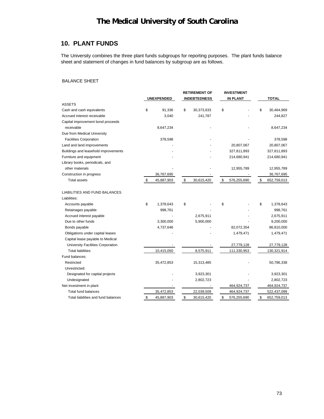### **10. PLANT FUNDS**

The University combines the three plant funds subgroups for reporting purposes. The plant funds balance sheet and statement of changes in fund balances by subgroup are as follows.

#### BALANCE SHEET

|                                      |     |                   | <b>RETIREMENT OF</b> | <b>INVESTMENT</b> |                   |
|--------------------------------------|-----|-------------------|----------------------|-------------------|-------------------|
|                                      |     | <b>UNEXPENDED</b> | <b>INDEBTEDNESS</b>  | <b>IN PLANT</b>   | <b>TOTAL</b>      |
| <b>ASSETS</b>                        |     |                   |                      |                   |                   |
| Cash and cash equivalents            | \$  | 91,336            | \$<br>30,373,633     | \$                | \$<br>30,464,969  |
| Accrued interest receivable          |     | 3,040             | 241,787              |                   | 244,827           |
| Capital improvement bond proceeds    |     |                   |                      |                   |                   |
| receivable                           |     | 8,647,234         |                      |                   | 8,647,234         |
| Due from Medical University          |     |                   |                      |                   |                   |
| <b>Facilities Corporation</b>        |     | 378,598           |                      |                   | 378,598           |
| Land and land improvements           |     |                   |                      | 20,807,067        | 20,807,067        |
| Buildings and leasehold improvements |     |                   |                      | 327,811,893       | 327,811,893       |
| Furniture and equipment              |     |                   |                      | 214,680,941       | 214,680,941       |
| Library books, periodicals, and      |     |                   |                      |                   |                   |
| other materials                      |     |                   |                      | 12,955,789        | 12,955,789        |
| Construction in progress             |     | 36,767,695        |                      |                   | 36,767,695        |
| <b>Total assets</b>                  | \$. | 45,887,903        | \$<br>30,615,420     | \$<br>576,255,690 | \$<br>652,759,013 |
|                                      |     |                   |                      |                   |                   |
| LIABILITIES AND FUND BALANCES        |     |                   |                      |                   |                   |
| Liabilities:                         |     |                   |                      |                   |                   |
| Accounts payable                     | \$  | 1,378,643         | \$                   | \$                | \$<br>1,378,643   |
| Retainages payable                   |     | 998,761           |                      |                   | 998,761           |
| Accrued interest payable             |     |                   | 2,675,911            |                   | 2,675,911         |
| Due to other funds                   |     | 3,300,000         | 5,900,000            |                   | 9,200,000         |
| Bonds payable                        |     | 4,737,646         |                      | 82,072,354        | 86,810,000        |
| Obligations under capital leases     |     |                   |                      | 1,479,471         | 1,479,471         |
| Capital lease payable to Medical     |     |                   |                      |                   |                   |
| University Facilities Corporation    |     |                   |                      | 27,779,128        | 27,779,128        |
| <b>Total liabilities</b>             |     | 10,415,050        | 8,575,911            | 111,330,953       | 130,321,914       |
| Fund balances:                       |     |                   |                      |                   |                   |
| Restricted                           |     | 35,472,853        | 15,313,485           |                   | 50,786,338        |
| Unrestricted:                        |     |                   |                      |                   |                   |
| Designated for capital projects      |     |                   | 3,923,301            |                   | 3,923,301         |
| Undesignated                         |     |                   | 2,802,723            |                   | 2,802,723         |
| Net investment in plant              |     |                   |                      | 464,924,737       | 464,924,737       |
| <b>Total fund balances</b>           |     | 35,472,853        | 22,039,509           | 464,924,737       | 522,437,099       |
| Total liabilities and fund balances  | \$  | 45,887,903        | \$<br>30,615,420     | \$<br>576,255,690 | \$<br>652,759,013 |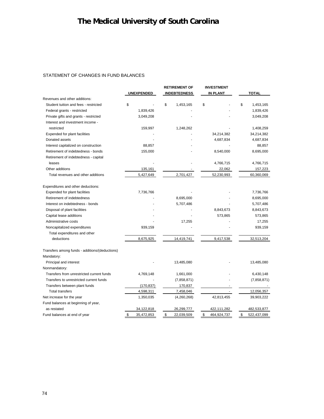#### STATEMENT OF CHANGES IN FUND BALANCES

|                                                |                   | <b>RETIREMENT OF</b> | <b>INVESTMENT</b> |                   |  |
|------------------------------------------------|-------------------|----------------------|-------------------|-------------------|--|
|                                                | <b>UNEXPENDED</b> | <b>INDEBTEDNESS</b>  | <b>IN PLANT</b>   | <b>TOTAL</b>      |  |
| Revenues and other additions:                  |                   |                      |                   |                   |  |
| Student tuition and fees - restricted          | \$                | \$<br>1,453,165      | \$                | \$<br>1,453,165   |  |
| Federal grants - restricted                    | 1,839,426         |                      |                   | 1,839,426         |  |
| Private gifts and grants - restricted          | 3,049,208         |                      |                   | 3,049,208         |  |
| Interest and investment income -               |                   |                      |                   |                   |  |
| restricted                                     | 159,997           | 1,248,262            |                   | 1,408,259         |  |
| Expended for plant facilities                  |                   |                      | 34,214,382        | 34,214,382        |  |
| Donated assets                                 |                   |                      | 4,687,834         | 4,687,834         |  |
| Interest capitalized on construction           | 88,857            |                      |                   | 88,857            |  |
| Retirement of indebtedness - bonds             | 155,000           |                      | 8,540,000         | 8,695,000         |  |
| Retirement of indebtedness - capital           |                   |                      |                   |                   |  |
| leases                                         |                   |                      | 4,766,715         | 4,766,715         |  |
| Other additions                                | 135,161           |                      | 22,062            | 157,223           |  |
| Total revenues and other additions             | 5,427,649         | 2,701,427            | 52,230,993        | 60,360,069        |  |
| Expenditures and other deductions:             |                   |                      |                   |                   |  |
| Expended for plant facilities                  | 7,736,766         |                      |                   | 7,736,766         |  |
| Retirement of indebtedness                     |                   | 8,695,000            |                   | 8,695,000         |  |
| Interest on indebtedness - bonds               |                   | 5,707,486            |                   | 5,707,486         |  |
| Disposal of plant facilities                   |                   |                      | 8,843,673         | 8,843,673         |  |
| Capital lease additions                        |                   |                      | 573,865           | 573,865           |  |
| Administrative costs                           |                   | 17,255               |                   | 17,255            |  |
| Noncapitalized expenditures                    | 939,159           |                      |                   | 939,159           |  |
| Total expenditures and other                   |                   |                      |                   |                   |  |
| deductions                                     | 8,675,925         | 14,419,741           | 9,417,538         | 32,513,204        |  |
| Transfers among funds - additions/(deductions) |                   |                      |                   |                   |  |
| Mandatory:                                     |                   |                      |                   |                   |  |
| Principal and interest                         |                   | 13,485,080           |                   | 13,485,080        |  |
| Nonmandatory:                                  |                   |                      |                   |                   |  |
| Transfers from unrestricted current funds      | 4,769,148         | 1,661,000            |                   | 6,430,148         |  |
| Transfers to unrestricted current funds        |                   | (7,858,871)          |                   | (7,858,871)       |  |
| Transfers between plant funds                  | (170, 837)        | 170,837              |                   |                   |  |
| <b>Total transfers</b>                         | 4,598,311         | 7,458,046            |                   | 12,056,357        |  |
| Net increase for the year                      | 1,350,035         | (4,260,268)          | 42,813,455        | 39,903,222        |  |
| Fund balances at beginning of year,            |                   |                      |                   |                   |  |
| as restated                                    | 34,122,818        | 26,299,777           | 422,111,282       | 482,533,877       |  |
| Fund balances at end of year                   | \$<br>35,472,853  | \$<br>22,039,509     | \$<br>464,924,737 | \$<br>522,437,099 |  |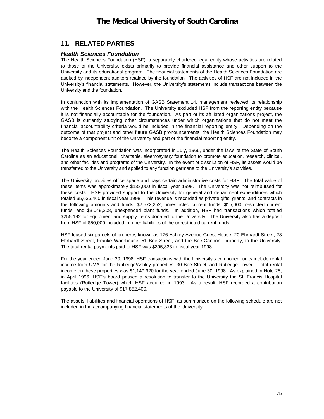### **11. RELATED PARTIES**

#### *Health Sciences Foundation*

The Health Sciences Foundation (HSF), a separately chartered legal entity whose activities are related to those of the University, exists primarily to provide financial assistance and other support to the University and its educational program. The financial statements of the Health Sciences Foundation are audited by independent auditors retained by the foundation. The activities of HSF are not included in the University's financial statements. However, the University's statements include transactions between the University and the foundation.

In conjunction with its implementation of GASB Statement 14, management reviewed its relationship with the Health Sciences Foundation. The University excluded HSF from the reporting entity because it is not financially accountable for the foundation. As part of its affiliated organizations project, the GASB is currently studying other circumstances under which organizations that do not meet the financial accountability criteria would be included in the financial reporting entity. Depending on the outcome of that project and other future GASB pronouncements, the Health Sciences Foundation may become a component unit of the University and part of the financial reporting entity.

The Health Sciences Foundation was incorporated in July, 1966, under the laws of the State of South Carolina as an educational, charitable, eleemosynary foundation to promote education, research, clinical, and other facilities and programs of the University. In the event of dissolution of HSF, its assets would be transferred to the University and applied to any function germane to the University's activities.

The University provides office space and pays certain administrative costs for HSF. The total value of these items was approximately \$133,000 in fiscal year 1998. The University was not reimbursed for these costs. HSF provided support to the University for general and department expenditures which totaled \$5,636,460 in fiscal year 1998. This revenue is recorded as private gifts, grants, and contracts in the following amounts and funds: \$2,572,252, unrestricted current funds; \$15,000, restricted current funds; and \$3,049,208, unexpended plant funds. In addition, HSF had transactions which totaled \$255,192 for equipment and supply items donated to the University. The University also has a deposit from HSF of \$50,000 included in other liabilities of the unrestricted current funds.

HSF leased six parcels of property, known as 176 Ashley Avenue Guest House, 20 Ehrhardt Street, 28 Ehrhardt Street, Franke Warehouse, 51 Bee Street, and the Bee-Cannon property, to the University. The total rental payments paid to HSF was \$395,333 in fiscal year 1998.

For the year ended June 30, 1998, HSF transactions with the University's component units include rental income from UMA for the Rutledge/Ashley properties, 30 Bee Street, and Rutledge Tower. Total rental income on these properties was \$1,149,920 for the year ended June 30, 1998. As explained in Note 25, in April 1996, HSF's board passed a resolution to transfer to the University the St. Francis Hospital facilities (Rutledge Tower) which HSF acquired in 1993. As a result, HSF recorded a contribution payable to the University of \$17,852,400.

The assets, liabilities and financial operations of HSF, as summarized on the following schedule are not included in the accompanying financial statements of the University.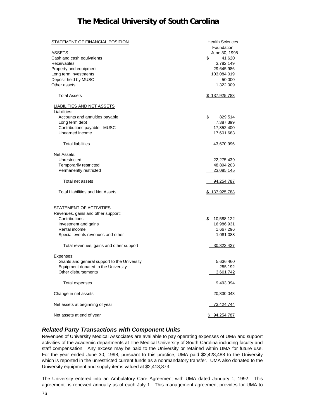| <b>STATEMENT OF FINANCIAL POSITION</b>       | <b>Health Sciences</b>      |
|----------------------------------------------|-----------------------------|
| <b>ASSETS</b>                                | Foundation<br>June 30, 1998 |
| Cash and cash equivalents                    | \$<br>41,620                |
| Receivables                                  | 3,782,149                   |
| Property and equipment                       | 29,645,986                  |
| Long term investments                        | 103,084,019                 |
| Deposit held by MUSC                         | 50,000                      |
| Other assets                                 | 1,322,009                   |
| <b>Total Assets</b>                          | \$137,925,783               |
| <b>LIABILITIES AND NET ASSETS</b>            |                             |
| Liabilities:                                 |                             |
| Accounts and annuities payable               | \$<br>829,514               |
| Long term debt                               | 7,387,399                   |
| Contributions payable - MUSC                 | 17,852,400                  |
| Unearned income                              | 17,601,683                  |
| <b>Total liabilities</b>                     | 43,670,996                  |
| Net Assets:                                  |                             |
| Unrestricted                                 | 22,275,439                  |
| Temporarily restricted                       | 48,894,203                  |
| Permanently restricted                       | 23.085,145                  |
| Total net assets                             | 94,254,787                  |
| <b>Total Liabilities and Net Assets</b>      | \$137,925,783               |
| <b>STATEMENT OF ACTIVITIES</b>               |                             |
| Revenues, gains and other support:           |                             |
| Contributions                                | \$<br>10,588,122            |
| Investment and gains                         | 16,986,931                  |
| Rental income                                | 1,667,296                   |
| Special events revenues and other            | 1,081,088                   |
| Total revenues, gains and other support      | <u>30,323,437</u>           |
| Expenses:                                    |                             |
| Grants and general support to the University | 5,636,460                   |
| Equipment donated to the University          | 255,192                     |
| Other disbursements                          | 3,601,742                   |
| Total expenses                               | 9,493,394                   |
| Change in net assets                         | 20,830,043                  |
| Net assets at beginning of year              | 73,424,744                  |
| Net assets at end of year                    | \$94,254,787                |

#### *Related Party Transactions with Component Units*

Revenues of University Medical Associates are available to pay operating expenses of UMA and support activities of the academic departments at The Medical University of South Carolina including faculty and staff compensation. Any excess may be paid to the University or retained within UMA for future use. For the year ended June 30, 1998, pursuant to this practice, UMA paid \$2,428,488 to the University which is reported in the unrestricted current funds as a nonmandatory transfer. UMA also donated to the University equipment and supply items valued at \$2,413,873.

The University entered into an Ambulatory Care Agreement with UMA dated January 1, 1992. This agreement is renewed annually as of each July 1. This management agreement provides for UMA to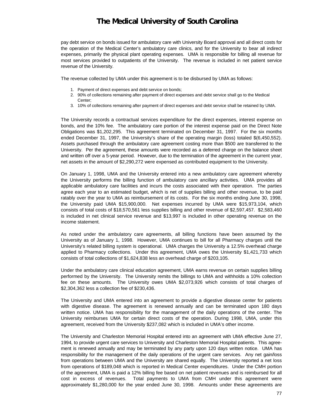pay debt service on bonds issued for ambulatory care with University Board approval and all direct costs for the operation of the Medical Center's ambulatory care clinics, and for the University to bear all indirect expenses, primarily the physical plant operating expenses. UMA is responsible for billing all revenue for most services provided to outpatients of the University. The revenue is included in net patient service revenue of the University.

The revenue collected by UMA under this agreement is to be disbursed by UMA as follows:

- 1. Payment of direct expenses and debt service on bonds;
- 2. 90% of collections remaining after payment of direct expenses and debt service shall go to the Medical Center;
- 3. 10% of collections remaining after payment of direct expenses and debt service shall be retained by UMA.

The University records a contractual services expenditure for the direct expenses, interest expense on bonds, and the 10% fee. The ambulatory care portion of the interest expense paid on the Direct Note Obligations was \$1,202,295. This agreement terminated on December 31, 1997. For the six months ended December 31, 1997, the University's share of the operating margin (loss) totaled \$(6,450,552). Assets purchased through the ambulatory care agreement costing more than \$500 are transferred to the University. Per the agreement, these amounts were recorded as a deferred charge on the balance sheet and written off over a 5-year period. However, due to the termination of the agreement in the current year, net assets in the amount of \$2,290,272 were expensed as contributed equipment to the University.

On January 1, 1998, UMA and the University entered into a new ambulatory care agreement whereby the University performs the billing function of ambulatory care ancillary activities. UMA provides all applicable ambulatory care facilities and incurs the costs associated with their operation. The parties agree each year to an estimated budget, which is net of supplies billing and other revenue, to be paid ratably over the year to UMA as reimbursement of its costs. For the six months ending June 30, 1998, the University paid UMA \$15,900,000. Net expenses incurred by UMA were \$15,973,104, which consists of total costs of \$18,570,561 less supplies billing and other revenue of \$2,597,457. \$2,583,460 is included in net clinical service revenue and \$13,997 is included in other operating revenue on the income statement.

As noted under the ambulatory care agreements, all billing functions have been assumed by the University as of January 1, 1998. However, UMA continues to bill for all Pharmacy charges until the University's related billing system is operational. UMA charges the University a 12.5% overhead charge applied to Pharmacy collections. Under this agreement, UMA owes the University \$1,421,733 which consists of total collections of \$1,624,838 less an overhead charge of \$203,105.

Under the ambulatory care clinical education agreement, UMA earns revenue on certain supplies billing performed by the University. The University remits the billings to UMA and withholds a 10% collection fee on these amounts. The University owes UMA \$2,073,926 which consists of total charges of \$2,304,362 less a collection fee of \$230,436.

The University and UMA entered into an agreement to provide a digestive disease center for patients with digestive disease. The agreement is renewed annually and can be terminated upon 180 days written notice. UMA has responsibility for the management of the daily operations of the center. The University reimburses UMA for certain direct costs of the operation. During 1998, UMA, under this agreement, received from the University \$237,082 which is included in UMA's other income.

The University and Charleston Memorial Hospital entered into an agreement with UMA effective June 27, 1994, to provide urgent care services to University and Charleston Memorial Hospital patients. This agreement is renewed annually and may be terminated by any party upon 120 days written notice. UMA has responsibility for the management of the daily operations of the urgent care services. Any net gain/loss from operations between UMA and the University are shared equally. The University reported a net loss from operations of \$189,048 which is reported in Medical Center expenditures. Under the CMH portion of the agreement, UMA is paid a 12% billing fee based on net patient revenues and is reimbursed for all cost in excess of revenues. Total payments to UMA from CMH under this agreement were approximately \$1,280,000 for the year ended June 30, 1998. Amounts under these agreements are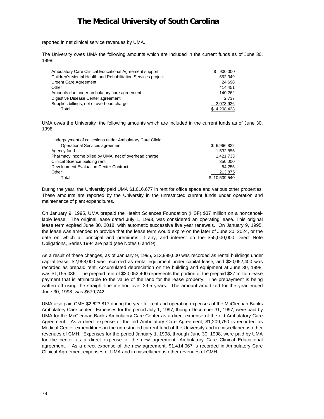reported in net clinical service revenues by UMA.

The University owes UMA the following amounts which are included in the current funds as of June 30, 1998:

| Ambulatory Care Clinical Educational Agreement support       | 900.000<br>SS. |
|--------------------------------------------------------------|----------------|
| Children's Mental Health and Rehabilitation Services project | 652.349        |
| <b>Urgent Care Agreement</b>                                 | 24.698         |
| Other                                                        | 414.451        |
| Amounts due under ambulatory care agreement                  | 140.262        |
| Digestive Disease Center agreement                           | 2.737          |
| Supplies billings, net of overhead charge                    | 2,073,926      |
| Total                                                        | \$4.208.423    |

UMA owes the University the following amounts which are included in the current funds as of June 30, 1998:

| Underpayment of collections under Ambulatory Care Clinic |             |
|----------------------------------------------------------|-------------|
| Operational Services agreement                           | \$6,966,822 |
| Agency fund                                              | 1,532,855   |
| Pharmacy income billed by UMA, net of overhead charge    | 1,421,733   |
| Clinical Science building rent                           | 350,000     |
| Development Evaluation Center Contract                   | 54.255      |
| Other                                                    | 213,875     |
| Total                                                    | 10.539.540  |

During the year, the University paid UMA \$1,016,677 in rent for office space and various other properties. These amounts are reported by the University in the unrestricted current funds under operation and maintenance of plant expenditures.

On January 9, 1995, UMA prepaid the Health Sciences Foundation (HSF) \$37 million on a noncancellable lease. The original lease dated July 1, 1993, was considered an operating lease. This original lease term expired June 30, 2018, with automatic successive five year renewals. On January 9, 1995, the lease was amended to provide that the lease term would expire on the later of June 30, 2024, or the date on which all principal and premiums, if any, and interest on the \$55,000,000 Direct Note Obligations, Series 1994 are paid (see Notes 6 and 9).

As a result of these changes, as of January 9, 1995, \$13,989,600 was recorded as rental buildings under capital lease, \$2,958,000 was recorded as rental equipment under capital lease, and \$20,052,400 was recorded as prepaid rent. Accumulated depreciation on the building and equipment at June 30, 1998, was \$1,155,036. The prepaid rent of \$20,052,400 represents the portion of the prepaid \$37 million lease payment that is attributable to the value of the land for the lease property. The prepayment is being written off using the straight-line method over 29.5 years. The amount amortized for the year ended June 30, 1998, was \$679,742.

UMA also paid CMH \$2,623,817 during the year for rent and operating expenses of the McClennan-Banks Ambulatory Care center. Expenses for the period July 1, 1997, though December 31, 1997, were paid by UMA for the McClennan-Banks Ambulatory Care Center as a direct expense of the old Ambulatory Care Agreement. As a direct expense of the old Ambulatory Care Agreement, \$1,209,750 is recorded as Medical Center expenditures in the unrestricted current fund of the University and in miscellaneous other revenues of CMH. Expenses for the period January 1, 1998, through June 30, 1998, were paid by UMA for the center as a direct expense of the new agreement, Ambulatory Care Clinical Educational agreement. As a direct expense of the new agreement, \$1,414,067 is recorded in Ambulatory Care Clinical Agreement expenses of UMA and in miscellaneous other revenues of CMH.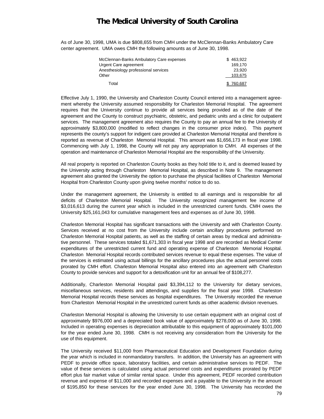As of June 30, 1998, UMA is due \$808,655 from CMH under the McClennan-Banks Ambulatory Care center agreement. UMA owes CMH the following amounts as of June 30, 1998.

| McClennan-Banks Ambulatory Care expenses | \$463.922 |
|------------------------------------------|-----------|
| Urgent Care agreement                    | 169.170   |
| Anesthesiology professional services     | 23.920    |
| Other                                    | 103,675   |
| Total                                    | 760,687   |

Effective July 1, 1990, the University and Charleston County Council entered into a management agreement whereby the University assumed responsibility for Charleston Memorial Hospital. The agreement requires that the University continue to provide all services being provided as of the date of the agreement and the County to construct psychiatric, obstetric, and pediatric units and a clinic for outpatient services. The management agreement also requires the County to pay an annual fee to the University of approximately \$3,800,000 (modified to reflect changes in the consumer price index). This payment represents the county's support for indigent care provided at Charleston Memorial Hospital and therefore is reported as revenue of Charleston Memorial Hospital. This amount was \$1,656,173 in fiscal year 1998. Commencing with July 1, 1998, the County will not pay any appropriation to CMH. All expenses of the operation and maintenance of Charleston Memorial Hospital are the responsibility of the University.

All real property is reported on Charleston County books as they hold title to it, and is deemed leased by the University acting through Charleston Memorial Hospital, as described in Note 9. The management agreement also granted the University the option to purchase the physical facilities of Charleston Memorial Hospital from Charleston County upon giving twelve months' notice to do so.

Under the management agreement, the University is entitled to all earnings and is responsible for all deficits of Charleston Memorial Hospital. The University recognized management fee income of \$3,016,613 during the current year which is included in the unrestricted current funds. CMH owes the University \$25,161,043 for cumulative management fees and expenses as of June 30, 1998.

Charleston Memorial Hospital has significant transactions with the University and with Charleston County. Services received at no cost from the University include certain ancillary procedures performed on Charleston Memorial Hospital patients, as well as the staffing of certain areas by medical and administrative personnel. These services totaled \$1,671,303 in fiscal year 1998 and are recorded as Medical Center expenditures of the unrestricted current fund and operating expense of Charleston Memorial Hospital. Charleston Memorial Hospital records contributed services revenue to equal these expenses. The value of the services is estimated using actual billings for the ancillary procedures plus the actual personnel costs prorated by CMH effort. Charleston Memorial Hospital also entered into an agreement with Charleston County to provide services and support for a detoxification unit for an annual fee of \$108,277.

Additionally, Charleston Memorial Hospital paid \$3,394,112 to the University for dietary services, miscellaneous services, residents and attendings, and supplies for the fiscal year 1998. Charleston Memorial Hospital records these services as hospital expenditures. The University recorded the revenue from Charleston Memorial Hospital in the unrestricted current funds as other academic division revenues.

Charleston Memorial Hospital is allowing the University to use certain equipment with an original cost of approximately \$976,000 and a depreciated book value of approximately \$278,000 as of June 30, 1998. Included in operating expenses is depreciation attributable to this equipment of approximately \$101,000 for the year ended June 30, 1998. CMH is not receiving any consideration from the University for the use of this equipment.

The University received \$11,000 from Pharmaceutical Education and Development Foundation during the year which is included in nonmandatory transfers. In addition, the University has an agreement with PEDF to provide office space, laboratory facilities, and certain administrative services to PEDF. The value of these services is calculated using actual personnel costs and expenditures prorated by PEDF effort plus fair market value of similar rental space. Under this agreement, PEDF recorded contribution revenue and expense of \$11,000 and recorded expenses and a payable to the University in the amount of \$195,850 for these services for the year ended June 30, 1998. The University has recorded the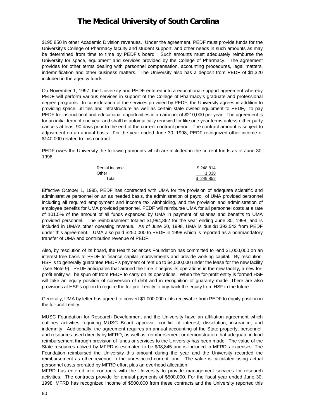\$195,850 in other Academic Division revenues. Under the agreement, PEDF must provide funds for the University's College of Pharmacy faculty and student support, and other needs in such amounts as may be determined from time to time by PEDF's board. Such amounts must adequately reimburse the University for space, equipment and services provided by the College of Pharmacy. The agreement provides for other terms dealing with personnel compensation, accounting procedures, legal matters, indemnification and other business matters. The University also has a deposit from PEDF of \$1,320 included in the agency funds.

On November 1, 1997, the University and PEDF entered into a educational support agreement whereby PEDF will perform various services in support of the College of Pharmacy's graduate and professional degree programs. In consideration of the services provided by PEDF, the University agrees in addition to providing space, utilities and infrastructure as well as certain state owned equipment to PEDF, to pay PEDF for instructional and educational opportunities in an amount of \$210,000 per year. The agreement is for an initial term of one year and shall be automatically renewed for like one year terms unless either party cancels at least 90 days prior to the end of the current contract period. The contract amount is subject to adjustment on an annual basis. For the year ended June 30, 1998, PEDF recognized other income of \$140,000 related to this contract.

PEDF owes the University the following amounts which are included in the current funds as of June 30, 1998:

| Rental income | \$248.814 |
|---------------|-----------|
| Other         | 1.038     |
| Total         | \$249.852 |

Effective October 1, 1995, PEDF has contracted with UMA for the provision of adequate scientific and administrative personnel on an as needed basis, the administration of payroll of UMA provided personnel including all required employment and income tax withholding, and the provision and administration of employee benefits for UMA provided personnel. PEDF will reimburse UMA for all personnel costs at a rate of 101.5% of the amount of all funds expended by UMA in payment of salaries and benefits to UMA provided personnel. The reimbursement totaled \$1,994,862 for the year ending June 30, 1998, and is included in UMA's other operating revenue. As of June 30, 1998, UMA is due \$1,392,542 from PEDF under this agreement. UMA also paid \$250,000 to PEDF in 1998 which is reported as a nonmandatory transfer of UMA and contribution revenue of PEDF.

Also, by resolution of its board, the Health Sciences Foundation has committed to lend \$1,000,000 on an interest free basis to PEDF to finance capital improvements and provide working capital. By resolution, HSF is to generally guarantee PEDF's payment of rent up to \$4,000,000 under the lease for the new facility (see Note 9). PEDF anticipates that around the time it begins its operations in the new facility, a new forprofit entity will be spun off from PEDF to carry on its operations. When the for-profit entity is formed HSF will take an equity position of conversion of debt and in recognition of guaranty made. There are also provisions at HSF's option to require the for-profit entity to buy-back the equity from HSF in the future.

Generally, UMA by letter has agreed to convert \$1,000,000 of its receivable from PEDF to equity position in the for-profit entity.

MUSC Foundation for Research Development and the University have an affiliation agreement which outlines activities requiring MUSC Board approval, conflict of interest, dissolution, insurance, and indemnity. Additionally, the agreement requires an annual accounting of the State property, personnel, and resources used directly by MFRD, as well as, reimbursement or demonstration that adequate in kind reimbursement through provision of funds or services to the University has been made. The value of the State resources utilized by MFRD is estimated to be \$98,845 and is included in MFRD's expenses. The Foundation reimbursed the University this amount during the year and the University recorded the reimbursement as other revenue in the unrestricted current fund. The value is calculated using actual personnel costs prorated by MFRD effort plus an overhead allocation.

MFRD has entered into contracts with the University to provide management services for research activities. The contracts provide for annual payments of \$500,000. For the fiscal year ended June 30, 1998, MFRD has recognized income of \$500,000 from these contracts and the University reported this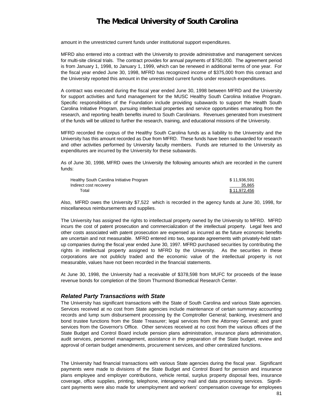amount in the unrestricted current funds under institutional support expenditures.

MFRD also entered into a contract with the University to provide administrative and management services for multi-site clinical trials. The contract provides for annual payments of \$750,000. The agreement period is from January 1, 1998, to January 1, 1999, which can be renewed in additional terms of one year. For the fiscal year ended June 30, 1998, MFRD has recognized income of \$375,000 from this contract and the University reported this amount in the unrestricted current funds under research expenditures.

A contract was executed during the fiscal year ended June 30, 1998 between MFRD and the University for support activities and fund management for the MUSC Healthy South Carolina Initiative Program. Specific responsibilities of the Foundation include providing subawards to support the Health South Carolina Initiative Program, pursuing intellectual properties and service opportunities emanating from the research, and reporting health benefits inured to South Carolinians. Revenues generated from investment of the funds will be utilized to further the research, training, and educational missions of the University.

MFRD recorded the corpus of the Healthy South Carolina funds as a liability to the University and the University has this amount recorded as Due from MFRD. These funds have been subawarded for research and other activities performed by University faculty members. Funds are returned to the University as expenditures are incurred by the University for these subawards.

As of June 30, 1998, MFRD owes the University the following amounts which are recorded in the current funds:

| Healthy South Carolina Initiative Program | \$11.936.591 |
|-------------------------------------------|--------------|
| Indirect cost recovery                    | 35,865       |
| Total                                     | \$11.972.456 |

Also, MFRD owes the University \$7,522 which is recorded in the agency funds at June 30, 1998, for miscellaneous reimbursements and supplies.

The University has assigned the rights to intellectual property owned by the University to MFRD. MFRD incurs the cost of patent prosecution and commercialization of the intellectual property. Legal fees and other costs associated with patent prosecution are expensed as incurred as the future economic benefits are uncertain and not measurable. MFRD entered into two, separate agreements with privately-held startup companies during the fiscal year ended June 30, 1997. MFRD purchased securities by contributing the rights in intellectual property assigned to MFRD by the University. As the securities in these corporations are not publicly traded and the economic value of the intellectual property is not measurable, values have not been recorded in the financial statements.

At June 30, 1998, the University had a receivable of \$378,598 from MUFC for proceeds of the lease revenue bonds for completion of the Strom Thurmond Biomedical Research Center.

#### *Related Party Transactions with State*

The University has significant transactions with the State of South Carolina and various State agencies. Services received at no cost from State agencies include maintenance of certain summary accounting records and lump sum disbursement processing by the Comptroller General; banking, investment and bond trustee functions from the State Treasurer; legal services from the Attorney General; and grant services from the Governor's Office. Other services received at no cost from the various offices of the State Budget and Control Board include pension plans administration, insurance plans administration, audit services, personnel management, assistance in the preparation of the State budget, review and approval of certain budget amendments, procurement services, and other centralized functions.

The University had financial transactions with various State agencies during the fiscal year. Significant payments were made to divisions of the State Budget and Control Board for pension and insurance plans employee and employer contributions, vehicle rental, surplus property disposal fees, insurance coverage, office supplies, printing, telephone, interagency mail and data processing services. Significant payments were also made for unemployment and workers' compensation coverage for employees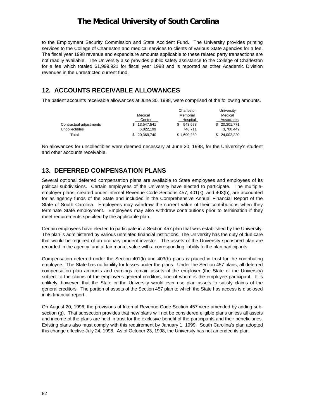to the Employment Security Commission and State Accident Fund. The University provides printing services to the College of Charleston and medical services to clients of various State agencies for a fee. The fiscal year 1998 revenue and expenditure amounts applicable to these related party transactions are not readily available. The University also provides public safety assistance to the College of Charleston for a fee which totaled \$1,999,921 for fiscal year 1998 and is reported as other Academic Division revenues in the unrestricted current fund.

### **12. ACCOUNTS RECEIVABLE ALLOWANCES**

The patient accounts receivable allowances at June 30, 1998, were comprised of the following amounts.

|                         |            | Charleston  | University |
|-------------------------|------------|-------------|------------|
|                         | Medical    | Memorial    | Medical    |
|                         | Center     | Hospital    | Associates |
| Contractual adjustments | 13.547.541 | 943.578     | 20,301,771 |
| <b>Uncollectibles</b>   | 6,822,199  | 746.711     | 3,700,449  |
| Total                   | 20.369.740 | \$1.690.289 | 24.002.220 |

No allowances for uncollectibles were deemed necessary at June 30, 1998, for the University's student and other accounts receivable.

### **13. DEFERRED COMPENSATION PLANS**

Several optional deferred compensation plans are available to State employees and employees of its political subdivisions. Certain employees of the University have elected to participate. The multipleemployer plans, created under Internal Revenue Code Sections 457, 401(k), and 403(b), are accounted for as agency funds of the State and included in the Comprehensive Annual Financial Report of the State of South Carolina. Employees may withdraw the current value of their contributions when they terminate State employment. Employees may also withdraw contributions prior to termination if they meet requirements specified by the applicable plan.

Certain employees have elected to participate in a Section 457 plan that was established by the University. The plan is administered by various unrelated financial institutions. The University has the duty of due care that would be required of an ordinary prudent investor. The assets of the University sponsored plan are recorded in the agency fund at fair market value with a corresponding liability to the plan participants.

Compensation deferred under the Section 401(k) and 403(b) plans is placed in trust for the contributing employee. The State has no liability for losses under the plans. Under the Section 457 plans, all deferred compensation plan amounts and earnings remain assets of the employer (the State or the University) subject to the claims of the employer's general creditors, one of whom is the employee participant. It is unlikely, however, that the State or the University would ever use plan assets to satisfy claims of the general creditors. The portion of assets of the Section 457 plan to which the State has access is disclosed in its financial report.

On August 20, 1996, the provisions of Internal Revenue Code Section 457 were amended by adding subsection (g). That subsection provides that new plans will not be considered eligible plans unless all assets and income of the plans are held in trust for the exclusive benefit of the participants and their beneficiaries. Existing plans also must comply with this requirement by January 1, 1999. South Carolina's plan adopted this change effective July 24, 1998. As of October 23, 1998, the University has not amended its plan.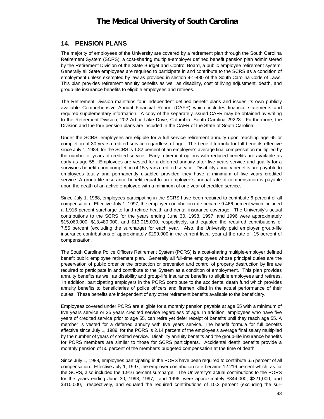### **14. PENSION PLANS**

The majority of employees of the University are covered by a retirement plan through the South Carolina Retirement System (SCRS), a cost-sharing multiple-employer defined benefit pension plan administered by the Retirement Division of the State Budget and Control Board, a public employee retirement system. Generally all State employees are required to participate in and contribute to the SCRS as a condition of employment unless exempted by law as provided in section 9-1-480 of the South Carolina Code of Laws. This plan provides retirement annuity benefits as well as disability, cost of living adjustment, death, and group-life insurance benefits to eligible employees and retirees.

The Retirement Division maintains four independent defined benefit plans and issues its own publicly available Comprehensive Annual Financial Report (CAFR) which includes financial statements and required supplementary information. A copy of the separately issued CAFR may be obtained by writing to the Retirement Division, 202 Arbor Lake Drive, Columbia, South Carolina 29223. Furthermore, the Division and the four pension plans are included in the CAFR of the State of South Carolina.

Under the SCRS, employees are eligible for a full service retirement annuity upon reaching age 65 or completion of 30 years credited service regardless of age. The benefit formula for full benefits effective since July 1, 1989, for the SCRS is 1.82 percent of an employee's average final compensation multiplied by the number of years of credited service. Early retirement options with reduced benefits are available as early as age 55. Employees are vested for a deferred annuity after five years service and qualify for a survivor's benefit upon completion of 15 years credited service. Disability annuity benefits are payable to employees totally and permanently disabled provided they have a minimum of five years credited service. A group-life insurance benefit equal to an employee's annual rate of compensation is payable upon the death of an active employee with a minimum of one year of credited service.

Since July 1, 1988, employees participating in the SCRS have been required to contribute 6 percent of all compensation. Effective July 1, 1997, the employer contribution rate became 9.466 percent which included a 1.916 percent surcharge to fund retiree health and dental insurance coverage. The University's actual contributions to the SCRS for the years ending June 30, 1998, 1997, and 1996 were approximately \$15,060,000, \$13,480,000, and \$13,015,000, respectively, and equaled the required contributions of 7.55 percent (excluding the surcharge) for each year. Also, the University paid employer group-life insurance contributions of approximately \$299,000 in the current fiscal year at the rate of .15 percent of compensation.

The South Carolina Police Officers Retirement System (PORS) is a cost-sharing multiple-employer defined benefit public employee retirement plan. Generally all full-time employees whose principal duties are the preservation of public order or the protection or prevention and control of property destruction by fire are required to participate in and contribute to the System as a condition of employment. This plan provides annuity benefits as well as disability and group-life insurance benefits to eligible employees and retirees. In addition, participating employers in the PORS contribute to the accidental death fund which provides annuity benefits to beneficiaries of police officers and firemen killed in the actual performance of their duties. These benefits are independent of any other retirement benefits available to the beneficiary.

Employees covered under PORS are eligible for a monthly pension payable at age 55 with a minimum of five years service or 25 years credited service regardless of age. In addition, employees who have five years of credited service prior to age 55, can retire yet defer receipt of benefits until they reach age 55. A member is vested for a deferred annuity with five years service. The benefit formula for full benefits effective since July 1, 1989, for the PORS is 2.14 percent of the employee's average final salary multiplied by the number of years of credited service. Disability annuity benefits and the group-life insurance benefits for PORS members are similar to those for SCRS participants. Accidental death benefits provide a monthly pension of 50 percent of the member's budgeted compensation at the time of death.

Since July 1, 1988, employees participating in the PORS have been required to contribute 6.5 percent of all compensation. Effective July 1, 1997, the employer contribution rate became 12.216 percent which, as for the SCRS, also included the 1.916 percent surcharge. The University's actual contributions to the PORS for the years ending June 30, 1998, 1997, and 1996, were approximately \$344,000, \$321,000, and \$310,000, respectively, and equaled the required contributions of 10.3 percent (excluding the sur-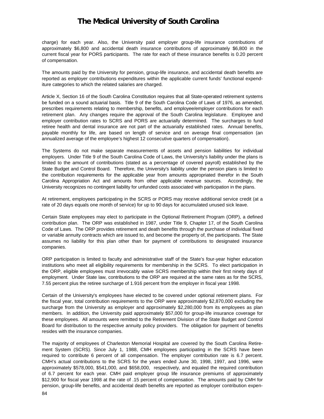charge) for each year. Also, the University paid employer group-life insurance contributions of approximately \$6,800 and accidental death insurance contributions of approximately \$6,800 in the current fiscal year for PORS participants. The rate for each of these insurance benefits is 0.20 percent of compensation.

The amounts paid by the University for pension, group-life insurance, and accidental death benefits are reported as employer contributions expenditures within the applicable current funds' functional expenditure categories to which the related salaries are charged.

Article X, Section 16 of the South Carolina Constitution requires that all State-operated retirement systems be funded on a sound actuarial basis. Title 9 of the South Carolina Code of Laws of 1976, as amended, prescribes requirements relating to membership, benefits, and employee/employer contributions for each retirement plan. Any changes require the approval of the South Carolina legislature. Employee and employer contribution rates to SCRS and PORS are actuarially determined. The surcharges to fund retiree health and dental insurance are not part of the actuarially established rates. Annual benefits, payable monthly for life, are based on length of service and on average final compensation (an annualized average of the employee's highest 12 consecutive quarters of compensation).

The Systems do not make separate measurements of assets and pension liabilities for individual employers. Under Title 9 of the South Carolina Code of Laws, the University's liability under the plans is limited to the amount of contributions (stated as a percentage of covered payroll) established by the State Budget and Control Board. Therefore, the University's liability under the pension plans is limited to the contribution requirements for the applicable year from amounts appropriated therefor in the South Carolina Appropriation Act and amounts from other applicable revenue sources. Accordingly, the University recognizes no contingent liability for unfunded costs associated with participation in the plans.

At retirement, employees participating in the SCRS or PORS may receive additional service credit (at a rate of 20 days equals one month of service) for up to 90 days for accumulated unused sick leave.

Certain State employees may elect to participate in the Optional Retirement Program (ORP), a defined contribution plan. The ORP was established in 1987, under Title 9, Chapter 17, of the South Carolina Code of Laws. The ORP provides retirement and death benefits through the purchase of individual fixed or variable annuity contracts which are issued to, and become the property of, the participants. The State assumes no liability for this plan other than for payment of contributions to designated insurance companies.

ORP participation is limited to faculty and administrative staff of the State's four-year higher education institutions who meet all eligibility requirements for membership in the SCRS. To elect participation in the ORP, eligible employees must irrevocably waive SCRS membership within their first ninety days of employment. Under State law, contributions to the ORP are required at the same rates as for the SCRS, 7.55 percent plus the retiree surcharge of 1.916 percent from the employer in fiscal year 1998.

Certain of the University's employees have elected to be covered under optional retirement plans. For the fiscal year, total contribution requirements to the ORP were approximately \$2,870,000 excluding the surcharge from the University as employer and approximately \$2,280,000 from its employees as plan members. In addition, the University paid approximately \$57,000 for group-life insurance coverage for these employees. All amounts were remitted to the Retirement Division of the State Budget and Control Board for distribution to the respective annuity policy providers. The obligation for payment of benefits resides with the insurance companies.

The majority of employees of Charleston Memorial Hospital are covered by the South Carolina Retirement System (SCRS). Since July 1, 1988, CMH employees participating in the SCRS have been required to contribute 6 percent of all compensation. The employer contribution rate is 6.7 percent. CMH's actual contributions to the SCRS for the years ended June 30, 1998, 1997, and 1996, were approximately \$578,000, \$541,000, and \$658,000, respectively, and equaled the required contribution of 6.7 percent for each year. CMH paid employer group life insurance premiums of approximately \$12,900 for fiscal year 1998 at the rate of .15 percent of compensation. The amounts paid by CMH for pension, group-life benefits, and accidental death benefits are reported as employer contribution expen-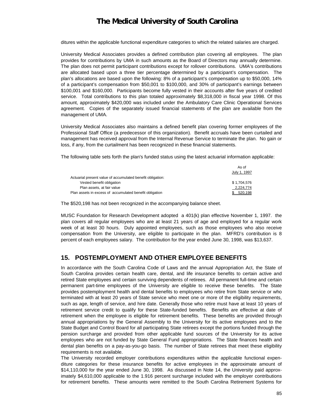ditures within the applicable functional expenditure categories to which the related salaries are charged.

University Medical Associates provides a defined contribution plan covering all employees. The plan provides for contributions by UMA in such amounts as the Board of Directors may annually determine. The plan does not permit participant contributions except for rollover contributions. UMA's contributions are allocated based upon a three tier percentage determined by a participant's compensation. The plan's allocations are based upon the following: 8% of a participant's compensation up to \$50,000, 14% of a participant's compensation from \$50,001 to \$100,000, and 30% of participant's earnings between \$100,001 and \$160,000. Participants become fully vested in their accounts after five years of credited service. Total contributions to this plan totaled approximately \$8,318,000 in fiscal year 1998. Of this amount, approximately \$420,000 was included under the Ambulatory Care Clinic Operational Services agreement. Copies of the separately issued financial statements of the plan are available from the management of UMA.

University Medical Associates also maintains a defined benefit plan covering former employees of the Professional Staff Office (a predecessor of this organization). Benefit accruals have been curtailed and management has received approval from the Internal Revenue Service to terminate the plan. No gain or loss, if any, from the curtailment has been recognized in these financial statements.

The following table sets forth the plan's funded status using the latest actuarial information applicable:

As of

|                                                            | .            |
|------------------------------------------------------------|--------------|
|                                                            | July 1, 1997 |
| Actuarial present value of accumulated benefit obligation: |              |
| Vested benefit obligation                                  | \$1.704.576  |
| Plan assets, at fair value                                 | 2.224.774    |
| Plan assets in excess of accumulated benefit obligation    | 520.198      |

The \$520,198 has not been recognized in the accompanying balance sheet.

MUSC Foundation for Research Development adopted a 401(k) plan effective November 1, 1997. the plan covers all regular employees who are at least 21 years of age and employed for a regular work week of at least 30 hours. Duly appointed employees, such as those employees who also receive compensation from the University, are eligible to participate in the plan. MFRD's contribution is 8 percent of each employees salary. The contribution for the year ended June 30, 1998, was \$13,637.

#### **15. POSTEMPLOYMENT AND OTHER EMPLOYEE BENEFITS**

In accordance with the South Carolina Code of Laws and the annual Appropriation Act, the State of South Carolina provides certain health care, dental, and life insurance benefits to certain active and retired State employees and certain surviving dependents of retirees. All permanent full-time and certain permanent part-time employees of the University are eligible to receive these benefits. The State provides postemployment health and dental benefits to employees who retire from State service or who terminated with at least 20 years of State service who meet one or more of the eligibility requirements, such as age, length of service, and hire date. Generally those who retire must have at least 10 years of retirement service credit to qualify for these State-funded benefits. Benefits are effective at date of retirement when the employee is eligible for retirement benefits. These benefits are provided through annual appropriations by the General Assembly to the University for its active employees and to the State Budget and Control Board for all participating State retirees except the portions funded through the pension surcharge and provided from other applicable fund sources of the University for its active employees who are not funded by State General Fund appropriations. The State finances health and dental plan benefits on a pay-as-you-go basis. The number of State retirees that meet these eligibility requirements is not available.

The University recorded employer contributions expenditures within the applicable functional expenditure categories for these insurance benefits for active employees in the approximate amount of \$14,110,000 for the year ended June 30, 1998. As discussed in Note 14, the University paid approximately \$4,610,000 applicable to the 1.916 percent surcharge included with the employer contributions for retirement benefits. These amounts were remitted to the South Carolina Retirement Systems for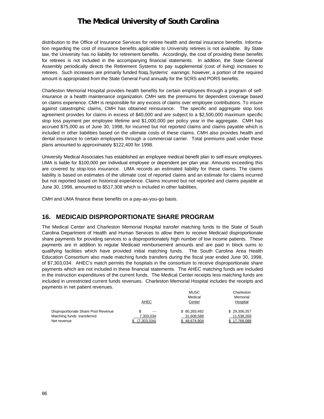distribution to the Office of Insurance Services for retiree health and dental insurance benefits. Information regarding the cost of insurance benefits applicable to University retirees is not available. By State law, the University has no liability for retirement benefits. Accordingly, the cost of providing these benefits for retirees is not included in the accompanying financial statements. In addition, the State General Assembly periodically directs the Retirement Systems to pay supplemental (cost of living) increases to retirees. Such increases are primarily funded from Systems' earnings; however, a portion of the required amount is appropriated from the State General Fund annually for the SCRS and PORS benefits.

Charleston Memorial Hospital provides health benefits for certain employees through a program of selfinsurance or a health maintenance organization. CMH sets the premiums for dependent coverage based on claims experience. CMH is responsible for any excess of claims over employee contributions. To insure against catastrophic claims, CMH has obtained reinsurance. The specific and aggregate stop loss agreement provides for claims in excess of \$40,000 and are subject to a \$2,500,000 maximum specific stop loss payment per employee lifetime and \$1,000,000 per policy year in the aggregate. CMH has accrued \$75,000 as of June 30, 1998, for incurred but not reported claims and claims payable which is included in other liabilities based on the ultimate costs of these claims. CMH also provides health and dental insurance to certain employees through a commercial carrier. Total premiums paid under these plans amounted to approximately \$122,400 for 1998.

University Medical Associates has established an employee medical benefit plan to self-insure employees. UMA is liable for \$100,000 per individual employee or dependent per plan year. Amounts exceeding this are covered by stop-loss insurance. UMA records an estimated liability for these claims. The claims liability is based on estimates of the ultimate cost of reported claims and an estimate for claims incurred but not reported based on historical experience. Claims incurred but not reported and claims payable at June 30, 1998, amounted to \$517,308 which is included in other liabilities.

CMH and UMA finance these benefits on a pay-as-you-go basis.

### **16. MEDICAID DISPROPORTIONATE SHARE PROGRAM**

The Medical Center and Charleston Memorial Hospital transfer matching funds to the State of South Carolina Department of Health and Human Services to allow them to receive Medicaid disproportionate share payments for providing services to a disproportionately high number of low income patients. These payments are in addition to regular Medicaid reimbursement amounts and are paid in block sums to qualifying facilities which have provided initial matching funds. The South Carolina Area Health Education Consortium also made matching funds transfers during the fiscal year ended June 30, 1998, of \$7,303,034. AHEC's match permits the hospitals in the consortium to receive disproportionate share payments which are not included in these financial statements. The AHEC matching funds are included in the instruction expenditures of the current funds. The Medical Center receipts less matching funds are included in unrestricted current funds revenues. Charleston Memorial Hospital includes the receipts and payments in net patient revenues.

|                                     |             | MUSC         | Charleston   |
|-------------------------------------|-------------|--------------|--------------|
|                                     |             | Medical      | Memorial     |
|                                     | AHEC        | Center       | Hospital     |
| Disproportionate Share Pool Revenue | S           | \$80.283.492 | \$29,306,357 |
| Matching funds transferred          | 7.303.034   | 31,608,588   | 11,538,269   |
| Net revenue                         | (7.303.034) | \$48.674.904 | 17.768.088   |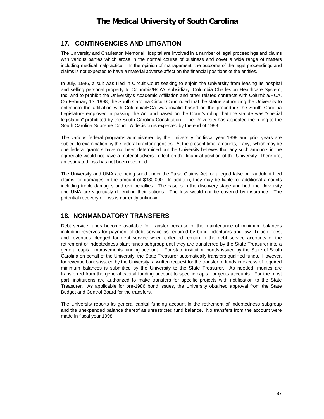### **17. CONTINGENCIES AND LITIGATION**

The University and Charleston Memorial Hospital are involved in a number of legal proceedings and claims with various parties which arose in the normal course of business and cover a wide range of matters including medical malpractice. In the opinion of management, the outcome of the legal proceedings and claims is not expected to have a material adverse affect on the financial positions of the entities.

In July, 1996, a suit was filed in Circuit Court seeking to enjoin the University from leasing its hospital and selling personal property to Columbia/HCA's subsidiary, Columbia Charleston Healthcare System, Inc. and to prohibit the University's Academic Affiliation and other related contracts with Columbia/HCA. On February 13, 1998, the South Carolina Circuit Court ruled that the statue authorizing the University to enter into the affiliation with Columbia/HCA was invalid based on the procedure the South Carolina Legislature employed in passing the Act and based on the Court's ruling that the statute was "special legislation" prohibited by the South Carolina Constitution. The University has appealed the ruling to the South Carolina Supreme Court. A decision is expected by the end of 1998.

The various federal programs administered by the University for fiscal year 1998 and prior years are subject to examination by the federal grantor agencies. At the present time, amounts, if any, which may be due federal grantors have not been determined but the University believes that any such amounts in the aggregate would not have a material adverse effect on the financial position of the University. Therefore, an estimated loss has not been recorded.

The University and UMA are being sued under the False Claims Act for alleged false or fraudulent filed claims for damages in the amount of \$380,000. In addition, they may be liable for additional amounts including treble damages and civil penalties. The case is in the discovery stage and both the University and UMA are vigorously defending their actions. The loss would not be covered by insurance. The potential recovery or loss is currently unknown.

### **18. NONMANDATORY TRANSFERS**

Debt service funds become available for transfer because of the maintenance of minimum balances including reserves for payment of debt service as required by bond indentures and law. Tuition, fees, and revenues pledged for debt service when collected remain in the debt service accounts of the retirement of indebtedness plant funds subgroup until they are transferred by the State Treasurer into a general capital improvements funding account. For state institution bonds issued by the State of South Carolina on behalf of the University, the State Treasurer automatically transfers qualified funds. However, for revenue bonds issued by the University, a written request for the transfer of funds in excess of required minimum balances is submitted by the University to the State Treasurer. As needed, monies are transferred from the general capital funding account to specific capital projects accounts. For the most part, institutions are authorized to make transfers for specific projects with notification to the State Treasurer. As applicable for pre-1986 bond issues, the University obtained approval from the State Budget and Control Board for the transfers.

The University reports its general capital funding account in the retirement of indebtedness subgroup and the unexpended balance thereof as unrestricted fund balance. No transfers from the account were made in fiscal year 1998.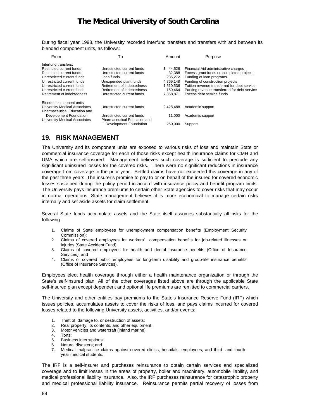During fiscal year 1998, the University recorded interfund transfers and transfers with and between its blended component units, as follows:

| From                                 | To                           | Amount        | Purpose                                      |
|--------------------------------------|------------------------------|---------------|----------------------------------------------|
| Interfund transfers:                 |                              |               |                                              |
| Restricted current funds             | Unrestricted current funds   | \$.<br>44.526 | Financial Aid administrative charges         |
| Restricted current funds             | Unrestricted current funds   | 32.388        | Excess grant funds on completed projects     |
| Unrestricted current funds           | Loan funds                   | 235.272       | Funding of loan programs                     |
| Unrestricted current funds           | Unexpended plant funds       | 4,769,148     | Funding of construction projects             |
| Unrestricted current funds           | Retirement of indebtedness   | 1.510.536     | Tuition revenue transferred for debt service |
| Unrestricted current funds           | Retirement of indebtedness   | 150.464       | Parking revenue transferred for debt service |
| Retirement of indebtedness           | Unrestricted current funds   | 7.858.871     | Excess debt service funds                    |
| Blended component units:             |                              |               |                                              |
| <b>University Medical Associates</b> | Unrestricted current funds   | 2.428.488     | Academic support                             |
| Pharmaceutical Education and         |                              |               |                                              |
| Development Foundation               | Unrestricted current funds   | 11.000        | Academic support                             |
| <b>University Medical Associates</b> | Pharmaceutical Education and |               |                                              |
|                                      | Development Foundation       | 250,000       | Support                                      |
|                                      |                              |               |                                              |

### **19. RISK MANAGEMENT**

The University and its component units are exposed to various risks of loss and maintain State or commercial insurance coverage for each of those risks except health insurance claims for CMH and UMA which are self-insured. Management believes such coverage is sufficient to preclude any significant uninsured losses for the covered risks. There were no significant reductions in insurance coverage from coverage in the prior year. Settled claims have not exceeded this coverage in any of the past three years. The insurer's promise to pay to or on behalf of the insured for covered economic losses sustained during the policy period in accord with insurance policy and benefit program limits. The University pays insurance premiums to certain other State agencies to cover risks that may occur in normal operations. State management believes it is more economical to manage certain risks internally and set aside assets for claim settlement.

Several State funds accumulate assets and the State itself assumes substantially all risks for the following:

- 1. Claims of State employees for unemployment compensation benefits (Employment Security Commission);
- 2. Claims of covered employees for workers' compensation benefits for job-related illnesses or injuries (State Accident Fund);
- 3. Claims of covered employees for health and dental insurance benefits (Office of Insurance Services); and
- 4. Claims of covered public employees for long-term disability and group-life insurance benefits (Office of Insurance Services).

Employees elect health coverage through either a health maintenance organization or through the State's self-insured plan. All of the other coverages listed above are through the applicable State self-insured plan except dependent and optional life premiums are remitted to commercial carriers.

The University and other entities pay premiums to the State's Insurance Reserve Fund (IRF) which issues policies, accumulates assets to cover the risks of loss, and pays claims incurred for covered losses related to the following University assets, activities, and/or events:

- Theft of, damage to, or destruction of assets;
- 2. Real property, its contents, and other equipment;
- 3. Motor vehicles and watercraft (inland marine);
- 4. Torts;
- 5. Business interruptions;
- 6. Natural disasters; and
- 7. Medical malpractice claims against covered clinics, hospitals, employees, and third- and fourthyear medical students.

The IRF is a self-insurer and purchases reinsurance to obtain certain services and specialized coverage and to limit losses in the areas of property, boiler and machinery, automobile liability, and medical professional liability insurance. Also, the IRF purchases reinsurance for catastrophic property and medical professional liability insurance. Reinsurance permits partial recovery of losses from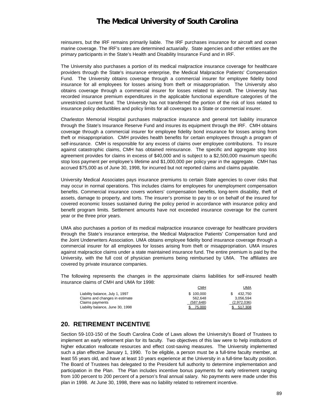reinsurers, but the IRF remains primarily liable. The IRF purchases insurance for aircraft and ocean marine coverage. The IRF's rates are determined actuarially. State agencies and other entities are the primary participants in the State's Health and Disability Insurance Fund and in IRF.

The University also purchases a portion of its medical malpractice insurance coverage for healthcare providers through the State's insurance enterprise, the Medical Malpractice Patients' Compensation Fund. The University obtains coverage through a commercial insurer for employee fidelity bond insurance for all employees for losses arising from theft or misappropriation. The University also obtains coverage through a commercial insurer for losses related to aircraft. The University has recorded insurance premium expenditures in the applicable functional expenditure categories of the unrestricted current fund. The University has not transferred the portion of the risk of loss related to insurance policy deductibles and policy limits for all coverages to a State or commercial insurer.

Charleston Memorial Hospital purchases malpractice insurance and general tort liability insurance through the State's Insurance Reserve Fund and insures its equipment through the IRF. CMH obtains coverage through a commercial insurer for employee fidelity bond insurance for losses arising from theft or misappropriation. CMH provides health benefits for certain employees through a program of self-insurance. CMH is responsible for any excess of claims over employee contributions. To insure against catastrophic claims, CMH has obtained reinsurance. The specific and aggregate stop loss agreement provides for claims in excess of \$40,000 and is subject to a \$2,500,000 maximum specific stop loss payment per employee's lifetime and \$1,000,000 per policy year in the aggregate. CMH has accrued \$75,000 as of June 30, 1998, for incurred but not reported claims and claims payable.

University Medical Associates pays insurance premiums to certain State agencies to cover risks that may occur in normal operations. This includes claims for employees for unemployment compensation benefits. Commercial insurance covers workers' compensation benefits, long-term disability, theft of assets, damage to property, and torts. The insurer's promise to pay to or on behalf of the insured for covered economic losses sustained during the policy period in accordance with insurance policy and benefit program limits. Settlement amounts have not exceeded insurance coverage for the current year or the three prior years.

UMA also purchases a portion of its medical malpractice insurance coverage for healthcare providers through the State's insurance enterprise, the Medical Malpractice Patients' Compensation fund and the Joint Underwriters Association. UMA obtains employee fidelity bond insurance coverage through a commercial insurer for all employees for losses arising from theft or misappropriation. UMA insures against malpractice claims under a state maintained insurance fund. The entire premium is paid by the University, with the full cost of physician premiums being reimbursed by UMA. The affiliates are covered by private insurance companies.

The following represents the changes in the approximate claims liabilities for self-insured health insurance claims of CMH and UMA for 1998:

|                                  | СМН        | <u>UMA</u>  |
|----------------------------------|------------|-------------|
| Liability balance, July 1, 1997  | \$100.000  | 432.750     |
| Claims and changes in estimate   | 562.648    | 3.056.594   |
| Claims payments                  | (587, 648) | (2,972,036) |
| Liability balance, June 30, 1998 | 75.000     | 517.308     |

### **20. RETIREMENT INCENTIVE**

Section 59-103-150 of the South Carolina Code of Laws allows the University's Board of Trustees to implement an early retirement plan for its faculty. Two objectives of this law were to help institutions of higher education reallocate resources and effect cost-saving measures. The University implemented such a plan effective January 1, 1990. To be eligible, a person must be a full-time faculty member, at least 55 years old, and have at least 10 years experience at the University in a full-time faculty position. The Board of Trustees has delegated to the President full authority to determine implementation and participation in the Plan. The Plan includes incentive bonus payments for early retirement ranging from 100 percent to 200 percent of a person's final annual salary. No payments were made under this plan in 1998. At June 30, 1998, there was no liability related to retirement incentive.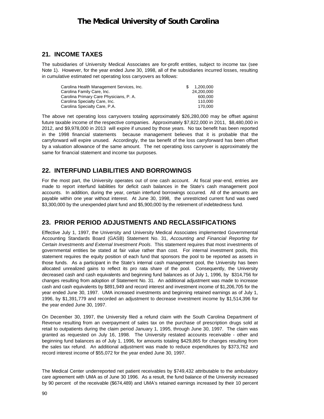#### **21. INCOME TAXES**

The subsidiaries of University Medical Associates are for-profit entities, subject to income tax (see Note 1). However, for the year ended June 30, 1998, all of the subsidiaries incurred losses, resulting in cumulative estimated net operating loss carryovers as follows:

| Carolina Health Management Services, Inc. | 1.200.000  |
|-------------------------------------------|------------|
| Carolina Family Care, Inc.                | 24,200,000 |
| Carolina Primary Care Physicians, P. A.   | 600,000    |
| Carolina Specialty Care, Inc.             | 110.000    |
| Carolina Specialty Care, P.A.             | 170.000    |

The above net operating loss carryovers totaling approximately \$26,280,000 may be offset against future taxable income of the respective companies. Approximately \$7,822,000 in 2011, \$8,480,000 in 2012, and \$9,978,000 in 2013 will expire if unused by those years. No tax benefit has been reported in the 1998 financial statements because management believes that it is probable that the carryforward will expire unused. Accordingly, the tax benefit of the loss carryforward has been offset by a valuation allowance of the same amount. The net operating loss carryover is approximately the same for financial statement and income tax purposes.

### **22. INTERFUND LIABILITIES AND BORROWINGS**

For the most part, the University operates out of one cash account. At fiscal year-end, entries are made to report interfund liabilities for deficit cash balances in the State's cash management pool accounts. In addition, during the year, certain interfund borrowings occurred. All of the amounts are payable within one year without interest. At June 30, 1998, the unrestricted current fund was owed \$3,300,000 by the unexpended plant fund and \$5,900,000 by the retirement of indebtedness fund.

### **23. PRIOR PERIOD ADJUSTMENTS AND RECLASSIFICATIONS**

Effective July 1, 1997, the University and University Medical Associates implemented Governmental Accounting Standards Board (GASB) Statement No. 31, *Accounting and Financial Reporting for Certain Investments and External Investment Pools*. This statement requires that most investments of governmental entities be stated at fair value rather than cost. For internal investment pools, this statement requires the equity position of each fund that sponsors the pool to be reported as assets in those funds. As a participant in the State's internal cash management pool, the University has been allocated unrealized gains to reflect its pro rata share of the pool. Consequently, the University decreased cash and cash equivalents and beginning fund balances as of July 1, 1996, by \$314,756 for changes resulting from adoption of Statement No. 31. An additional adjustment was made to increase cash and cash equivalents by \$891,949 and record interest and investment income of \$1,206,705 for the year ended June 30, 1997. UMA increased investments and beginning retained earnings as of July 1, 1996, by \$1,391,779 and recorded an adjustment to decrease investment income by \$1,514,396 for the year ended June 30, 1997.

On December 30, 1997, the University filed a refund claim with the South Carolina Department of Revenue resulting from an overpayment of sales tax on the purchase of prescription drugs sold at retail to outpatients during the claim period January 1, 1995, through June 30, 1997. The claim was granted as requested on July 16, 1998. The University restated accounts receivable - other and beginning fund balances as of July 1, 1996, for amounts totaling \$429,865 for changes resulting from the sales tax refund. An additional adjustment was made to reduce expenditures by \$373,762 and record interest income of \$55,072 for the year ended June 30, 1997.

The Medical Center underreported net patient receivables by \$749,432 attributable to the ambulatory care agreement with UMA as of June 30 1996. As a result, the fund balance of the University increased by 90 percent of the receivable (\$674,489) and UMA's retained earnings increased by their 10 percent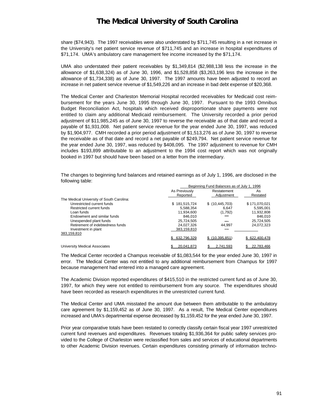share (\$74,943). The 1997 receivables were also understated by \$711,745 resulting in a net increase in the University's net patient service revenue of \$711,745 and an increase in hospital expenditures of \$71,174. UMA's ambulatory care management fee income increased by the \$71,174.

UMA also understated their patient receivables by \$1,349,814 (\$2,988,138 less the increase in the allowance of \$1,638,324) as of June 30, 1996, and \$1,528,858 (\$3,263,196 less the increase in the allowance of \$1,734,338) as of June 30, 1997. The 1997 amounts have been adjusted to record an increase in net patient service revenue of \$1,549,226 and an increase in bad debt expense of \$20,368.

The Medical Center and Charleston Memorial Hospital recorded receivables for Medicaid cost reimbursement for the years June 30, 1995 through June 30, 1997. Pursuant to the 1993 Omnibus Budget Reconciliation Act, hospitals which received disproportionate share payments were not entitled to claim any additional Medicaid reimbursement. The University recorded a prior period adjustment of \$11,985,245 as of June 30, 1997 to reverse the receivable as of that date and record a payable of \$1,931,008. Net patient service revenue for the year ended June 30, 1997, was reduced by \$1,904,977. CMH recorded a prior period adjustment of \$1,513,276 as of June 30, 1997 to reverse the receivable as of that date and record a net payable of \$249,794. Net patient service revenue for the year ended June 30, 1997, was reduced by \$408,095. The 1997 adjustment to revenue for CMH includes \$193,899 attributable to an adjustment to the 1994 cost report which was not originally booked in 1997 but should have been based on a letter from the intermediary.

The changes to beginning fund balances and retained earnings as of July 1, 1996, are disclosed in the following table:

|                                           | Beginning Fund Balances as of July 1, 1996 |                  |               |
|-------------------------------------------|--------------------------------------------|------------------|---------------|
|                                           | As Previously                              | Restatement      | As            |
|                                           | Reported                                   | Adiustment       | Restated      |
| The Medical University of South Carolina: |                                            |                  |               |
| Unrestricted current funds                | \$181,515,724                              | \$(10, 445, 703) | \$171,070,021 |
| Restricted current funds                  | 5,588,354                                  | 6.647            | 5,595,001     |
| Loan funds                                | 11.934.600                                 | (1,792)          | 11.932.808    |
| Endowment and similar funds               | 846.010                                    |                  | 846.010       |
| Unexpended plant funds                    | 25.724.505                                 |                  | 25,724,505    |
| Retirement of indebtedness funds          | 24,027,326                                 | 44.997           | 24,072,323    |
| Investment in plant                       | 383.159.810                                |                  |               |
| 383,159,810                               |                                            |                  |               |
|                                           | 632.796.329                                | \$(10.395.851)   | \$622,400.478 |
| <b>University Medical Associates</b>      | 20.041.873                                 | 2.741.593        | 22.783.466    |

The Medical Center recorded a Champus receivable of \$1,083,544 for the year ended June 30, 1997 in error. The Medical Center was not entitled to any additional reimbursement from Champus for 1997 because management had entered into a managed care agreement.

The Academic Division reported expenditures of \$415,510 in the restricted current fund as of June 30, 1997, for which they were not entitled to reimbursement from any source. The expenditures should have been recorded as research expenditures in the unrestricted current fund.

The Medical Center and UMA misstated the amount due between them attributable to the ambulatory care agreement by \$1,159,452 as of June 30, 1997. As a result, The Medical Center expenditures increased and UMA's departmental expense decreased by \$1,159,452 for the year ended June 30, 1997.

Prior year comparative totals have been restated to correctly classify certain fiscal year 1997 unrestricted current fund revenues and expenditures. Revenues totaling \$1,936,364 for public safety services provided to the College of Charleston were reclassified from sales and services of educational departments to other Academic Division revenues. Certain expenditures consisting primarily of information techno-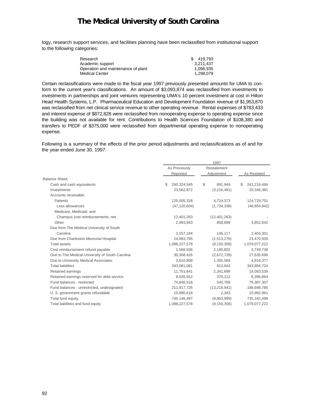logy, research support services, and facilities planning have been reclassified from institutional support to the following categories:

| Research                           | \$419.793 |
|------------------------------------|-----------|
| Academic support                   | 3.211.437 |
| Operation and maintenance of plant | 1.096.935 |
| <b>Medical Center</b>              | 1.298.079 |

Certain reclassifications were made to the fiscal year 1997 previously presented amounts for UMA to conform to the current year's classifications. An amount of \$3,093,874 was reclassified from investments to investments in partnerships and joint ventures representing UMA's 10 percent investment at cost in Hilton Head Health Systems, L.P. Pharmaceutical Education and Development Foundation revenue of \$1,953,870 was reclassified from net clinical service revenue to other operating revenue. Rental expenses of \$783,433 and interest expense of \$872,828 were reclassified from nonoperating expense to operating expense since the building was not available for rent. Contributions to Health Sciences Foundation of \$108,380 and transfers to PEDF of \$375,000 were reclassified from departmental operating expense to nonoperating expense.

Following is a summary of the effects of the prior period adjustments and reclassifications as of and for the year ended June 30, 1997:

|                                                 |                   | 1997           |                   |
|-------------------------------------------------|-------------------|----------------|-------------------|
|                                                 | As Previously     | Restatement    |                   |
|                                                 | Reported          | Adjustment     | As Restated       |
| <b>Balance Sheet:</b>                           |                   |                |                   |
| Cash and cash equivalents                       | \$<br>240,324,545 | \$<br>891,949  | \$<br>241,216,494 |
| Investments                                     | 23,562,872        | (3,216,491)    | 20,346,381        |
| Accounts receivable:                            |                   |                |                   |
| Patients                                        | 120,005,328       | 4,724,373      | 124,729,701       |
| Less allowances                                 | (47, 120, 604)    | (1,734,338)    | (48, 854, 942)    |
| Medicare, Medicaid, and                         |                   |                |                   |
| Champus cost reimbursements, net                | 12,401,263        | (12, 401, 263) |                   |
| Other                                           | 2,993,943         | 858,699        | 3,852,642         |
| Due from The Medical University of South        |                   |                |                   |
| Carolina                                        | 2,257,184         | 146,117        | 2,403,301         |
| Due from Charleston Memorial Hospital           | 24,983,785        | (1,513,276)    | 23,470,509        |
| <b>Total assets</b>                             | 1,088,227,578     | (9, 150, 356)  | 1,079,077,222     |
| Cost reimbursement refund payable               | 1,568,936         | 2,180,802      | 3,749,738         |
| Due to The Medical University of South Carolina | 30,308,426        | (2,672,728)    | 27,635,698        |
| Due to University Medical Associates            | 3,610,808         | 1,305,569      | 4,916,377         |
| <b>Total liabilities</b>                        | 343,081,081       | 813,643        | 343,894,724       |
| Retained earnings                               | 11,751,841        | 2,341,698      | 14,093,539        |
| Retained earnings reserved for debt service     | 8,026,552         | 370,112        | 8,396,664         |
| Fund balances - restricted                      | 74,846,518        | 540,789        | 75,387,307        |
| Fund balances - unrestricted, undesignated      | 211,917,726       | (13, 218, 941) | 198,698,785       |
| U. S. government grants refundable              | 10,980,618        | 2,343          | 10,982,961        |
| Total fund equity                               | 745,146,497       | (9,963,999)    | 735,182,498       |
| Total liabilities and fund equity               | 1,088,227,578     | (9, 150, 356)  | 1,079,077,222     |
|                                                 |                   |                |                   |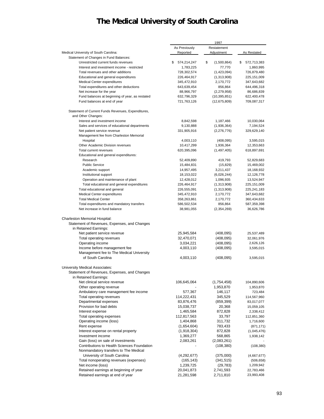|                                                            |                           | 1997              |                   |
|------------------------------------------------------------|---------------------------|-------------------|-------------------|
|                                                            | As Previously             | Restatement       |                   |
| Medical University of South Carolina:                      | Reported                  | Adjustment        | As Restated       |
| Statement of Changes in Fund Balances:                     |                           |                   |                   |
| Unrestricted current funds revenues                        | \$<br>574,214,247         | \$<br>(1,500,864) | 572,713,383<br>\$ |
| Interest and investment income - restricted                | 1,783,225                 | 77,770            | 1,860,995         |
| Total revenues and other additions                         | 728,302,574               | (1,423,094)       | 726,879,480       |
| Educational and general expenditures                       | 226,464,917               | (1,313,908)       | 225,151,009       |
| Medical Center expenditures                                | 345,472,910               | 2,170,772         | 347,643,682       |
| Total expenditures and other deductions                    | 643,639,454               | 856,864           | 644,496,318       |
| Net increase for the year                                  | 88,966,797                | (2,279,958)       | 86,686,839        |
| Fund balances at beginning of year, as restated            | 632,796,329               | (10, 395, 851)    | 622,400,478       |
| Fund balances at end of year                               | 721,763,126               | (12,675,809)      | 709,087,317       |
| Statement of Current Funds Revenues, Expenditures,         |                           |                   |                   |
| and Other Changes:                                         |                           |                   |                   |
| Interest and investment income                             | 8,842,598                 | 1,187,466         | 10,030,064        |
| Sales and services of educational departments              | 9,130,888                 | (1,936,364)       | 7,194,524         |
| Net patient service revenue                                | 331,905,916               | (2,276,776)       | 329,629,140       |
| Management fee from Charleston Memorial                    |                           |                   |                   |
| Hospital                                                   | 4,003,110                 | (408, 095)        | 3,595,015         |
| Other Academic Division revenues<br>Total current revenues | 10,417,299<br>620,395,096 | 1,936,364         | 12,353,663        |
| Educational and general expenditures:                      |                           | (1,497,405)       | 618,897,691       |
| Research                                                   | 52,409,890                | 419,793           | 52,829,683        |
| <b>Public Service</b>                                      | 15,484,831                | (15, 829)         | 15,469,002        |
| Academic support                                           | 14,957,495                | 3,211,437         | 18,168,932        |
| Institutional support                                      | 18,153,022                | (6,026,244)       | 12,126,778        |
| Operation and maintenance of plant                         | 12,428,012                | 1,096,935         | 13,524,947        |
| Total educational and general expenditures                 | 226,464,917               | (1,313,908)       | 225,151,009       |
| Total educational and general                              | 226,555,091               | (1,313,908)       | 225,241,183       |
| Medical Center expenditures                                | 345,472,910               | 2,170,772         | 347,643,682       |
| <b>Total Medical Center</b>                                | 358,263,861               | 2,170,772         | 360,434,633       |
| Total expenditures and mandatory transfers                 | 586,502,534               | 856,864           | 587,359,398       |
| Net increase in fund balance                               | 38,981,055                | (2,354,269)       | 36,626,786        |
| Charleston Memorial Hospital:                              |                           |                   |                   |
| Statement of Revenues, Expenses, and Changes               |                           |                   |                   |
| in Retained Earnings:                                      |                           |                   |                   |
| Net patient service revenue                                | 25,945,584                | (408,095)         | 25,537,489        |
| Total operating revenues                                   | 32,470,071                | (408,095)         | 32,061,976        |
| Operating income                                           | 3,034,221                 | (408,095)         | 2,626,126         |
| Income before management fee                               | 4,003,110                 | (408,095)         | 3,595,015         |
| Management fee to The Medical University                   |                           |                   |                   |
| of South Carolina                                          | 4,003,110                 | (408, 095)        | 3,595,015         |
| University Medical Associates:                             |                           |                   |                   |
| Statement of Revenues, Expenses, and Changes               |                           |                   |                   |
| in Retained Earnings:                                      |                           |                   |                   |
| Net clinical service revenue                               | 106,645,064               | (1,754,458)       | 104,890,606       |
| Other operating revenue                                    |                           | 1,953,870         | 1,953,870         |
| Ambulatory care management fee income                      | 577,367                   | 146,117           | 723,484           |
| Total operating revenues                                   | 114,222,431               | 345,529           | 114,567,960       |
| Departmental expenses                                      | 83,876,476                | (859, 399)        | 83,017,077        |
| Provision for bad debts                                    | 15,038,737                | 20,368            | 15,059,105        |
| Interest expense                                           | 1,465,584                 | 872,828           | 2,338,412         |
| Total operating expenses                                   | 112,817,563               | 33,797            | 112,851,360       |
| Operating income (loss)                                    | 1,404,868                 | 311,732           | 1,716,600         |
| Rent expense                                               | (1,654,604)               | 783,433           |                   |
| Interest expense on rental property                        |                           |                   | (871, 171)        |
| Investment income                                          | (1,918,304)               | 872,828           | (1,045,476)       |
| Gain (loss) on sale of investments                         | 1,369,277                 | 568,865           | 1,938,142         |
|                                                            | 2,083,261                 | (2,083,261)       |                   |
| Contributions to Health Sciences Foundation                |                           | (108, 380)        | (108, 380)        |
| Nonmandatory transfers to The Medical                      |                           |                   |                   |
| University of South Carolina                               | (4,292,677)               | (375,000)         | (4,667,677)       |
| Total nonoperating revenues (expenses)                     | (165, 143)                | (341, 515)        | (506, 658)        |
| Net income (loss)                                          | 1,239,725                 | (29, 783)         | 1,209,942         |
| Retained earnings at beginning of year                     | 20,041,873                | 2,741,593         | 22,783,466        |
| Retained earnings at end of year                           | 21,281,598                | 2,711,810         | 23,993,408        |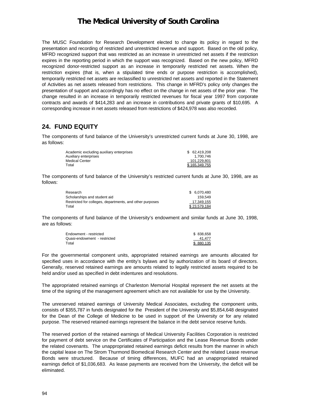The MUSC Foundation for Research Development elected to change its policy in regard to the presentation and recording of restricted and unrestricted revenue and support. Based on the old policy, MFRD recognized support that was restricted as an increase in unrestricted net assets if the restriction expires in the reporting period in which the support was recognized. Based on the new policy, MFRD recognized donor-restricted support as an increase in temporarily restricted net assets. When the restriction expires (that is, when a stipulated time ends or purpose restriction is accomplished), temporarily restricted net assets are reclassified to unrestricted net assets and reported in the Statement of Activities as net assets released from restrictions. This change in MFRD's policy only changes the presentation of support and accordingly has no effect on the change in net assets of the prior year. The change resulted in an increase in temporarily restricted revenues for fiscal year 1997 from corporate contracts and awards of \$414,283 and an increase in contributions and private grants of \$10,695. A corresponding increase in net assets released from restrictions of \$424,978 was also recorded.

#### **24. FUND EQUITY**

The components of fund balance of the University's unrestricted current funds at June 30, 1998, are as follows:

| Academic excluding auxiliary enterprises | \$ 62,419,208 |
|------------------------------------------|---------------|
| Auxiliary enterprises                    | 1.700.746     |
| Medical Center                           | 101.229.801   |
| Total                                    | \$165,349,755 |

The components of fund balance of the University's restricted current funds at June 30, 1998, are as follows:

| Research                                                 | \$ 6.070.480 |
|----------------------------------------------------------|--------------|
| Scholarships and student aid                             | 159.549      |
| Restricted for colleges, departments, and other purposes | 17.349.155   |
| Total                                                    | \$23.579.184 |

The components of fund balance of the University's endowment and similar funds at June 30, 1998, are as follows:

| Endowment - restricted       | \$838.658 |
|------------------------------|-----------|
| Quasi-endowment - restricted | 41.477    |
| Total                        | \$880.135 |

For the governmental component units, appropriated retained earnings are amounts allocated for specified uses in accordance with the entity's bylaws and by authorization of its board of directors. Generally, reserved retained earnings are amounts related to legally restricted assets required to be held and/or used as specified in debt indentures and resolutions.

The appropriated retained earnings of Charleston Memorial Hospital represent the net assets at the time of the signing of the management agreement which are not available for use by the University.

The unreserved retained earnings of University Medical Associates, excluding the component units, consists of \$355,787 in funds designated for the President of the University and \$5,854,648 designated for the Dean of the College of Medicine to be used in support of the University or for any related purpose. The reserved retained earnings represent the balance in the debt service reserve funds.

The reserved portion of the retained earnings of Medical University Facilities Corporation is restricted for payment of debt service on the Certificates of Participation and the Lease Revenue Bonds under the related covenants. The unappropriated retained earnings deficit results from the manner in which the capital lease on The Strom Thurmond Biomedical Research Center and the related Lease revenue Bonds were structured. Because of timing differences, MUFC had an unappropriated retained earnings deficit of \$1,036,683. As lease payments are received from the University, the deficit will be eliminated.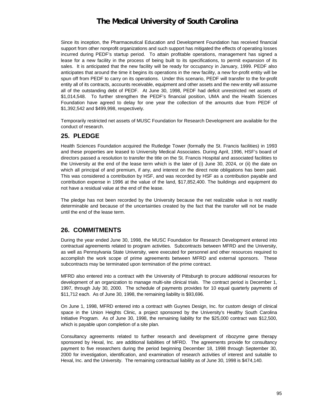Since its inception, the Pharmaceutical Education and Development Foundation has received financial support from other nonprofit organizations and such support has mitigated the effects of operating losses incurred during PEDF's startup period. To attain profitable operations, management has signed a lease for a new facility in the process of being built to its specifications, to permit expansion of its sales. It is anticipated that the new facility will be ready for occupancy in January, 1999. PEDF also anticipates that around the time it begins its operations in the new facility, a new for-profit entity will be spun off from PEDF to carry on its operations. Under this scenario, PEDF will transfer to the for-profit entity all of its contracts, accounts receivable, equipment and other assets and the new entity will assume all of the outstanding debt of PEDF. At June 30, 1998, PEDF had deficit unrestricted net assets of \$1,014,548. To further strengthen the PEDF's financial position, UMA and the Health Sciences Foundation have agreed to delay for one year the collection of the amounts due from PEDF of \$1,392,542 and \$499,998, respectively.

Temporarily restricted net assets of MUSC Foundation for Research Development are available for the conduct of research.

#### **25. PLEDGE**

Health Sciences Foundation acquired the Rutledge Tower (formally the St. Francis facilities) in 1993 and these properties are leased to University Medical Associates. During April, 1996, HSF's board of directors passed a resolution to transfer the title on the St. Francis Hospital and associated facilities to the University at the end of the lease term which is the later of (i) June 30, 2024, or (ii) the date on which all principal of and premium, if any, and interest on the direct note obligations has been paid. This was considered a contribution by HSF, and was recorded by HSF as a contribution payable and contribution expense in 1996 at the value of the land, \$17,852,400. The buildings and equipment do not have a residual value at the end of the lease.

The pledge has not been recorded by the University because the net realizable value is not readily determinable and because of the uncertainties created by the fact that the transfer will not be made until the end of the lease term.

#### **26. COMMITMENTS**

During the year ended June 30, 1998, the MUSC Foundation for Research Development entered into contractual agreements related to program activities. Subcontracts between MFRD and the University, as well as Pennsylvania State University, were executed for personnel and other resources required to accomplish the work scope of prime agreements between MFRD and external sponsors. These subcontracts may be terminated upon termination of the prime contract.

MFRD also entered into a contract with the University of Pittsburgh to procure additional resources for development of an organization to manage multi-site clinical trials. The contract period is December 1, 1997, through July 30, 2000. The schedule of payments provides for 10 equal quarterly payments of \$11,712 each. As of June 30, 1998, the remaining liability is \$93,696.

On June 1, 1998, MFRD entered into a contract with Guynes Design, Inc. for custom design of clinical space in the Union Heights Clinic, a project sponsored by the University's Healthy South Carolina Initiative Program. As of June 30, 1998, the remaining liability for the \$25,000 contract was \$12,500, which is payable upon completion of a site plan.

Consultancy agreements related to further research and development of ribozyme gene therapy sponsored by Hexal, Inc. are additional liabilities of MFRD. The agreements provide for consultancy payment to five researchers during the period beginning December 18, 1998 through September 30, 2000 for investigation, identification, and examination of research activities of interest and suitable to Hexal, Inc. and the University. The remaining contractual liability as of June 30, 1998 is \$474,140.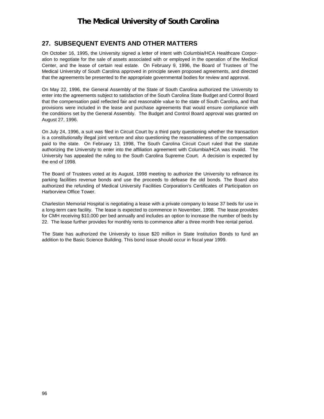### **27. SUBSEQUENT EVENTS AND OTHER MATTERS**

On October 16, 1995, the University signed a letter of intent with Columbia/HCA Healthcare Corporation to negotiate for the sale of assets associated with or employed in the operation of the Medical Center, and the lease of certain real estate. On February 9, 1996, the Board of Trustees of The Medical University of South Carolina approved in principle seven proposed agreements, and directed that the agreements be presented to the appropriate governmental bodies for review and approval.

On May 22, 1996, the General Assembly of the State of South Carolina authorized the University to enter into the agreements subject to satisfaction of the South Carolina State Budget and Control Board that the compensation paid reflected fair and reasonable value to the state of South Carolina, and that provisions were included in the lease and purchase agreements that would ensure compliance with the conditions set by the General Assembly. The Budget and Control Board approval was granted on August 27, 1996.

On July 24, 1996, a suit was filed in Circuit Court by a third party questioning whether the transaction is a constitutionally illegal joint venture and also questioning the reasonableness of the compensation paid to the state. On February 13, 1998, The South Carolina Circuit Court ruled that the statute authorizing the University to enter into the affiliation agreement with Columbia/HCA was invalid. The University has appealed the ruling to the South Carolina Supreme Court. A decision is expected by the end of 1998.

The Board of Trustees voted at its August, 1998 meeting to authorize the University to refinance its parking facilities revenue bonds and use the proceeds to defease the old bonds. The Board also authorized the refunding of Medical University Facilities Corporation's Certificates of Participation on Harborview Office Tower.

Charleston Memorial Hospital is negotiating a lease with a private company to lease 37 beds for use in a long-term care facility. The lease is expected to commence in November, 1998. The lease provides for CMH receiving \$10,000 per bed annually and includes an option to increase the number of beds by 22. The lease further provides for monthly rents to commence after a three month free rental period.

The State has authorized the University to issue \$20 million in State Institution Bonds to fund an addition to the Basic Science Building. This bond issue should occur in fiscal year 1999.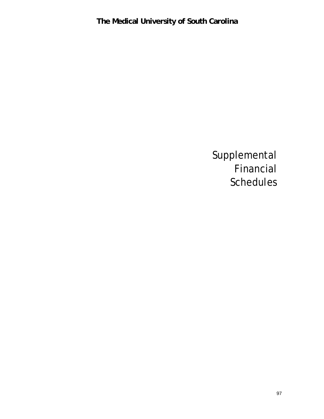Supplemental Financial Schedules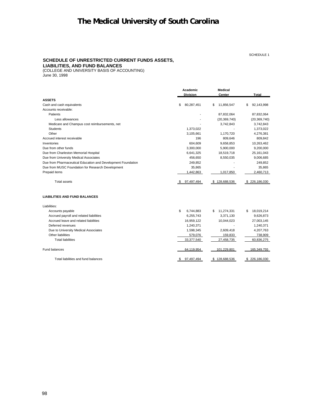#### SCHEDULE 1

#### **SCHEDULE OF UNRESTRICTED CURRENT FUNDS ASSETS, LIABILITIES, AND FUND BALANCES**

(COLLEGE AND UNIVERSITY BASIS OF ACCOUNTING) June 30, 1998

|                                                              | Academic           | <b>Medical</b>   |                   |
|--------------------------------------------------------------|--------------------|------------------|-------------------|
|                                                              | <b>Division</b>    | Center           | <b>Total</b>      |
| <b>ASSETS</b>                                                |                    |                  |                   |
| Cash and cash equivalents                                    | 80,287,451<br>\$   | 11,856,547<br>\$ | \$<br>92,143,998  |
| Accounts receivable:                                         |                    |                  |                   |
| Patients                                                     |                    | 87,832,064       | 87,832,064        |
| Less allowances                                              |                    | (20, 369, 740)   | (20, 369, 740)    |
| Medicare and Champus cost reimbursements, net                |                    | 3,742,843        | 3,742,843         |
| <b>Students</b>                                              | 1,373,022          |                  | 1,373,022         |
| Other                                                        | 3,105,661          | 1,170,720        | 4,276,381         |
| Accrued interest receivable                                  | 196                | 809,646          | 809,842           |
| Inventories                                                  | 604,609            | 9,658,853        | 10,263,462        |
| Due from other funds                                         | 3,300,000          | 5,900,000        | 9,200,000         |
| Due from Charleston Memorial Hospital                        | 6,641,325          | 18,519,718       | 25, 161, 043      |
| Due from University Medical Associates                       | 456,650            | 8,550,035        | 9,006,685         |
| Due from Pharmaceutical Education and Development Foundation | 249,852            |                  | 249,852           |
| Due from MUSC Foundation for Research Development            | 35,865             |                  | 35,865            |
| Prepaid items                                                | 1,442,863          | 1,017,850        | 2,460,713         |
| <b>Total assets</b>                                          | 97,497,494<br>- \$ | \$128,688,536    | 226,186,030<br>\$ |
| <b>LIABILITIES AND FUND BALANCES</b>                         |                    |                  |                   |
| Liabilities:                                                 |                    |                  |                   |
| Accounts payable                                             | \$<br>6,744,883    | 11,274,331<br>\$ | 18,019,214<br>\$. |
| Accrued payroll and related liabilities                      | 6,255,743          | 3,371,130        | 9,626,873         |
| Accrued leave and related liabilities                        | 16,959,122         | 10,044,023       | 27,003,145        |
| Deferred revenues                                            | 1,240,371          |                  | 1,240,371         |
| Due to University Medical Associates                         | 1,598,345          | 2,609,418        | 4,207,763         |
| Other liabilities                                            | 579,076            | 159,833          | 738,909           |
| <b>Total liabilities</b>                                     | 33,377,540         | 27,458,735       | 60,836,275        |
| Fund balances                                                | 64,119,954         | 101,229,801      | 165,349,755       |
| Total liabilities and fund balances                          | 97,497,494<br>S,   | \$128,688,536    | \$226,186,030     |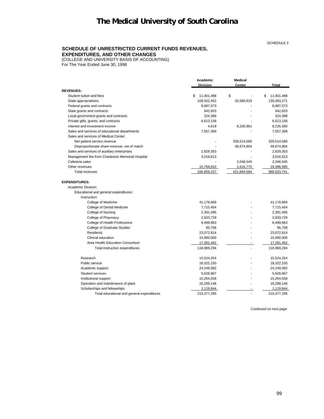#### **SCHEDULE OF UNRESTRICTED CURRENT FUNDS REVENUES,**

#### **EXPENDITURES, AND OTHER CHANGES**

(COLLEGE AND UNIVERSITY BASIS OF ACCOUNTING)

For The Year Ended June 30, 1998

|                                                  | Academic<br><b>Division</b> | <b>Medical</b><br>Center | <b>Total</b>     |
|--------------------------------------------------|-----------------------------|--------------------------|------------------|
|                                                  |                             |                          |                  |
| <b>REVENUES:</b>                                 |                             |                          |                  |
| Student tuition and fees                         | 11,401,488<br>S             | \$                       | 11,401,488<br>\$ |
| State appropriations                             | 109,502,452                 | 20,580,819               | 130,083,271      |
| Federal grants and contracts                     | 8,897,073                   |                          | 8,897,073        |
| State grants and contracts                       | 942,833                     |                          | 942,833          |
| Local government grants and contracts            | 324,389                     |                          | 324,389          |
| Private gifts, grants, and contracts             | 6,613,158                   |                          | 6,613,158        |
| Interest and investment income                   | 4,619                       | 8,230,961                | 8,235,580        |
| Sales and services of educational departments    | 7,557,369                   |                          | 7,557,369        |
| Sales and services of Medical Center:            |                             |                          |                  |
| Net patient service revenue                      |                             | 339,514,580              | 339,514,580      |
| Disproportionate share revenue, net of match     |                             | 48,674,904               | 48,674,904       |
| Sales and services of auxiliary enterprises      | 2,829,353                   |                          | 2,829,353        |
| Management fee from Charleston Memorial Hospital | 3,016,613                   |                          | 3,016,613        |
| Cafeteria sales                                  |                             | 2,046,545                | 2,046,545        |
| Other revenues                                   | 15,769,810                  | 2,616,775                | 18,386,585       |
| <b>Total revenues</b>                            | 166,859,157                 | 421,664,584              | 588,523,741      |
| <b>EXPENDITURES:</b>                             |                             |                          |                  |
| Academic Division:                               |                             |                          |                  |
| Educational and general expenditures:            |                             |                          |                  |
| Instruction:                                     |                             |                          |                  |
| College of Medicine                              | 41,178,669                  |                          | 41,178,669       |
| College of Dental Medicine                       | 7,715,454                   |                          | 7,715,454        |
| College of Nursing                               | 2,391,495                   |                          | 2,391,495        |
| College of Pharmacy                              | 2,833,729                   |                          | 2,833,729        |
| College of Health Professions                    | 8,499,963                   |                          | 8,499,963        |
| <b>College of Graduate Studies</b>               | 95,708                      |                          | 95,708           |
| Residents                                        | 23,072,814                  |                          | 23,072,814       |
| Clinical education                               | 15,900,000                  |                          | 15,900,000       |
| Area Health Education Consortium                 | 17,281,462                  |                          | 17,281,462       |
| Total instruction expenditures                   | 118,969,294                 |                          | 118,969,294      |
| Research                                         | 15,524,254                  |                          | 15,524,254       |
| Public service                                   | 18,322,150                  |                          | 18,322,150       |
| Academic support                                 | 24,249,082                  |                          | 24,249,082       |
| Student services                                 | 5,628,967                   |                          | 5,628,967        |
| Institutional support                            | 15,264,558                  |                          | 15,264,558       |
| Operation and maintenance of plant               | 16,299,146                  |                          | 16,299,146       |
| Scholarships and fellowships                     | 1,119,844                   |                          | 1,119,844        |
| Total educational and general expenditures       | 215,377,295                 |                          | 215,377,295      |

*Continued on next page*

SCHEDULE 2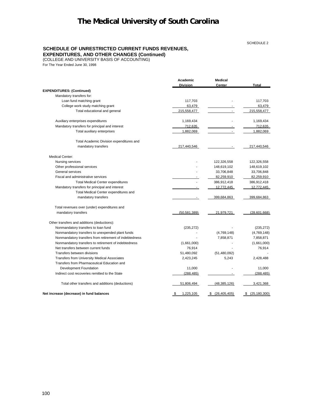SCHEDULE 2

#### **SCHEDULE OF UNRESTRICTED CURRENT FUNDS REVENUES,**

#### **EXPENDITURES, AND OTHER CHANGES (Continued)**

(COLLEGE AND UNIVERSITY BASIS OF ACCOUNTING)

For The Year Ended June 30, 1998

|                                                        | Academic<br><b>Division</b> | <b>Medical</b><br>Center | <b>Total</b>        |
|--------------------------------------------------------|-----------------------------|--------------------------|---------------------|
| <b>EXPENDITURES: (Continued)</b>                       |                             |                          |                     |
| Mandatory transfers for:                               |                             |                          |                     |
| Loan fund matching grant                               | 117,703                     |                          | 117,703             |
| College work study matching grant                      | 63,479                      |                          | 63,479              |
| Total educational and general                          | 215,558,477                 |                          | 215,558,477         |
| Auxiliary enterprises expenditures                     | 1,169,434                   |                          | 1,169,434           |
| Mandatory transfers for principal and interest         | 712,635                     | $\blacksquare$           | 712,635             |
| Total auxiliary enterprises                            | 1,882,069                   | $\blacksquare$           | 1,882,069           |
| Total Academic Division expenditures and               |                             |                          |                     |
| mandatory transfers                                    | 217,440,546                 |                          | 217,440,546         |
| <b>Medical Center:</b>                                 |                             |                          |                     |
| Nursing services                                       |                             | 122,326,558              | 122,326,558         |
| Other professional services                            |                             | 148,619,102              | 148,619,102         |
| General services                                       |                             | 33,706,848               | 33,706,848          |
| Fiscal and administrative services                     |                             | 82,259,910               | 82,259,910          |
| <b>Total Medical Center expenditures</b>               |                             | 386,912,418              | 386,912,418         |
| Mandatory transfers for principal and interest         |                             | 12,772,445               | 12,772,445          |
| Total Medical Center expenditures and                  |                             |                          |                     |
| mandatory transfers                                    |                             | 399,684,863              | 399,684,863         |
| Total revenues over (under) expenditures and           |                             |                          |                     |
| mandatory transfers                                    | (50, 581, 389)              | 21,979,721               | (28,601,668)        |
| Other transfers and additions (deductions):            |                             |                          |                     |
| Nonmandatory transfers to loan fund                    | (235, 272)                  |                          | (235, 272)          |
| Nonmandatory transfers to unexpended plant funds       |                             | (4,769,148)              | (4,769,148)         |
| Nonmandatory transfers from retirement of indebtedness |                             | 7,858,871                | 7,858,871           |
| Nonmandatory transfers to retirement of indebtedness   | (1,661,000)                 |                          | (1,661,000)         |
| Net transfers between current funds                    | 76,914                      |                          | 76,914              |
| Transfers between divisions                            | 51,480,092                  | (51, 480, 092)           |                     |
| Transfers from University Medical Associates           | 2,423,245                   | 5,243                    | 2,428,488           |
| Transfers from Pharmaceutical Education and            |                             |                          |                     |
| Development Foundation                                 | 11,000                      |                          | 11,000              |
| Indirect cost recoveries remitted to the State         | (288, 485)                  |                          | (288, 485)          |
| Total other transfers and additions (deductions)       | 51,806,494                  | (48, 385, 126)           | 3,421,368           |
| Net increase (decrease) in fund balances               | 1,225,105<br>\$             | (26, 405, 405)<br>S      | (25, 180, 300)<br>S |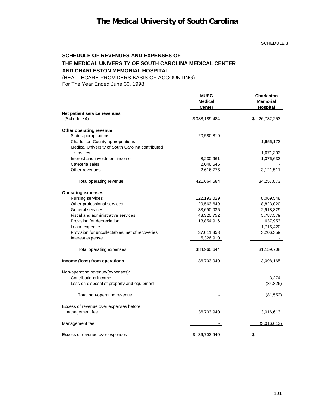# **The Medical University of South Carolina**

#### SCHEDULE 3

### **SCHEDULE OF REVENUES AND EXPENSES OF THE MEDICAL UNIVERSITY OF SOUTH CAROLINA MEDICAL CENTER AND CHARLESTON MEMORIAL HOSPITAL**

(HEALTHCARE PROVIDERS BASIS OF ACCOUNTING)

For The Year Ended June 30, 1998

|                                                  | <b>MUSC</b><br><b>Medical</b><br><b>Center</b> | <b>Charleston</b><br><b>Memorial</b><br>Hospital |
|--------------------------------------------------|------------------------------------------------|--------------------------------------------------|
| Net patient service revenues                     |                                                |                                                  |
| (Schedule 4)                                     | \$388,189,484                                  | 26,732,253<br>\$                                 |
| Other operating revenue:                         |                                                |                                                  |
| State appropriations                             | 20,580,819                                     |                                                  |
| Charleston County appropriations                 |                                                | 1,656,173                                        |
| Medical University of South Carolina contributed |                                                |                                                  |
| services                                         |                                                | 1,671,303                                        |
| Interest and investment income                   | 8,230,961                                      | 1,076,633                                        |
| Cafeteria sales                                  | 2,046,545                                      |                                                  |
| Other revenues                                   | 2,616,775                                      | 3,121,511                                        |
| Total operating revenue                          | 421,664,584                                    | 34,257,873                                       |
| <b>Operating expenses:</b>                       |                                                |                                                  |
| Nursing services                                 | 122,193,029                                    | 8,069,548                                        |
| Other professional services                      | 129,563,649                                    | 8,823,020                                        |
| General services                                 | 33,690,035                                     | 2,918,829                                        |
| Fiscal and administrative services               | 43,320,752                                     | 5,787,579                                        |
| Provision for depreciation                       | 13,854,916                                     | 637,953                                          |
| Lease expense                                    |                                                | 1,716,420                                        |
| Provision for uncollectables, net of recoveries  | 37,011,353                                     | 3,206,359                                        |
| Interest expense                                 | 5,326,910                                      |                                                  |
| Total operating expenses                         | 384,960,644                                    | 31,159,708                                       |
| Income (loss) from operations                    | 36,703,940                                     | 3,098,165                                        |
| Non-operating revenue/(expenses):                |                                                |                                                  |
| Contributions income                             |                                                | 3,274                                            |
| Loss on disposal of property and equipment       |                                                | (84, 826)                                        |
| Total non-operating revenue                      |                                                | (81, 552)                                        |
| Excess of revenue over expenses before           |                                                |                                                  |
| management fee                                   | 36,703,940                                     | 3,016,613                                        |
| Management fee                                   |                                                | (3,016,613)                                      |
| Excess of revenue over expenses                  | 36,703,940                                     |                                                  |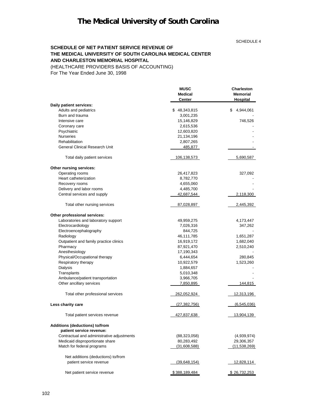SCHEDULE 4

#### **SCHEDULE OF NET PATIENT SERVICE REVENUE OF THE MEDICAL UNIVERSITY OF SOUTH CAROLINA MEDICAL CENTER AND CHARLESTON MEMORIAL HOSPITAL**

(HEALTHCARE PROVIDERS BASIS OF ACCOUNTING)

For The Year Ended June 30, 1998

|                                            | <b>MUSC</b><br><b>Medical</b><br><b>Center</b> | <b>Charleston</b><br><b>Memorial</b><br>Hospital |
|--------------------------------------------|------------------------------------------------|--------------------------------------------------|
| Daily patient services:                    |                                                |                                                  |
| Adults and pediatrics                      | \$48,343,815                                   | 4,944,061<br>\$                                  |
| Burn and trauma                            | 3,001,235                                      |                                                  |
| Intensive care                             | 15,146,829                                     | 746,526                                          |
| Coronary care                              | 2,615,536                                      |                                                  |
| Psychiatric                                | 12,603,820                                     |                                                  |
| <b>Nurseries</b>                           | 21,134,196                                     |                                                  |
| Rehabilitation                             | 2,807,265                                      |                                                  |
| General Clinical Research Unit             | 485,877                                        |                                                  |
| Total daily patient services               | <u>106,138,573</u>                             | 5,690,587                                        |
| Other nursing services:                    |                                                |                                                  |
| Operating rooms                            | 26,417,823                                     | 327,092                                          |
| Heart catheterization                      | 8,782,770                                      |                                                  |
| Recovery rooms                             | 4,655,060                                      |                                                  |
| Delivery and labor rooms                   | 4,485,700                                      |                                                  |
| Central services and supply                | 42,687,544                                     | 2,118,300                                        |
| Total other nursing services               | 87,028,897                                     | 2,445,392                                        |
| Other professional services:               |                                                |                                                  |
| Laboratories and laboratory support        | 49,959,275                                     | 4,173,447                                        |
| Electrocardiology                          | 7,026,316                                      | 347,262                                          |
| Electroencephalography                     | 844,725                                        |                                                  |
| Radiology                                  | 46,111,785                                     | 1,651,287                                        |
| Outpatient and family practice clinics     | 16,919,172                                     | 1,682,040                                        |
| Pharmacy                                   | 87,921,470                                     | 2,510,240                                        |
| Anesthesiology                             | 17,190,343                                     |                                                  |
| Physical/Occupational therapy              | 6,444,654                                      | 280,845                                          |
| Respiratory therapy                        | 10,922,579                                     | 1,523,260                                        |
| Dialysis                                   | 1,884,657                                      |                                                  |
| Transplants                                | 5,010,348                                      |                                                  |
| Ambulance/patient transportation           | 3,966,705                                      |                                                  |
| Other ancillary services                   | 7,850,895                                      | 144,815                                          |
| Total other professional services          | 262,052,924                                    | 12,313,196                                       |
| Less charity care                          | (27, 382, 756)                                 | (6, 545, 036)                                    |
| Total patient services revenue             | 427,837,638                                    | 13,904,139                                       |
| Additions (deductions) to/from             |                                                |                                                  |
| patient service revenue:                   |                                                |                                                  |
| Contractual and administrative adjustments | (88, 323, 058)                                 | (4,939,974)                                      |
| Medicaid disproportionate share            | 80,283,492                                     | 29,306,357                                       |
| Match for federal programs                 | <u>(31,608,588)</u>                            | (11,538,269)                                     |
| Net additions (deductions) to/from         |                                                |                                                  |
| patient service revenue                    | (39, 648, 154)                                 | <u>12,828,114</u>                                |
| Net patient service revenue                | <u>\$388,189,484</u>                           | \$26,732,253                                     |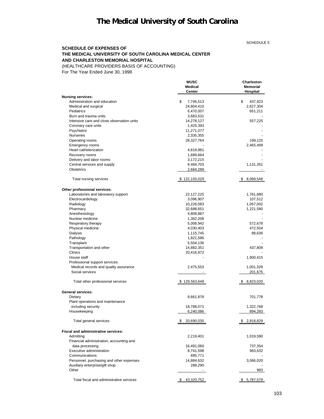SCHEDULE 5

#### **SCHEDULE OF EXPENSES OF THE MEDICAL UNIVERSITY OF SOUTH CAROLINA MEDICAL CENTER AND CHARLESTON MEMORIAL HOSPITAL**

(HEALTHCARE PROVIDERS BASIS OF ACCOUNTING)

For The Year Ended June 30, 1998

|                                            | MUSC                     | <b>Charleston</b>           |
|--------------------------------------------|--------------------------|-----------------------------|
|                                            | <b>Medical</b><br>Center | <b>Memorial</b><br>Hospital |
| <b>Nursing services:</b>                   |                          |                             |
| Administration and education               | \$<br>7,746,513          | \$<br>437,923               |
| Medical and surgical                       | 24,804,410               | 2,627,304                   |
| Pediatrics                                 | 6,470,007                | 651,211                     |
| Burn and trauma units                      | 3,683,531                |                             |
| Intensive care and close observation units | 14,278,127               | 557,225                     |
| Coronary care units                        | 1,425,393                |                             |
| Psychiatric                                | 11,271,077               |                             |
| <b>Nurseries</b>                           | 2,335,355                |                             |
| Operating rooms                            | 28,327,764               | 199,125                     |
| Emergency rooms                            |                          | 2,465,499                   |
| Heart catheterization                      | 4,819,981                |                             |
| Recovery rooms                             | 1,689,664                |                             |
| Delivery and labor rooms                   | 3,172,215                |                             |
| Central services and supply                | 9,484,703                | 1,131,261                   |
| <b>Obstetrics</b>                          | 2,684,289                |                             |
| Total nursing services                     | \$122,193,029            | \$ 8,069,548                |
| Other professional services:               |                          |                             |
| Laboratories and laboratory support        | 22,127,225               | 1,761,880                   |
| Electrocardiology                          | 3,096,907                | 107,512                     |
| Radiology                                  | 10,226,083               | 1,057,002                   |
| Pharmacy                                   | 32,688,651               | 1,221,580                   |
| Anesthesiology                             | 4,808,887                |                             |
| Nuclear medicine                           | 1,362,208                |                             |
| Respiratory therapy                        | 5,006,942                | 572,678                     |
| Physical medicine                          | 4,030,403                | 472,504                     |
| <b>Dialysis</b>                            | 1,115,745                | 88,636                      |
| Pathology                                  | 1,821,586                |                             |
| Transplant                                 | 5,504,136                |                             |
| Transportation and other                   | 14,882,351               | 437,809                     |
| Clinics                                    | 20,416,972               |                             |
| House staff                                |                          | 1,900,415                   |
| Professional support services:             |                          |                             |
| Medical records and quality assurance      | 2,475,553                | 1,001,329                   |
| Social services                            |                          | 201,675                     |
|                                            |                          |                             |
| Total other professional services          | \$129,563,649            | \$8,823,020                 |
| <b>General services:</b>                   |                          |                             |
| Dietary                                    | 8,661,878                | 701,778                     |
| Plant operations and maintenance           |                          |                             |
| including security                         | 18,788,071               | 1,322,768                   |
| Housekeeping                               | 6,240,086                | 894,283                     |
| Total general services                     | 33,690,035               | \$2,918,829                 |
| Fiscal and administrative services:        |                          |                             |
| Admitting                                  | 2,219,401                | 1,019,590                   |
| Financial administration, accounting and   |                          |                             |
| data processing                            | 16,491,060               | 737,354                     |
| Executive administration                   | 8,741,598                | 963,632                     |
| Communications                             | 695,771                  |                             |
| Personnel, purchasing and other expenses   | 14,884,632               | 3,066,020                   |
| Auxiliary enterprise/gift shop             | 288,290                  |                             |
| Other                                      |                          | 983                         |
| Total fiscal and administrative services   | \$43,320,752             | \$5,787,579                 |
|                                            |                          |                             |